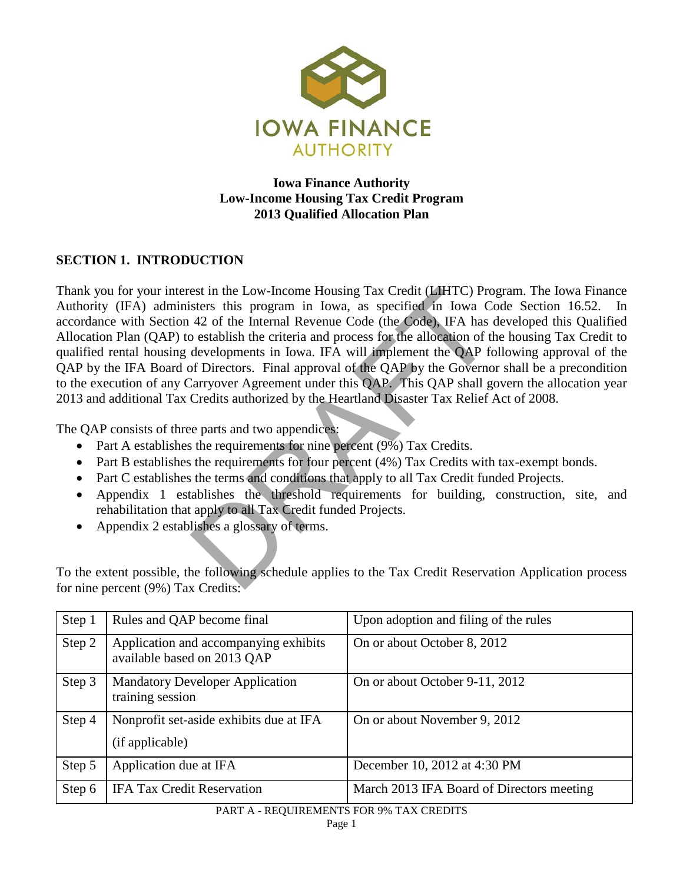

## **Iowa Finance Authority Low-Income Housing Tax Credit Program 2013 Qualified Allocation Plan**

# **SECTION 1. INTRODUCTION**

est in the Low-Income Housing Tax Credit (LIHTC) Pro<br>sters this program in Iowa, as specified in Iowa C<br>42 of the Internal Revenue Code (the Code), IFA has<br>o establish the criteria and process for the allocation of the<br>dev Thank you for your interest in the Low-Income Housing Tax Credit (LIHTC) Program. The Iowa Finance Authority (IFA) administers this program in Iowa, as specified in Iowa Code Section 16.52. In accordance with Section 42 of the Internal Revenue Code (the Code), IFA has developed this Qualified Allocation Plan (QAP) to establish the criteria and process for the allocation of the housing Tax Credit to qualified rental housing developments in Iowa. IFA will implement the QAP following approval of the QAP by the IFA Board of Directors. Final approval of the QAP by the Governor shall be a precondition to the execution of any Carryover Agreement under this QAP. This QAP shall govern the allocation year 2013 and additional Tax Credits authorized by the Heartland Disaster Tax Relief Act of 2008.

The QAP consists of three parts and two appendices:

- Part A establishes the requirements for nine percent (9%) Tax Credits.
- Part B establishes the requirements for four percent (4%) Tax Credits with tax-exempt bonds.
- Part C establishes the terms and conditions that apply to all Tax Credit funded Projects.
- Appendix 1 establishes the threshold requirements for building, construction, site, and rehabilitation that apply to all Tax Credit funded Projects.
- Appendix 2 establishes a glossary of terms.

To the extent possible, the following schedule applies to the Tax Credit Reservation Application process for nine percent (9%) Tax Credits:

| Step 1 | Rules and QAP become final                                           | Upon adoption and filing of the rules     |
|--------|----------------------------------------------------------------------|-------------------------------------------|
| Step 2 | Application and accompanying exhibits<br>available based on 2013 QAP | On or about October 8, 2012               |
| Step 3 | <b>Mandatory Developer Application</b><br>training session           | On or about October 9-11, 2012            |
| Step 4 | Nonprofit set-aside exhibits due at IFA                              | On or about November 9, 2012              |
|        | (if applicable)                                                      |                                           |
| Step 5 | Application due at IFA                                               | December 10, 2012 at 4:30 PM              |
| Step 6 | <b>IFA Tax Credit Reservation</b>                                    | March 2013 IFA Board of Directors meeting |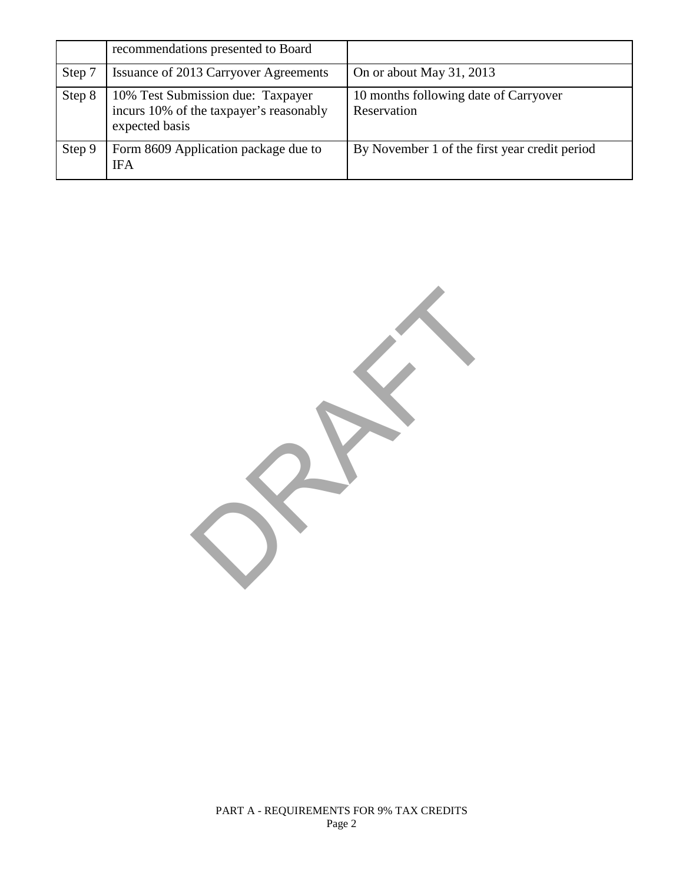|        | recommendations presented to Board                                                             |                                                      |
|--------|------------------------------------------------------------------------------------------------|------------------------------------------------------|
| Step 7 | Issuance of 2013 Carryover Agreements                                                          | On or about May 31, 2013                             |
| Step 8 | 10% Test Submission due: Taxpayer<br>incurs 10% of the taxpayer's reasonably<br>expected basis | 10 months following date of Carryover<br>Reservation |
| Step 9 | Form 8609 Application package due to<br><b>IFA</b>                                             | By November 1 of the first year credit period        |

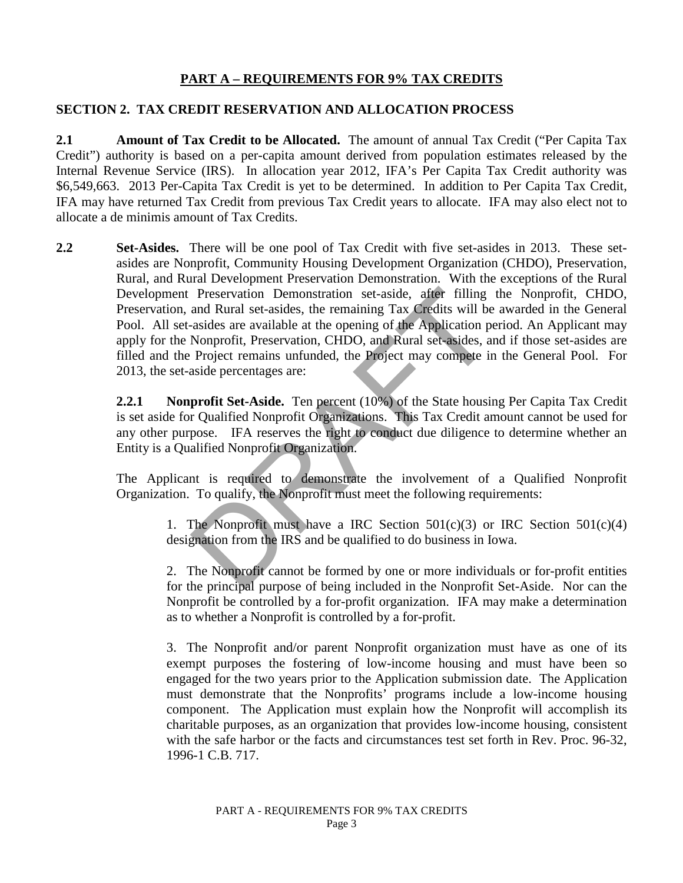## **PART A – REQUIREMENTS FOR 9% TAX CREDITS**

#### **SECTION 2. TAX CREDIT RESERVATION AND ALLOCATION PROCESS**

**2.1 Amount of Tax Credit to be Allocated.** The amount of annual Tax Credit ("Per Capita Tax Credit") authority is based on a per-capita amount derived from population estimates released by the Internal Revenue Service (IRS). In allocation year 2012, IFA's Per Capita Tax Credit authority was \$6,549,663. 2013 Per-Capita Tax Credit is yet to be determined. In addition to Per Capita Tax Credit, IFA may have returned Tax Credit from previous Tax Credit years to allocate. IFA may also elect not to allocate a de minimis amount of Tax Credits.

Preservation Demonstration set-aside, after filling<br>and Rural set-asides, the remaining Tax Credits will be<br>asides are available at the opening of the Application po<br>Nonprofit, Preservation, CHDO, and Rural set-asides, a<br> **2.2 Set-Asides.** There will be one pool of Tax Credit with five set-asides in 2013. These setasides are Nonprofit, Community Housing Development Organization (CHDO), Preservation, Rural, and Rural Development Preservation Demonstration. With the exceptions of the Rural Development Preservation Demonstration set-aside, after filling the Nonprofit, CHDO, Preservation, and Rural set-asides, the remaining Tax Credits will be awarded in the General Pool. All set-asides are available at the opening of the Application period. An Applicant may apply for the Nonprofit, Preservation, CHDO, and Rural set-asides, and if those set-asides are filled and the Project remains unfunded, the Project may compete in the General Pool. For 2013, the set-aside percentages are:

 **2.2.1 Nonprofit Set-Aside.** Ten percent (10%) of the State housing Per Capita Tax Credit is set aside for Qualified Nonprofit Organizations. This Tax Credit amount cannot be used for any other purpose. IFA reserves the right to conduct due diligence to determine whether an Entity is a Qualified Nonprofit Organization.

The Applicant is required to demonstrate the involvement of a Qualified Nonprofit Organization. To qualify, the Nonprofit must meet the following requirements:

1. The Nonprofit must have a IRC Section  $501(c)(3)$  or IRC Section  $501(c)(4)$ designation from the IRS and be qualified to do business in Iowa.

2. The Nonprofit cannot be formed by one or more individuals or for-profit entities for the principal purpose of being included in the Nonprofit Set-Aside. Nor can the Nonprofit be controlled by a for-profit organization. IFA may make a determination as to whether a Nonprofit is controlled by a for-profit.

 3. The Nonprofit and/or parent Nonprofit organization must have as one of its exempt purposes the fostering of low-income housing and must have been so engaged for the two years prior to the Application submission date. The Application must demonstrate that the Nonprofits' programs include a low-income housing component. The Application must explain how the Nonprofit will accomplish its charitable purposes, as an organization that provides low-income housing, consistent with the safe harbor or the facts and circumstances test set forth in Rev. Proc. 96-32, 1996-1 C.B. 717.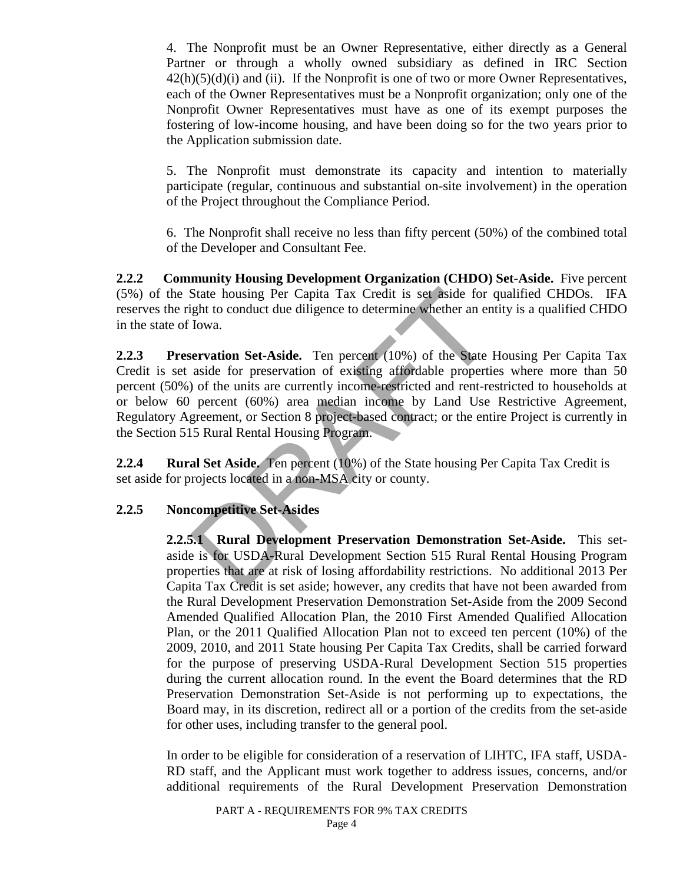4. The Nonprofit must be an Owner Representative, either directly as a General Partner or through a wholly owned subsidiary as defined in IRC Section  $42(h)(5)(d)(i)$  and (ii). If the Nonprofit is one of two or more Owner Representatives, each of the Owner Representatives must be a Nonprofit organization; only one of the Nonprofit Owner Representatives must have as one of its exempt purposes the fostering of low-income housing, and have been doing so for the two years prior to the Application submission date.

 5. The Nonprofit must demonstrate its capacity and intention to materially participate (regular, continuous and substantial on-site involvement) in the operation of the Project throughout the Compliance Period.

6. The Nonprofit shall receive no less than fifty percent (50%) of the combined total of the Developer and Consultant Fee.

**2.2.2 Community Housing Development Organization (CHDO) Set-Aside.** Five percent (5%) of the State housing Per Capita Tax Credit is set aside for qualified CHDOs. IFA reserves the right to conduct due diligence to determine whether an entity is a qualified CHDO in the state of Iowa.

State housing Per Capita Tax Credit is set aside for eight to conduct due diligence to determine whether an en Iowa.<br> **Exercution Set-Aside.** Ten percent (10%) of the State laside for preservation of existing affordable pr  **2.2.3 Preservation Set-Aside.** Ten percent (10%) of the State Housing Per Capita Tax Credit is set aside for preservation of existing affordable properties where more than 50 percent (50%) of the units are currently income-restricted and rent-restricted to households at or below 60 percent (60%) area median income by Land Use Restrictive Agreement, Regulatory Agreement, or Section 8 project-based contract; or the entire Project is currently in the Section 515 Rural Rental Housing Program.

**2.2.4 Rural Set Aside.** Ten percent (10%) of the State housing Per Capita Tax Credit is set aside for projects located in a non-MSA city or county.

# **2.2.5 Noncompetitive Set-Asides**

**2.2.5.1 Rural Development Preservation Demonstration Set-Aside.** This setaside is for USDA-Rural Development Section 515 Rural Rental Housing Program properties that are at risk of losing affordability restrictions. No additional 2013 Per Capita Tax Credit is set aside; however, any credits that have not been awarded from the Rural Development Preservation Demonstration Set-Aside from the 2009 Second Amended Qualified Allocation Plan, the 2010 First Amended Qualified Allocation Plan, or the 2011 Qualified Allocation Plan not to exceed ten percent (10%) of the 2009, 2010, and 2011 State housing Per Capita Tax Credits, shall be carried forward for the purpose of preserving USDA-Rural Development Section 515 properties during the current allocation round. In the event the Board determines that the RD Preservation Demonstration Set-Aside is not performing up to expectations, the Board may, in its discretion, redirect all or a portion of the credits from the set-aside for other uses, including transfer to the general pool.

In order to be eligible for consideration of a reservation of LIHTC, IFA staff, USDA-RD staff, and the Applicant must work together to address issues, concerns, and/or additional requirements of the Rural Development Preservation Demonstration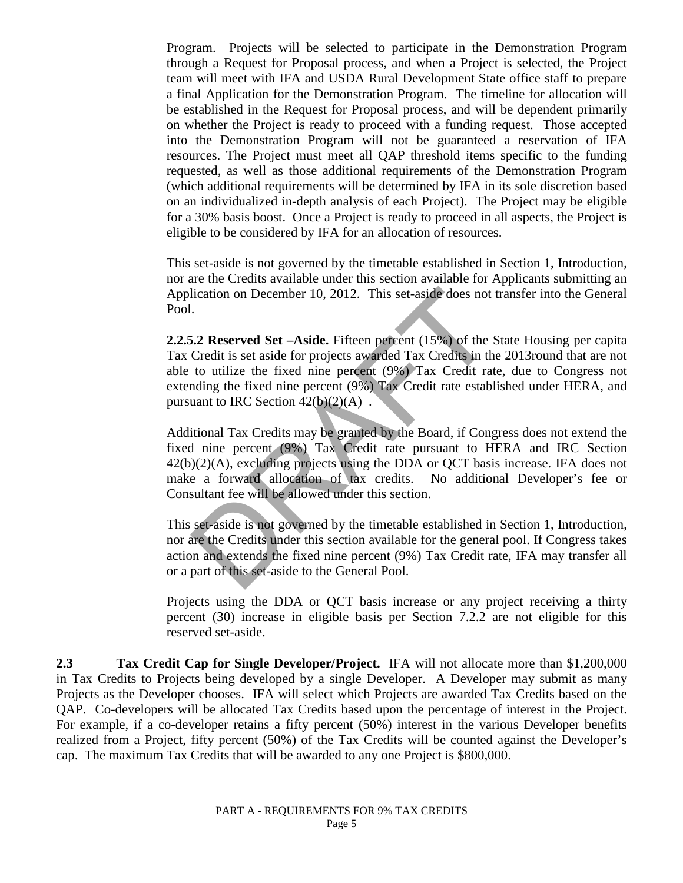Program. Projects will be selected to participate in the Demonstration Program through a Request for Proposal process, and when a Project is selected, the Project team will meet with IFA and USDA Rural Development State office staff to prepare a final Application for the Demonstration Program. The timeline for allocation will be established in the Request for Proposal process, and will be dependent primarily on whether the Project is ready to proceed with a funding request. Those accepted into the Demonstration Program will not be guaranteed a reservation of IFA resources. The Project must meet all QAP threshold items specific to the funding requested, as well as those additional requirements of the Demonstration Program (which additional requirements will be determined by IFA in its sole discretion based on an individualized in-depth analysis of each Project). The Project may be eligible for a 30% basis boost. Once a Project is ready to proceed in all aspects, the Project is eligible to be considered by IFA for an allocation of resources.

This set-aside is not governed by the timetable established in Section 1, Introduction, nor are the Credits available under this section available for Applicants submitting an Application on December 10, 2012. This set-aside does not transfer into the General Pool.

lication on December 10, 2012. This set-aside does not<br>
.**5.2 Reserved Set -Aside.** Fifteen percent (15%) of the Credit is set aside for projects awarded Tax Credits in th<br>
to utilize the fixed nine percent (9%) Tax Credi **2.2.5.2 Reserved Set –Aside.** Fifteen percent (15%) of the State Housing per capita Tax Credit is set aside for projects awarded Tax Credits in the 2013round that are not able to utilize the fixed nine percent (9%) Tax Credit rate, due to Congress not extending the fixed nine percent (9%) Tax Credit rate established under HERA, and pursuant to IRC Section  $42(b)(2)(A)$ .

Additional Tax Credits may be granted by the Board, if Congress does not extend the fixed nine percent (9%) Tax Credit rate pursuant to HERA and IRC Section 42(b)(2)(A), excluding projects using the DDA or QCT basis increase. IFA does not make a forward allocation of tax credits. No additional Developer's fee or Consultant fee will be allowed under this section.

This set-aside is not governed by the timetable established in Section 1, Introduction, nor are the Credits under this section available for the general pool. If Congress takes action and extends the fixed nine percent (9%) Tax Credit rate, IFA may transfer all or a part of this set-aside to the General Pool.

Projects using the DDA or QCT basis increase or any project receiving a thirty percent (30) increase in eligible basis per Section 7.2.2 are not eligible for this reserved set-aside.

**2.3 Tax Credit Cap for Single Developer/Project.** IFA will not allocate more than \$1,200,000 in Tax Credits to Projects being developed by a single Developer. A Developer may submit as many Projects as the Developer chooses. IFA will select which Projects are awarded Tax Credits based on the QAP. Co-developers will be allocated Tax Credits based upon the percentage of interest in the Project. For example, if a co-developer retains a fifty percent (50%) interest in the various Developer benefits realized from a Project, fifty percent (50%) of the Tax Credits will be counted against the Developer's cap. The maximum Tax Credits that will be awarded to any one Project is \$800,000.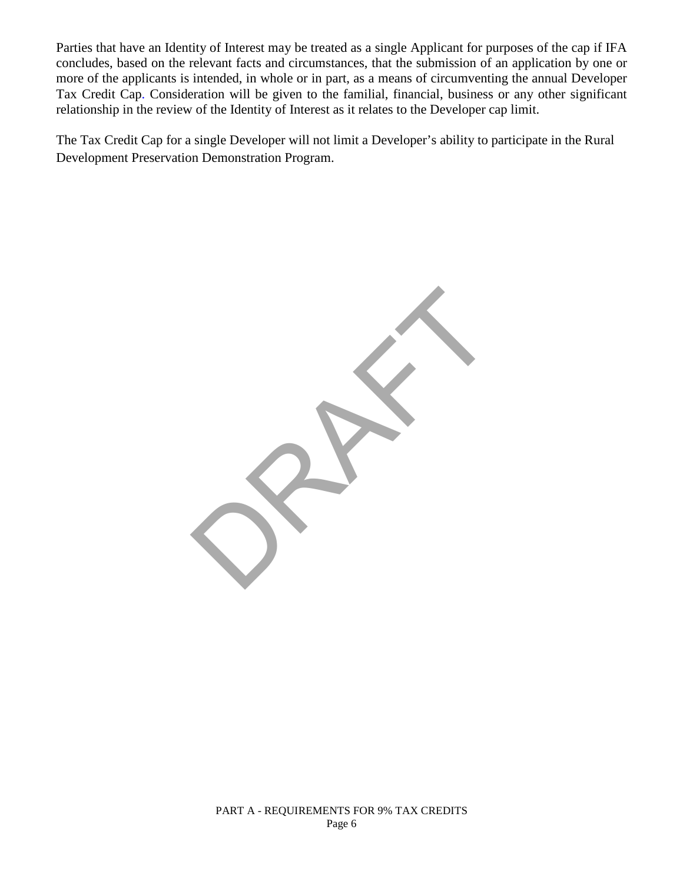Parties that have an Identity of Interest may be treated as a single Applicant for purposes of the cap if IFA concludes, based on the relevant facts and circumstances, that the submission of an application by one or more of the applicants is intended, in whole or in part, as a means of circumventing the annual Developer Tax Credit Cap. Consideration will be given to the familial, financial, business or any other significant relationship in the review of the Identity of Interest as it relates to the Developer cap limit.

The Tax Credit Cap for a single Developer will not limit a Developer's ability to participate in the Rural Development Preservation Demonstration Program.

RAFT

PART A - REQUIREMENTS FOR 9% TAX CREDITS Page 6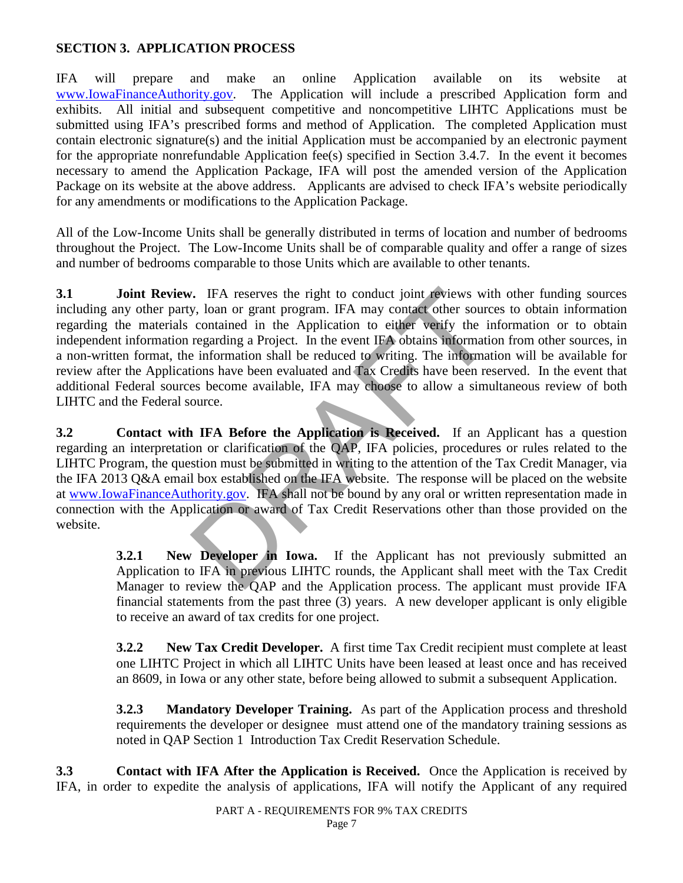## **SECTION 3. APPLICATION PROCESS**

IFA will prepare and make an online Application available on its website at [www.IowaFinanceAuthority.gov.](http://www.iowafinanceauthority.gov/) The Application will include a prescribed Application form and exhibits. All initial and subsequent competitive and noncompetitive LIHTC Applications must be submitted using IFA's prescribed forms and method of Application. The completed Application must contain electronic signature(s) and the initial Application must be accompanied by an electronic payment for the appropriate nonrefundable Application fee(s) specified in Section 3.4.7. In the event it becomes necessary to amend the Application Package, IFA will post the amended version of the Application Package on its website at the above address. Applicants are advised to check IFA's website periodically for any amendments or modifications to the Application Package.

All of the Low-Income Units shall be generally distributed in terms of location and number of bedrooms throughout the Project. The Low-Income Units shall be of comparable quality and offer a range of sizes and number of bedrooms comparable to those Units which are available to other tenants.

V. IFA reserves the right to conduct joint reviews wit<br>y, loan or grant program. IFA may contact other source contained in the Application to either verify the iregarding a Project. In the event IFA obtains informations h **3.1 Joint Review.** IFA reserves the right to conduct joint reviews with other funding sources including any other party, loan or grant program. IFA may contact other sources to obtain information regarding the materials contained in the Application to either verify the information or to obtain independent information regarding a Project. In the event IFA obtains information from other sources, in a non-written format, the information shall be reduced to writing. The information will be available for review after the Applications have been evaluated and Tax Credits have been reserved. In the event that additional Federal sources become available, IFA may choose to allow a simultaneous review of both LIHTC and the Federal source.

**3.2 Contact with IFA Before the Application is Received.** If an Applicant has a question regarding an interpretation or clarification of the QAP, IFA policies, procedures or rules related to the LIHTC Program, the question must be submitted in writing to the attention of the Tax Credit Manager, via the IFA 2013 Q&A email box established on the IFA website. The response will be placed on the website at [www.IowaFinanceAuthority.gov.](http://www.iowafinanceauthority.gov/) IFA shall not be bound by any oral or written representation made in connection with the Application or award of Tax Credit Reservations other than those provided on the website.

> **3.2.1 New Developer in Iowa.** If the Applicant has not previously submitted an Application to IFA in previous LIHTC rounds, the Applicant shall meet with the Tax Credit Manager to review the QAP and the Application process. The applicant must provide IFA financial statements from the past three (3) years. A new developer applicant is only eligible to receive an award of tax credits for one project.

> **3.2.2 New Tax Credit Developer.** A first time Tax Credit recipient must complete at least one LIHTC Project in which all LIHTC Units have been leased at least once and has received an 8609, in Iowa or any other state, before being allowed to submit a subsequent Application.

> **3.2.3 Mandatory Developer Training.** As part of the Application process and threshold requirements the developer or designee must attend one of the mandatory training sessions as noted in QAP Section 1 Introduction Tax Credit Reservation Schedule.

**3.3 Contact with IFA After the Application is Received.** Once the Application is received by IFA, in order to expedite the analysis of applications, IFA will notify the Applicant of any required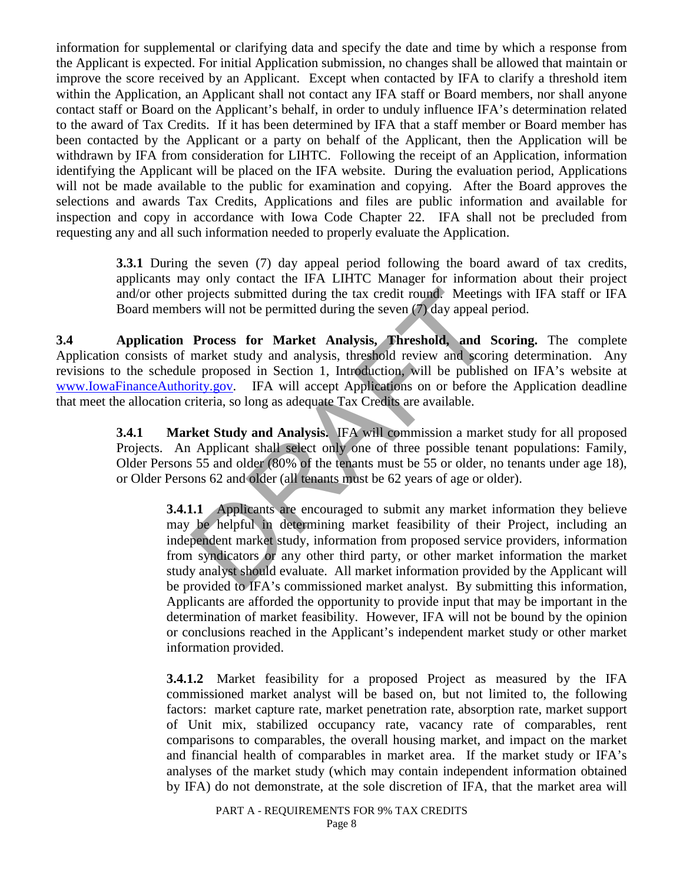information for supplemental or clarifying data and specify the date and time by which a response from the Applicant is expected. For initial Application submission, no changes shall be allowed that maintain or improve the score received by an Applicant. Except when contacted by IFA to clarify a threshold item within the Application, an Applicant shall not contact any IFA staff or Board members, nor shall anyone contact staff or Board on the Applicant's behalf, in order to unduly influence IFA's determination related to the award of Tax Credits. If it has been determined by IFA that a staff member or Board member has been contacted by the Applicant or a party on behalf of the Applicant, then the Application will be withdrawn by IFA from consideration for LIHTC. Following the receipt of an Application, information identifying the Applicant will be placed on the IFA website. During the evaluation period, Applications will not be made available to the public for examination and copying. After the Board approves the selections and awards Tax Credits, Applications and files are public information and available for inspection and copy in accordance with Iowa Code Chapter 22. IFA shall not be precluded from requesting any and all such information needed to properly evaluate the Application.

> **3.3.1** During the seven (7) day appeal period following the board award of tax credits, applicants may only contact the IFA LIHTC Manager for information about their project and/or other projects submitted during the tax credit round. Meetings with IFA staff or IFA Board members will not be permitted during the seven (7) day appeal period.

**3.4 Application Process for Market Analysis, Threshold, and Scoring.** The complete Application consists of market study and analysis, threshold review and scoring determination. Any revisions to the schedule proposed in Section 1, Introduction, will be published on IFA's website at [www.IowaFinanceAuthority.gov.](http://www.iowafinanceauthority.gov/) IFA will accept Applications on or before the Application deadline that meet the allocation criteria, so long as adequate Tax Credits are available.

> **3.4.1** Market Study and Analysis. IFA will commission a market study for all proposed Projects. An Applicant shall select only one of three possible tenant populations: Family, Older Persons 55 and older (80% of the tenants must be 55 or older, no tenants under age 18), or Older Persons 62 and older (all tenants must be 62 years of age or older).

projects submitted during the tax credit round. Meeting<br>rs will not be permitted during the seven (7) day appeal process for Market Analysis, Threshold, and S<br>market study and analysis, threshold review and scoric<br>e propos **3.4.1.1 Applicants are encouraged to submit any market information they believe** may be helpful in determining market feasibility of their Project, including an independent market study, information from proposed service providers, information from syndicators or any other third party, or other market information the market study analyst should evaluate. All market information provided by the Applicant will be provided to IFA's commissioned market analyst. By submitting this information, Applicants are afforded the opportunity to provide input that may be important in the determination of market feasibility. However, IFA will not be bound by the opinion or conclusions reached in the Applicant's independent market study or other market information provided.

**3.4.1.2** Market feasibility for a proposed Project as measured by the IFA commissioned market analyst will be based on, but not limited to, the following factors: market capture rate, market penetration rate, absorption rate, market support of Unit mix, stabilized occupancy rate, vacancy rate of comparables, rent comparisons to comparables, the overall housing market, and impact on the market and financial health of comparables in market area. If the market study or IFA's analyses of the market study (which may contain independent information obtained by IFA) do not demonstrate, at the sole discretion of IFA, that the market area will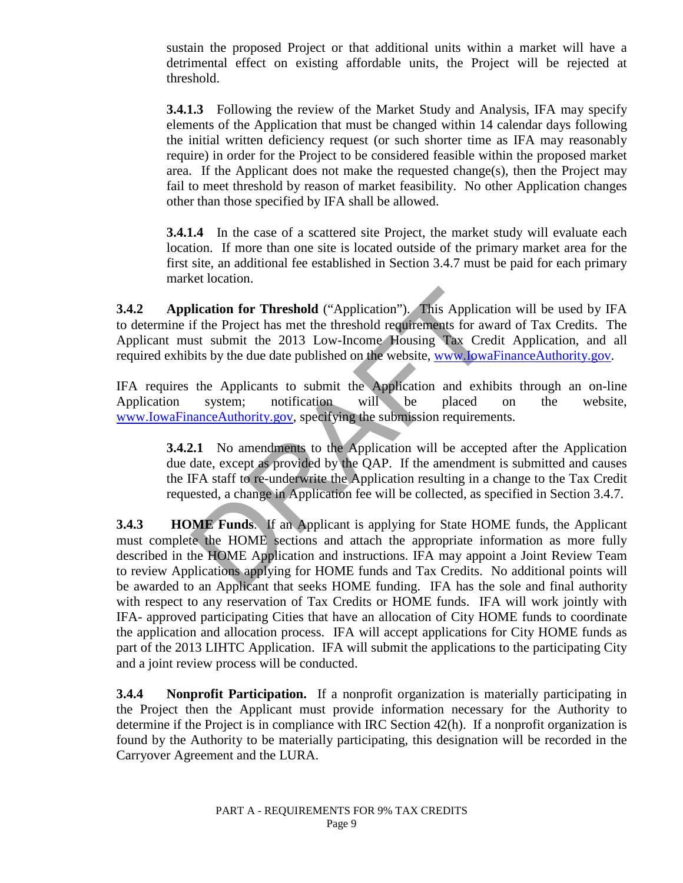sustain the proposed Project or that additional units within a market will have a detrimental effect on existing affordable units, the Project will be rejected at threshold.

**3.4.1.3** Following the review of the Market Study and Analysis, IFA may specify elements of the Application that must be changed within 14 calendar days following the initial written deficiency request (or such shorter time as IFA may reasonably require) in order for the Project to be considered feasible within the proposed market area. If the Applicant does not make the requested change(s), then the Project may fail to meet threshold by reason of market feasibility. No other Application changes other than those specified by IFA shall be allowed.

**3.4.1.4** In the case of a scattered site Project, the market study will evaluate each location. If more than one site is located outside of the primary market area for the first site, an additional fee established in Section 3.4.7 must be paid for each primary market location.

**3.4.2 Application for Threshold** ("Application").This Application will be used by IFA to determine if the Project has met the threshold requirements for award of Tax Credits. The Applicant must submit the 2013 Low-Income Housing Tax Credit Application, and all required exhibits by the due date published on the website, [www.IowaFinanceAuthority.gov.](http://www.iowafinanceauthority.gov/)

IFA requires the Applicants to submit the Application and exhibits through an on-line Application system; notification will be placed on the website, [www.IowaFinanceAuthority.gov,](http://www.iowafinanceauthority.gov/) specifying the submission requirements.

 **3.4.2.1** No amendments to the Application will be accepted after the Application due date, except as provided by the QAP. If the amendment is submitted and causes the IFA staff to re-underwrite the Application resulting in a change to the Tax Credit requested, a change in Application fee will be collected, as specified in Section 3.4.7.

**Contains and School ("Application").** This Applicat<br>if the Project has met the threshold requirements for awast submit the 2013 Low-Income Housing Tax Crece<br>its by the due date published on the website, www.lowa<br>the Appli **3.4.3 HOME Funds**. If an Applicant is applying for State HOME funds, the Applicant must complete the HOME sections and attach the appropriate information as more fully described in the HOME Application and instructions. IFA may appoint a Joint Review Team to review Applications applying for HOME funds and Tax Credits. No additional points will be awarded to an Applicant that seeks HOME funding. IFA has the sole and final authority with respect to any reservation of Tax Credits or HOME funds. IFA will work jointly with IFA- approved participating Cities that have an allocation of City HOME funds to coordinate the application and allocation process. IFA will accept applications for City HOME funds as part of the 2013 LIHTC Application. IFA will submit the applications to the participating City and a joint review process will be conducted.

**3.4.4 Nonprofit Participation.** If a nonprofit organization is materially participating in the Project then the Applicant must provide information necessary for the Authority to determine if the Project is in compliance with IRC Section 42(h). If a nonprofit organization is found by the Authority to be materially participating, this designation will be recorded in the Carryover Agreement and the LURA.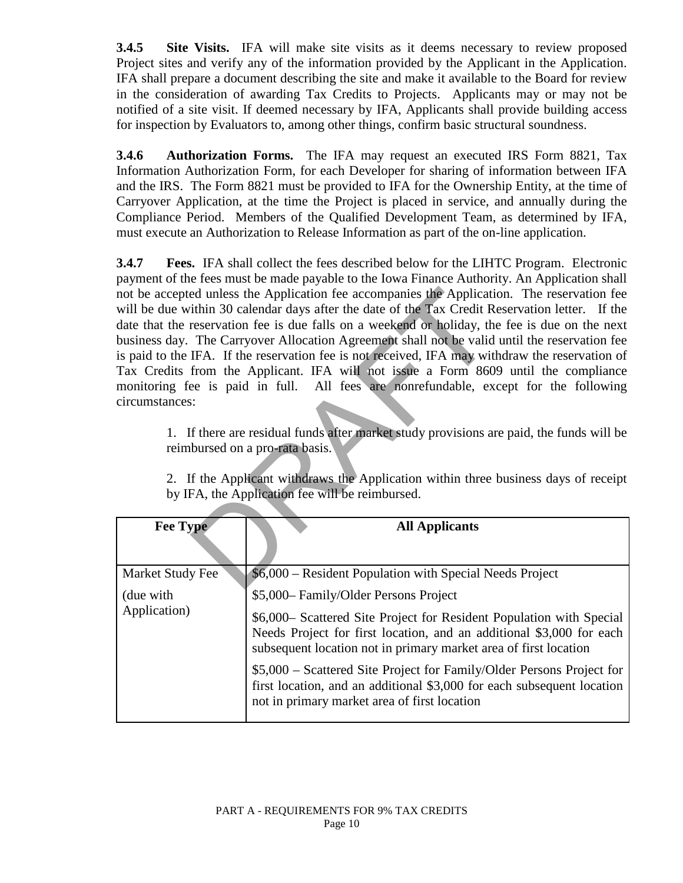**3.4.5 Site Visits.** IFA will make site visits as it deems necessary to review proposed Project sites and verify any of the information provided by the Applicant in the Application. IFA shall prepare a document describing the site and make it available to the Board for review in the consideration of awarding Tax Credits to Projects. Applicants may or may not be notified of a site visit. If deemed necessary by IFA, Applicants shall provide building access for inspection by Evaluators to, among other things, confirm basic structural soundness.

 **3.4.6 Authorization Forms.** The IFA may request an executed IRS Form 8821, Tax Information Authorization Form, for each Developer for sharing of information between IFA and the IRS. The Form 8821 must be provided to IFA for the Ownership Entity, at the time of Carryover Application, at the time the Project is placed in service, and annually during the Compliance Period. Members of the Qualified Development Team, as determined by IFA, must execute an Authorization to Release Information as part of the on-line application.

ed unless the Application fee accompanies the Application<br>tithin 30 calendar days after the date of the Tax Credit R<br>reservation fee is due falls on a weekend or holiday, the<br>The Carryover Allocation Agreement shall not be  **3.4.7 Fees.** IFA shall collect the fees described below for the LIHTC Program. Electronic payment of the fees must be made payable to the Iowa Finance Authority. An Application shall not be accepted unless the Application fee accompanies the Application. The reservation fee will be due within 30 calendar days after the date of the Tax Credit Reservation letter. If the date that the reservation fee is due falls on a weekend or holiday, the fee is due on the next business day. The Carryover Allocation Agreement shall not be valid until the reservation fee is paid to the IFA. If the reservation fee is not received, IFA may withdraw the reservation of Tax Credits from the Applicant. IFA will not issue a Form 8609 until the compliance monitoring fee is paid in full. All fees are nonrefundable, except for the following circumstances:

1. If there are residual funds after market study provisions are paid, the funds will be reimbursed on a pro-rata basis.

2. If the Applicant withdraws the Application within three business days of receipt by IFA, the Application fee will be reimbursed.

| <b>Fee Type</b>  | <b>All Applicants</b>                                                                                                                                                                                            |
|------------------|------------------------------------------------------------------------------------------------------------------------------------------------------------------------------------------------------------------|
| Market Study Fee | \$6,000 – Resident Population with Special Needs Project                                                                                                                                                         |
| (due with)       | \$5,000-Family/Older Persons Project                                                                                                                                                                             |
| Application)     | \$6,000– Scattered Site Project for Resident Population with Special<br>Needs Project for first location, and an additional \$3,000 for each<br>subsequent location not in primary market area of first location |
|                  | \$5,000 – Scattered Site Project for Family/Older Persons Project for<br>first location, and an additional \$3,000 for each subsequent location<br>not in primary market area of first location                  |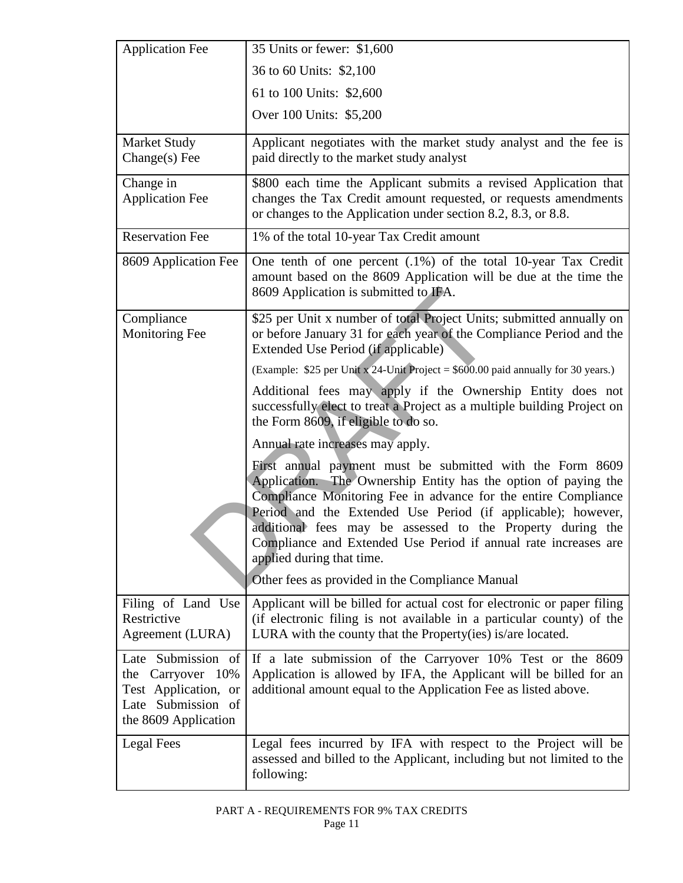| <b>Application Fee</b>                                                                  | 35 Units or fewer: \$1,600                                                                                                                                                                                                                                                                                                                                                                                                  |
|-----------------------------------------------------------------------------------------|-----------------------------------------------------------------------------------------------------------------------------------------------------------------------------------------------------------------------------------------------------------------------------------------------------------------------------------------------------------------------------------------------------------------------------|
|                                                                                         | 36 to 60 Units: \$2,100                                                                                                                                                                                                                                                                                                                                                                                                     |
|                                                                                         | 61 to 100 Units: \$2,600                                                                                                                                                                                                                                                                                                                                                                                                    |
|                                                                                         | Over 100 Units: \$5,200                                                                                                                                                                                                                                                                                                                                                                                                     |
| <b>Market Study</b><br>$Change(s)$ Fee                                                  | Applicant negotiates with the market study analyst and the fee is<br>paid directly to the market study analyst                                                                                                                                                                                                                                                                                                              |
| Change in<br><b>Application Fee</b>                                                     | \$800 each time the Applicant submits a revised Application that<br>changes the Tax Credit amount requested, or requests amendments<br>or changes to the Application under section 8.2, 8.3, or 8.8.                                                                                                                                                                                                                        |
| <b>Reservation Fee</b>                                                                  | 1% of the total 10-year Tax Credit amount                                                                                                                                                                                                                                                                                                                                                                                   |
| 8609 Application Fee                                                                    | One tenth of one percent (.1%) of the total 10-year Tax Credit<br>amount based on the 8609 Application will be due at the time the<br>8609 Application is submitted to IFA.                                                                                                                                                                                                                                                 |
| Compliance<br><b>Monitoring Fee</b>                                                     | \$25 per Unit x number of total Project Units; submitted annually on<br>or before January 31 for each year of the Compliance Period and the<br>Extended Use Period (if applicable)                                                                                                                                                                                                                                          |
|                                                                                         | (Example: \$25 per Unit x 24-Unit Project = $$600.00$ paid annually for 30 years.)                                                                                                                                                                                                                                                                                                                                          |
|                                                                                         | Additional fees may apply if the Ownership Entity does not<br>successfully elect to treat a Project as a multiple building Project on<br>the Form 8609, if eligible to do so.                                                                                                                                                                                                                                               |
|                                                                                         | Annual rate increases may apply.                                                                                                                                                                                                                                                                                                                                                                                            |
|                                                                                         | First annual payment must be submitted with the Form 8609<br>Application. The Ownership Entity has the option of paying the<br>Compliance Monitoring Fee in advance for the entire Compliance<br>Period and the Extended Use Period (if applicable); however,<br>additional fees may be assessed to the Property during the<br>Compliance and Extended Use Period if annual rate increases are<br>applied during that time. |
|                                                                                         | Other fees as provided in the Compliance Manual                                                                                                                                                                                                                                                                                                                                                                             |
| Filing of Land Use<br>Restrictive<br>Agreement (LURA)                                   | Applicant will be billed for actual cost for electronic or paper filing<br>(if electronic filing is not available in a particular county) of the<br>LURA with the county that the Property (ies) is/are located.                                                                                                                                                                                                            |
| the Carryover 10%<br>Test Application, or<br>Late Submission of<br>the 8609 Application | Late Submission of If a late submission of the Carryover $10\%$ Test or the 8609<br>Application is allowed by IFA, the Applicant will be billed for an<br>additional amount equal to the Application Fee as listed above.                                                                                                                                                                                                   |
| Legal Fees                                                                              | Legal fees incurred by IFA with respect to the Project will be<br>assessed and billed to the Applicant, including but not limited to the<br>following:                                                                                                                                                                                                                                                                      |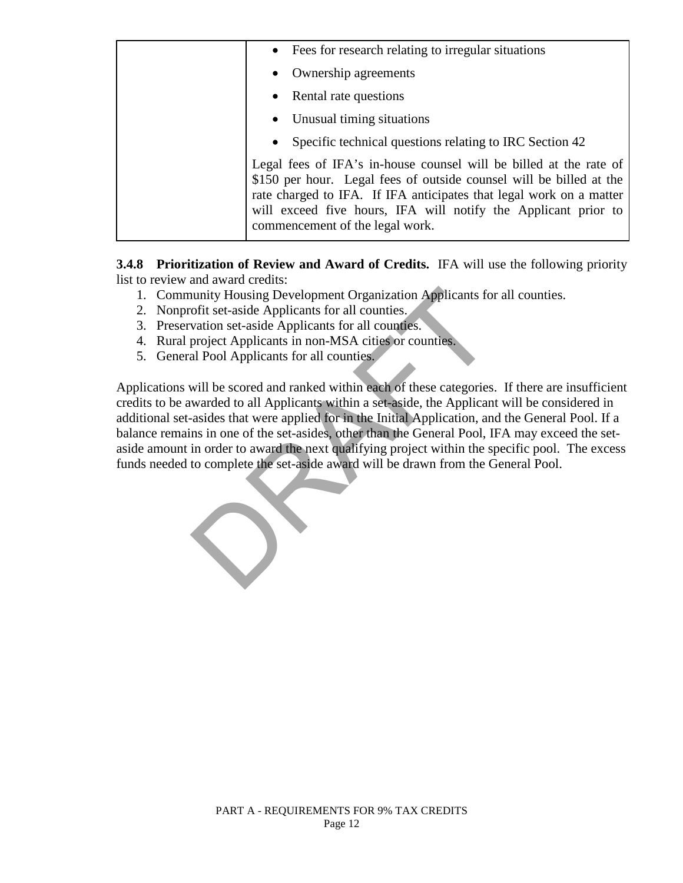| • Fees for research relating to irregular situations                                                                                                                                                                                                                                                                  |
|-----------------------------------------------------------------------------------------------------------------------------------------------------------------------------------------------------------------------------------------------------------------------------------------------------------------------|
| • Ownership agreements                                                                                                                                                                                                                                                                                                |
| • Rental rate questions                                                                                                                                                                                                                                                                                               |
| • Unusual timing situations                                                                                                                                                                                                                                                                                           |
| Specific technical questions relating to IRC Section 42                                                                                                                                                                                                                                                               |
| Legal fees of IFA's in-house counsel will be billed at the rate of<br>\$150 per hour. Legal fees of outside counsel will be billed at the<br>rate charged to IFA. If IFA anticipates that legal work on a matter<br>will exceed five hours, IFA will notify the Applicant prior to<br>commencement of the legal work. |

**3.4.8 Prioritization of Review and Award of Credits.** IFA will use the following priority list to review and award credits:

- 1. Community Housing Development Organization Applicants for all counties.
- 2. Nonprofit set-aside Applicants for all counties.
- 3. Preservation set-aside Applicants for all counties.
- 4. Rural project Applicants in non-MSA cities or counties.
- 5. General Pool Applicants for all counties.

numity Housing Development Organization Applicants for off set-aside Applicants for all counties.<br>
vation set-aside Applicants for all counties.<br>
project Applicants in non-MSA cities or counties.<br>
all Pool Applicants for a Applications will be scored and ranked within each of these categories. If there are insufficient credits to be awarded to all Applicants within a set-aside, the Applicant will be considered in additional set-asides that were applied for in the Initial Application, and the General Pool. If a balance remains in one of the set-asides, other than the General Pool, IFA may exceed the setaside amount in order to award the next qualifying project within the specific pool. The excess funds needed to complete the set-aside award will be drawn from the General Pool.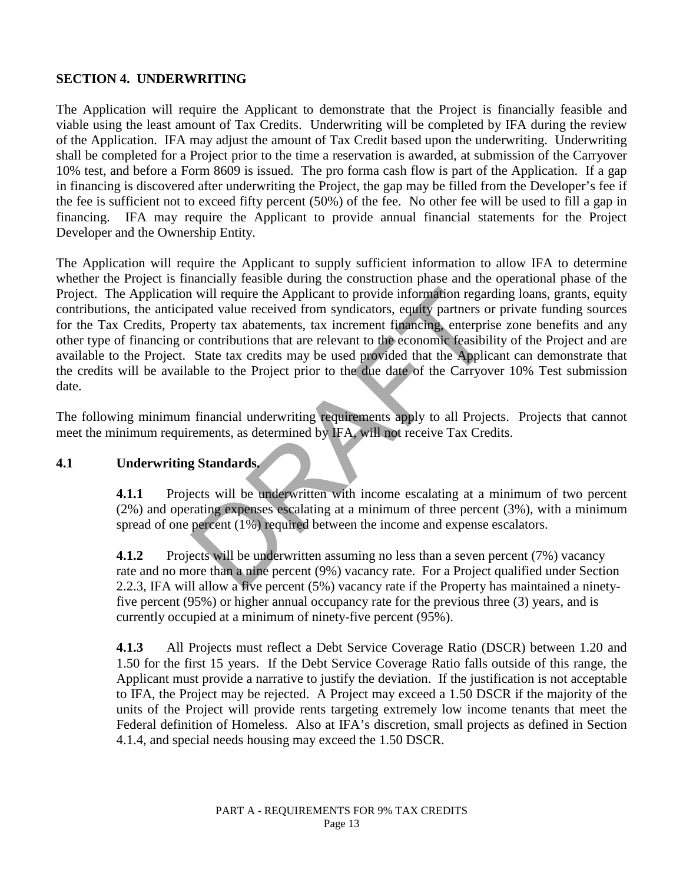## **SECTION 4. UNDERWRITING**

The Application will require the Applicant to demonstrate that the Project is financially feasible and viable using the least amount of Tax Credits. Underwriting will be completed by IFA during the review of the Application. IFA may adjust the amount of Tax Credit based upon the underwriting. Underwriting shall be completed for a Project prior to the time a reservation is awarded, at submission of the Carryover 10% test, and before a Form 8609 is issued. The pro forma cash flow is part of the Application. If a gap in financing is discovered after underwriting the Project, the gap may be filled from the Developer's fee if the fee is sufficient not to exceed fifty percent (50%) of the fee. No other fee will be used to fill a gap in financing. IFA may require the Applicant to provide annual financial statements for the Project Developer and the Ownership Entity.

If  $\mu$  is will require the Applicant to provide information regards value received from syndicators, equity partners of perty tax abatements, tax increment financing, enterprise in contributions that are relevant to the The Application will require the Applicant to supply sufficient information to allow IFA to determine whether the Project is financially feasible during the construction phase and the operational phase of the Project. The Application will require the Applicant to provide information regarding loans, grants, equity contributions, the anticipated value received from syndicators, equity partners or private funding sources for the Tax Credits, Property tax abatements, tax increment financing, enterprise zone benefits and any other type of financing or contributions that are relevant to the economic feasibility of the Project and are available to the Project. State tax credits may be used provided that the Applicant can demonstrate that the credits will be available to the Project prior to the due date of the Carryover 10% Test submission date.

The following minimum financial underwriting requirements apply to all Projects. Projects that cannot meet the minimum requirements, as determined by IFA, will not receive Tax Credits.

### **4.1 Underwriting Standards.**

 **4.1.1** Projects will be underwritten with income escalating at a minimum of two percent (2%) and operating expenses escalating at a minimum of three percent (3%), with a minimum spread of one percent (1%) required between the income and expense escalators.

**4.1.2** Projects will be underwritten assuming no less than a seven percent (7%) vacancy rate and no more than a nine percent (9%) vacancy rate. For a Project qualified under Section 2.2.3, IFA will allow a five percent (5%) vacancy rate if the Property has maintained a ninetyfive percent (95%) or higher annual occupancy rate for the previous three (3) years, and is currently occupied at a minimum of ninety-five percent (95%).

**4.1.3** All Projects must reflect a Debt Service Coverage Ratio (DSCR) between 1.20 and 1.50 for the first 15 years. If the Debt Service Coverage Ratio falls outside of this range, the Applicant must provide a narrative to justify the deviation. If the justification is not acceptable to IFA, the Project may be rejected. A Project may exceed a 1.50 DSCR if the majority of the units of the Project will provide rents targeting extremely low income tenants that meet the Federal definition of Homeless. Also at IFA's discretion, small projects as defined in Section 4.1.4, and special needs housing may exceed the 1.50 DSCR.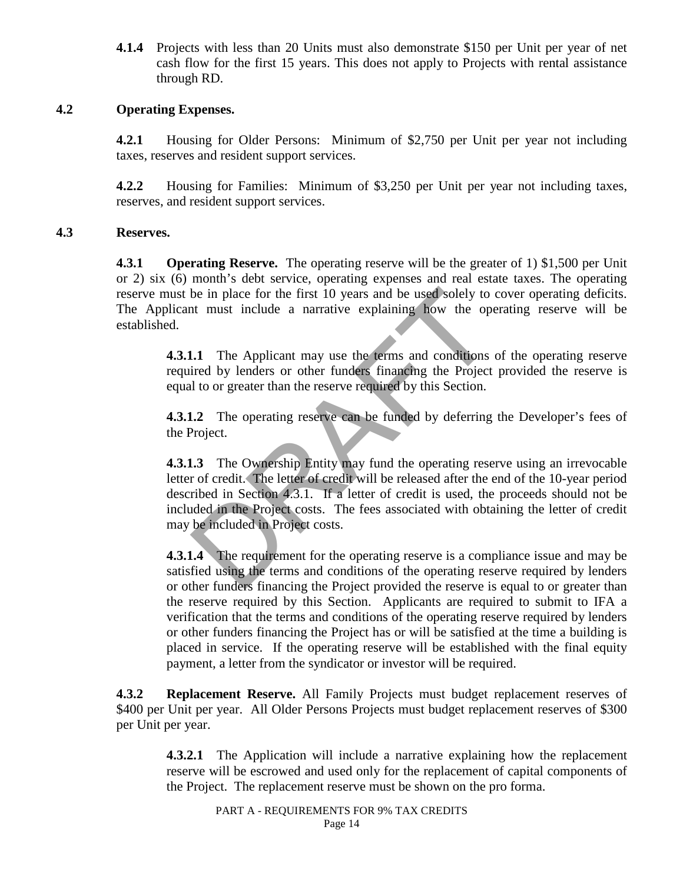**4.1.4** Projects with less than 20 Units must also demonstrate \$150 per Unit per year of net cash flow for the first 15 years. This does not apply to Projects with rental assistance through RD.

#### **4.2 Operating Expenses.**

 **4.2.1** Housing for Older Persons: Minimum of \$2,750 per Unit per year not including taxes, reserves and resident support services.

 **4.2.2** Housing for Families: Minimum of \$3,250 per Unit per year not including taxes, reserves, and resident support services.

#### **4.3 Reserves.**

**4.3.1 Operating Reserve.** The operating reserve will be the greater of 1) \$1,500 per Unit or 2) six (6) month's debt service, operating expenses and real estate taxes. The operating reserve must be in place for the first 10 years and be used solely to cover operating deficits. The Applicant must include a narrative explaining how the operating reserve will be established.

**4.3.1.1** The Applicant may use the terms and conditions of the operating reserve required by lenders or other funders financing the Project provided the reserve is equal to or greater than the reserve required by this Section.

 **4.3.1.2** The operating reserve can be funded by deferring the Developer's fees of the Project.

be in place for the first 10 years and be used solely to<br>the must include a narrative explaining how the open<br>the must include a narrative explaining how the open<br>the must include a narrative explaining how the open<br>tions<br> **4.3.1.3** The Ownership Entity may fund the operating reserve using an irrevocable letter of credit. The letter of credit will be released after the end of the 10-year period described in Section 4.3.1. If a letter of credit is used, the proceeds should not be included in the Project costs. The fees associated with obtaining the letter of credit may be included in Project costs.

 **4.3.1.4** The requirement for the operating reserve is a compliance issue and may be satisfied using the terms and conditions of the operating reserve required by lenders or other funders financing the Project provided the reserve is equal to or greater than the reserve required by this Section. Applicants are required to submit to IFA a verification that the terms and conditions of the operating reserve required by lenders or other funders financing the Project has or will be satisfied at the time a building is placed in service. If the operating reserve will be established with the final equity payment, a letter from the syndicator or investor will be required.

 **4.3.2 Replacement Reserve.** All Family Projects must budget replacement reserves of \$400 per Unit per year. All Older Persons Projects must budget replacement reserves of \$300 per Unit per year.

 **4.3.2.1** The Application will include a narrative explaining how the replacement reserve will be escrowed and used only for the replacement of capital components of the Project. The replacement reserve must be shown on the pro forma.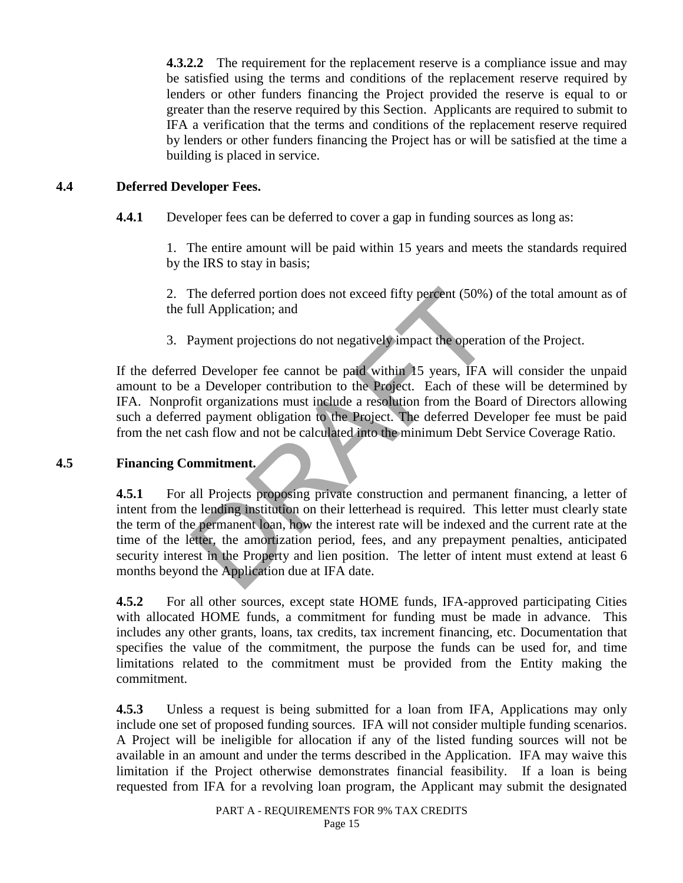**4.3.2.2** The requirement for the replacement reserve is a compliance issue and may be satisfied using the terms and conditions of the replacement reserve required by lenders or other funders financing the Project provided the reserve is equal to or greater than the reserve required by this Section. Applicants are required to submit to IFA a verification that the terms and conditions of the replacement reserve required by lenders or other funders financing the Project has or will be satisfied at the time a building is placed in service.

#### **4.4 Deferred Developer Fees.**

**4.4.1** Developer fees can be deferred to cover a gap in funding sources as long as:

1. The entire amount will be paid within 15 years and meets the standards required by the IRS to stay in basis;

2. The deferred portion does not exceed fifty percent (50%) of the total amount as of the full Application; and

3. Payment projections do not negatively impact the operation of the Project.

If the deferred Developer fee cannot be paid within 15 years, IFA will consider the unpaid amount to be a Developer contribution to the Project. Each of these will be determined by IFA. Nonprofit organizations must include a resolution from the Board of Directors allowing such a deferred payment obligation to the Project. The deferred Developer fee must be paid from the net cash flow and not be calculated into the minimum Debt Service Coverage Ratio.

#### **4.5 Financing Commitment.**

The deferred portion does not exceed fifty percent (50%)<br>
bull Application; and<br>
Payment projections do not negatively impact the operation<br>
d Developer fee cannot be paid within 15 years, IFA<br>
a Developer contribution to **4.5.1** For all Projects proposing private construction and permanent financing, a letter of intent from the lending institution on their letterhead is required. This letter must clearly state the term of the permanent loan, how the interest rate will be indexed and the current rate at the time of the letter, the amortization period, fees, and any prepayment penalties, anticipated security interest in the Property and lien position. The letter of intent must extend at least 6 months beyond the Application due at IFA date.

**4.5.2** For all other sources, except state HOME funds, IFA-approved participating Cities with allocated HOME funds, a commitment for funding must be made in advance. This includes any other grants, loans, tax credits, tax increment financing, etc. Documentation that specifies the value of the commitment, the purpose the funds can be used for, and time limitations related to the commitment must be provided from the Entity making the commitment.

**4.5.3** Unless a request is being submitted for a loan from IFA, Applications may only include one set of proposed funding sources. IFA will not consider multiple funding scenarios. A Project will be ineligible for allocation if any of the listed funding sources will not be available in an amount and under the terms described in the Application. IFA may waive this limitation if the Project otherwise demonstrates financial feasibility. If a loan is being requested from IFA for a revolving loan program, the Applicant may submit the designated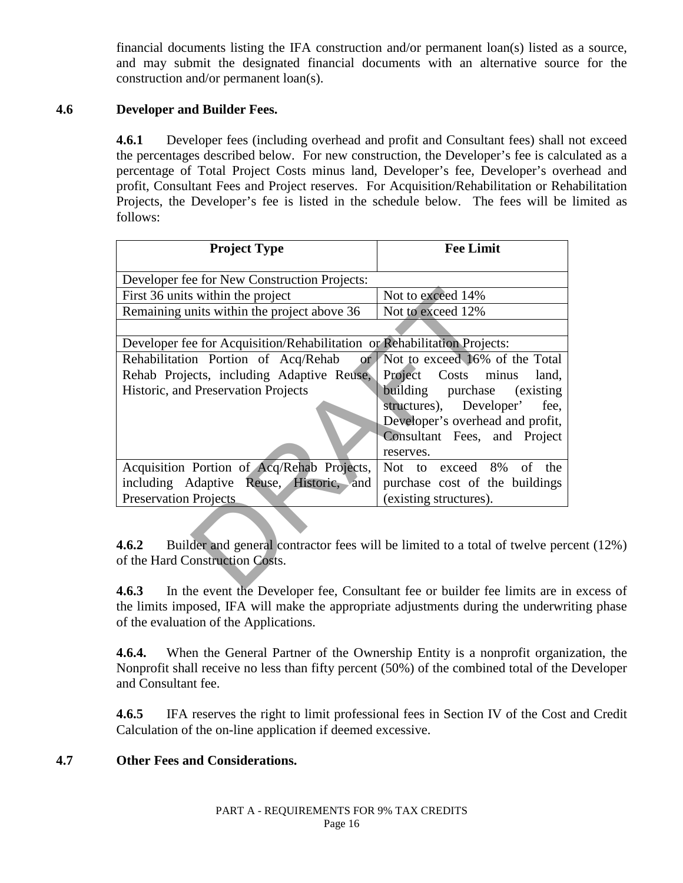financial documents listing the IFA construction and/or permanent loan(s) listed as a source, and may submit the designated financial documents with an alternative source for the construction and/or permanent loan(s).

## **4.6 Developer and Builder Fees.**

**4.6.1** Developer fees (including overhead and profit and Consultant fees) shall not exceed the percentages described below. For new construction, the Developer's fee is calculated as a percentage of Total Project Costs minus land, Developer's fee, Developer's overhead and profit, Consultant Fees and Project reserves. For Acquisition/Rehabilitation or Rehabilitation Projects, the Developer's fee is listed in the schedule below. The fees will be limited as follows:

| <b>Project Type</b>                                                                | <b>Fee Limit</b>                 |
|------------------------------------------------------------------------------------|----------------------------------|
| Developer fee for New Construction Projects:                                       |                                  |
| First 36 units within the project                                                  | Not to exceed 14%                |
| Remaining units within the project above 36                                        | Not to exceed 12%                |
|                                                                                    |                                  |
| Developer fee for Acquisition/Rehabilitation or Rehabilitation Projects:           |                                  |
| Rehabilitation Portion of Acq/Rehab or Not to exceed 16% of the Total              |                                  |
| Rehab Projects, including Adaptive Reuse, Project Costs minus                      | land,                            |
| Historic, and Preservation Projects                                                | building purchase (existing      |
|                                                                                    | structures), Developer'<br>fee,  |
|                                                                                    | Developer's overhead and profit, |
|                                                                                    | Consultant Fees, and Project     |
|                                                                                    | reserves.                        |
| Acquisition Portion of Acq/Rehab Projects,                                         | Not to exceed 8% of the          |
| including Adaptive Reuse, Historic, and                                            | purchase cost of the buildings   |
| <b>Preservation Projects</b>                                                       | (existing structures).           |
| 4.6.2 Builder and general contractor fees will be limited to a total of twelve per |                                  |
| of the Hard Construction Costs.                                                    |                                  |
|                                                                                    |                                  |
| $A \wedge A$ rat $A \wedge B$ is $A \wedge C$ the $A \wedge B$                     |                                  |

**4.6.2** Builder and general contractor fees will be limited to a total of twelve percent (12%) of the Hard Construction Costs.

 **4.6.3** In the event the Developer fee, Consultant fee or builder fee limits are in excess of the limits imposed, IFA will make the appropriate adjustments during the underwriting phase of the evaluation of the Applications.

**4.6.4.** When the General Partner of the Ownership Entity is a nonprofit organization, the Nonprofit shall receive no less than fifty percent (50%) of the combined total of the Developer and Consultant fee.

 **4.6.5** IFA reserves the right to limit professional fees in Section IV of the Cost and Credit Calculation of the on-line application if deemed excessive.

### **4.7 Other Fees and Considerations.**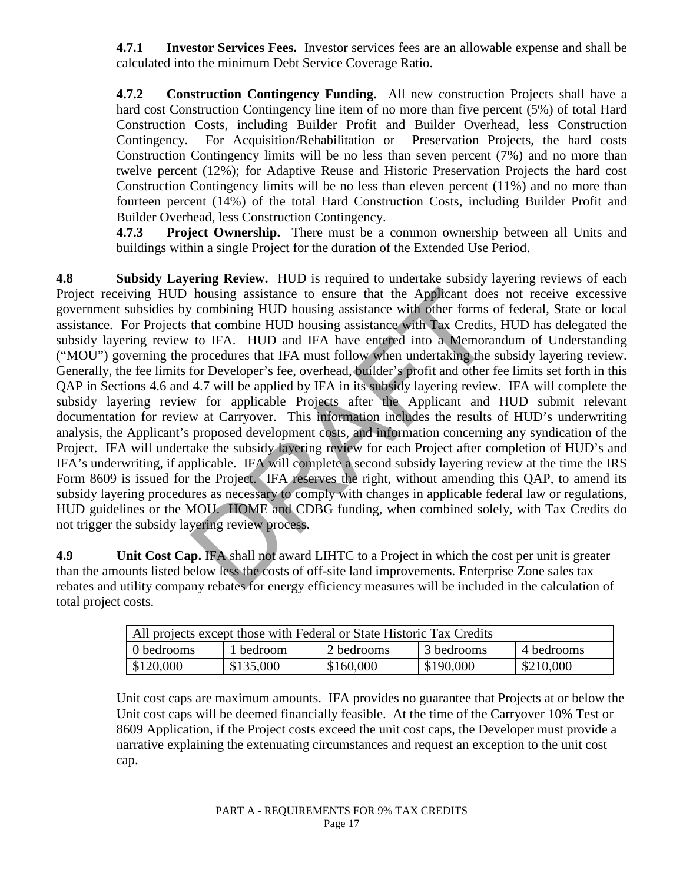**4.7.1 Investor Services Fees.** Investor services fees are an allowable expense and shall be calculated into the minimum Debt Service Coverage Ratio.

**4.7.2 Construction Contingency Funding.** All new construction Projects shall have a hard cost Construction Contingency line item of no more than five percent (5%) of total Hard Construction Costs, including Builder Profit and Builder Overhead, less Construction Contingency. For Acquisition/Rehabilitation or Preservation Projects, the hard costs Construction Contingency limits will be no less than seven percent (7%) and no more than twelve percent (12%); for Adaptive Reuse and Historic Preservation Projects the hard cost Construction Contingency limits will be no less than eleven percent (11%) and no more than fourteen percent (14%) of the total Hard Construction Costs, including Builder Profit and Builder Overhead, less Construction Contingency.

**4.7.3 Project Ownership.** There must be a common ownership between all Units and buildings within a single Project for the duration of the Extended Use Period.

housing assistance to ensure that the Applicant doe<br>
combining HUD housing assistance with other forms<br>
that combine HUD housing assistance with Tax Credits<br>
to IFA. HUD and IFA have entered into a Memora<br>
procedures that **4.8 Subsidy Layering Review.** HUD is required to undertake subsidy layering reviews of each Project receiving HUD housing assistance to ensure that the Applicant does not receive excessive government subsidies by combining HUD housing assistance with other forms of federal, State or local assistance. For Projects that combine HUD housing assistance with Tax Credits, HUD has delegated the subsidy layering review to IFA. HUD and IFA have entered into a Memorandum of Understanding ("MOU") governing the procedures that IFA must follow when undertaking the subsidy layering review. Generally, the fee limits for Developer's fee, overhead, builder's profit and other fee limits set forth in this QAP in Sections 4.6 and 4.7 will be applied by IFA in its subsidy layering review. IFA will complete the subsidy layering review for applicable Projects after the Applicant and HUD submit relevant documentation for review at Carryover. This information includes the results of HUD's underwriting analysis, the Applicant's proposed development costs, and information concerning any syndication of the Project. IFA will undertake the subsidy layering review for each Project after completion of HUD's and IFA's underwriting, if applicable. IFA will complete a second subsidy layering review at the time the IRS Form 8609 is issued for the Project. IFA reserves the right, without amending this QAP, to amend its subsidy layering procedures as necessary to comply with changes in applicable federal law or regulations, HUD guidelines or the MOU. HOME and CDBG funding, when combined solely, with Tax Credits do not trigger the subsidy layering review process.

**4.9** Unit Cost Cap. IFA shall not award LIHTC to a Project in which the cost per unit is greater than the amounts listed below less the costs of off-site land improvements. Enterprise Zone sales tax rebates and utility company rebates for energy efficiency measures will be included in the calculation of total project costs.

| All projects except those with Federal or State Historic Tax Credits |           |           |           |           |
|----------------------------------------------------------------------|-----------|-----------|-----------|-----------|
| 3 bedrooms<br>2 bedrooms<br>4 bedrooms<br>1 bedroom-<br>0 bedrooms   |           |           |           |           |
| \$120,000                                                            | \$135,000 | \$160,000 | \$190,000 | \$210,000 |

Unit cost caps are maximum amounts. IFA provides no guarantee that Projects at or below the Unit cost caps will be deemed financially feasible. At the time of the Carryover 10% Test or 8609 Application, if the Project costs exceed the unit cost caps, the Developer must provide a narrative explaining the extenuating circumstances and request an exception to the unit cost cap.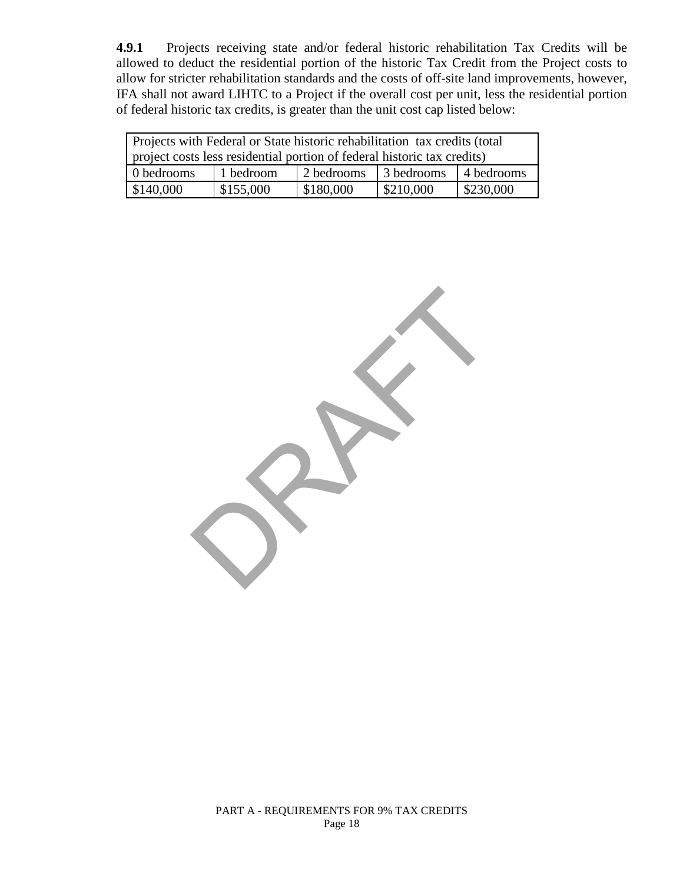**4.9.1** Projects receiving state and/or federal historic rehabilitation Tax Credits will be allowed to deduct the residential portion of the historic Tax Credit from the Project costs to allow for stricter rehabilitation standards and the costs of off-site land improvements, however, IFA shall not award LIHTC to a Project if the overall cost per unit, less the residential portion of federal historic tax credits, is greater than the unit cost cap listed below:

| Projects with Federal or State historic rehabilitation tax credits (total |  |  |  |  |  |
|---------------------------------------------------------------------------|--|--|--|--|--|
| project costs less residential portion of federal historic tax credits)   |  |  |  |  |  |
| 3 bedrooms<br>0 bedrooms<br>2 bedrooms<br>1 bedroom<br>4 bedrooms         |  |  |  |  |  |
| \$180,000<br>\$210,000<br>\$155,000<br>\$230,000<br>\$140,000             |  |  |  |  |  |

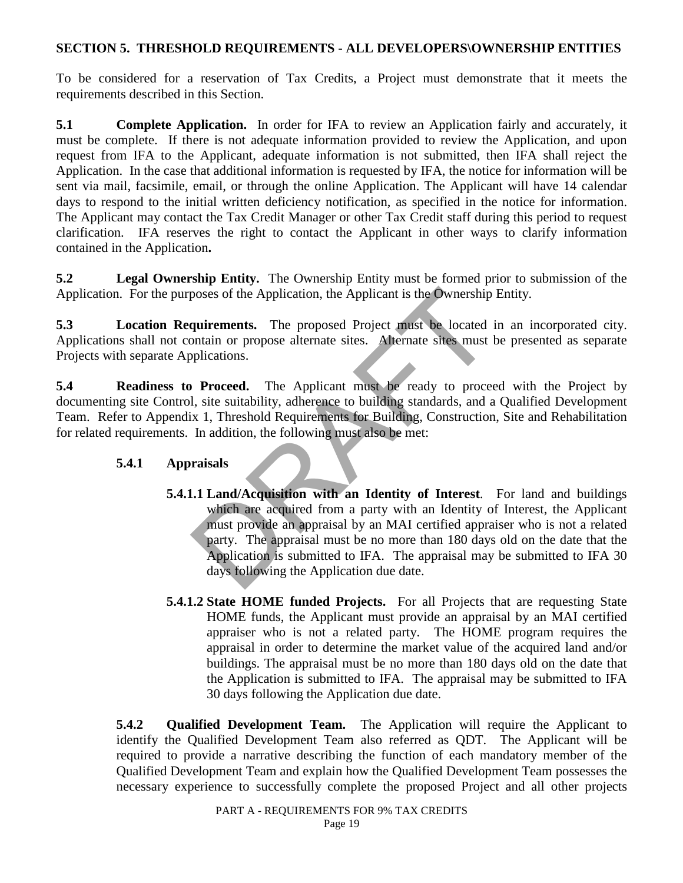### **SECTION 5. THRESHOLD REQUIREMENTS - ALL DEVELOPERS\OWNERSHIP ENTITIES**

To be considered for a reservation of Tax Credits, a Project must demonstrate that it meets the requirements described in this Section.

**5.1 Complete Application.** In order for IFA to review an Application fairly and accurately, it must be complete. If there is not adequate information provided to review the Application, and upon request from IFA to the Applicant, adequate information is not submitted, then IFA shall reject the Application. In the case that additional information is requested by IFA, the notice for information will be sent via mail, facsimile, email, or through the online Application. The Applicant will have 14 calendar days to respond to the initial written deficiency notification, as specified in the notice for information. The Applicant may contact the Tax Credit Manager or other Tax Credit staff during this period to request clarification. IFA reserves the right to contact the Applicant in other ways to clarify information contained in the Application**.**

**5.2 Legal Ownership Entity.** The Ownership Entity must be formed prior to submission of the Application. For the purposes of the Application, the Applicant is the Ownership Entity.

**5.3 Location Requirements.** The proposed Project must be located in an incorporated city. Applications shall not contain or propose alternate sites. Alternate sites must be presented as separate Projects with separate Applications.

**5.4 Readiness to Proceed.** The Applicant must be ready to proceed with the Project by documenting site Control, site suitability, adherence to building standards, and a Qualified Development Team. Refer to Appendix 1, Threshold Requirements for Building, Construction, Site and Rehabilitation for related requirements. In addition, the following must also be met:

# **5.4.1 Appraisals**

- provided a approximation and Markov and Supplication and Supplication and Supplications.<br>
Dependence of Project must be located ontain or propose alternate sites. Alternate sites must<br>
plications.<br>
Dependence to building s **5.4.1.1 Land/Acquisition with an Identity of Interest**. For land and buildings which are acquired from a party with an Identity of Interest, the Applicant must provide an appraisal by an MAI certified appraiser who is not a related party. The appraisal must be no more than 180 days old on the date that the Application is submitted to IFA. The appraisal may be submitted to IFA 30 days following the Application due date.
- **5.4.1.2 State HOME funded Projects.** For all Projects that are requesting State HOME funds, the Applicant must provide an appraisal by an MAI certified appraiser who is not a related party. The HOME program requires the appraisal in order to determine the market value of the acquired land and/or buildings. The appraisal must be no more than 180 days old on the date that the Application is submitted to IFA. The appraisal may be submitted to IFA 30 days following the Application due date.

 **5.4.2 Qualified Development Team.** The Application will require the Applicant to identify the Qualified Development Team also referred as QDT. The Applicant will be required to provide a narrative describing the function of each mandatory member of the Qualified Development Team and explain how the Qualified Development Team possesses the necessary experience to successfully complete the proposed Project and all other projects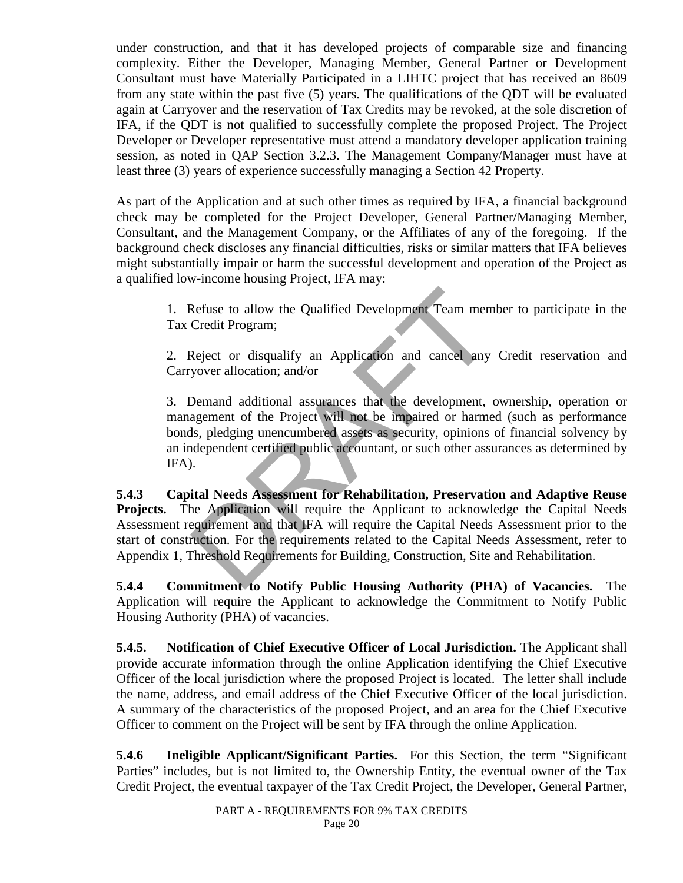under construction, and that it has developed projects of comparable size and financing complexity. Either the Developer, Managing Member, General Partner or Development Consultant must have Materially Participated in a LIHTC project that has received an 8609 from any state within the past five (5) years. The qualifications of the QDT will be evaluated again at Carryover and the reservation of Tax Credits may be revoked, at the sole discretion of IFA, if the QDT is not qualified to successfully complete the proposed Project. The Project Developer or Developer representative must attend a mandatory developer application training session, as noted in QAP Section 3.2.3. The Management Company/Manager must have at least three (3) years of experience successfully managing a Section 42 Property.

As part of the Application and at such other times as required by IFA, a financial background check may be completed for the Project Developer, General Partner/Managing Member, Consultant, and the Management Company, or the Affiliates of any of the foregoing. If the background check discloses any financial difficulties, risks or similar matters that IFA believes might substantially impair or harm the successful development and operation of the Project as a qualified low-income housing Project, IFA may:

1. Refuse to allow the Qualified Development Team member to participate in the Tax Credit Program;

2. Reject or disqualify an Application and cancel any Credit reservation and Carryover allocation; and/or

3. Demand additional assurances that the development, ownership, operation or management of the Project will not be impaired or harmed (such as performance bonds, pledging unencumbered assets as security, opinions of financial solvency by an independent certified public accountant, or such other assurances as determined by IFA).

Refuse to allow the Qualified Development Team mem<br>Credit Program;<br>Reject or disqualify an Application and cancel any<br>yover allocation; and/or<br>Demand additional assurances that the development,<br>agement of the Project will  **5.4.3 Capital Needs Assessment for Rehabilitation, Preservation and Adaptive Reuse**  Projects. The Application will require the Applicant to acknowledge the Capital Needs Assessment requirement and that IFA will require the Capital Needs Assessment prior to the start of construction. For the requirements related to the Capital Needs Assessment, refer to Appendix 1, Threshold Requirements for Building, Construction, Site and Rehabilitation.

**5.4.4 Commitment to Notify Public Housing Authority (PHA) of Vacancies.** The Application will require the Applicant to acknowledge the Commitment to Notify Public Housing Authority (PHA) of vacancies.

**5.4.5. Notification of Chief Executive Officer of Local Jurisdiction.** The Applicant shall provide accurate information through the online Application identifying the Chief Executive Officer of the local jurisdiction where the proposed Project is located. The letter shall include the name, address, and email address of the Chief Executive Officer of the local jurisdiction. A summary of the characteristics of the proposed Project, and an area for the Chief Executive Officer to comment on the Project will be sent by IFA through the online Application.

 **5.4.6 Ineligible Applicant/Significant Parties.** For this Section, the term "Significant Parties" includes, but is not limited to, the Ownership Entity, the eventual owner of the Tax Credit Project, the eventual taxpayer of the Tax Credit Project, the Developer, General Partner,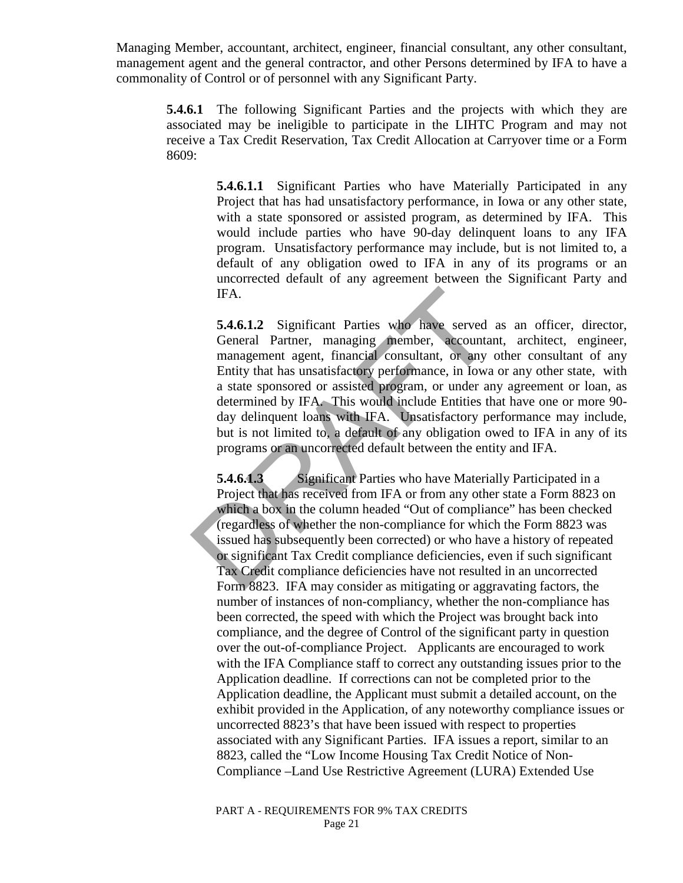Managing Member, accountant, architect, engineer, financial consultant, any other consultant, management agent and the general contractor, and other Persons determined by IFA to have a commonality of Control or of personnel with any Significant Party.

 **5.4.6.1** The following Significant Parties and the projects with which they are associated may be ineligible to participate in the LIHTC Program and may not receive a Tax Credit Reservation, Tax Credit Allocation at Carryover time or a Form 8609:

> **5.4.6.1.1** Significant Parties who have Materially Participated in any Project that has had unsatisfactory performance, in Iowa or any other state, with a state sponsored or assisted program, as determined by IFA. This would include parties who have 90-day delinquent loans to any IFA program. Unsatisfactory performance may include, but is not limited to, a default of any obligation owed to IFA in any of its programs or an uncorrected default of any agreement between the Significant Party and IFA.

IFA.<br>
5.4.6.1.2 Significant Parties who have served<br>
General Partner, managing member, accounta<br>
management agent, financial consultant, or any<br>
Entity that has unsatisfactory performance, in Iowa<br>
a state sponsored or ass **5.4.6.1.2** Significant Parties who have served as an officer, director, General Partner, managing member, accountant, architect, engineer, management agent, financial consultant, or any other consultant of any Entity that has unsatisfactory performance, in Iowa or any other state, with a state sponsored or assisted program, or under any agreement or loan, as determined by IFA. This would include Entities that have one or more 90 day delinquent loans with IFA. Unsatisfactory performance may include, but is not limited to, a default of any obligation owed to IFA in any of its programs or an uncorrected default between the entity and IFA.

**5.4.6.1.3** Significant Parties who have Materially Participated in a Project that has received from IFA or from any other state a Form 8823 on which a box in the column headed "Out of compliance" has been checked (regardless of whether the non-compliance for which the Form 8823 was issued has subsequently been corrected) or who have a history of repeated or significant Tax Credit compliance deficiencies, even if such significant Tax Credit compliance deficiencies have not resulted in an uncorrected Form 8823. IFA may consider as mitigating or aggravating factors, the number of instances of non-compliancy, whether the non-compliance has been corrected, the speed with which the Project was brought back into compliance, and the degree of Control of the significant party in question over the out-of-compliance Project. Applicants are encouraged to work with the IFA Compliance staff to correct any outstanding issues prior to the Application deadline. If corrections can not be completed prior to the Application deadline, the Applicant must submit a detailed account, on the exhibit provided in the Application, of any noteworthy compliance issues or uncorrected 8823's that have been issued with respect to properties associated with any Significant Parties. IFA issues a report, similar to an 8823, called the "Low Income Housing Tax Credit Notice of Non-Compliance –Land Use Restrictive Agreement (LURA) Extended Use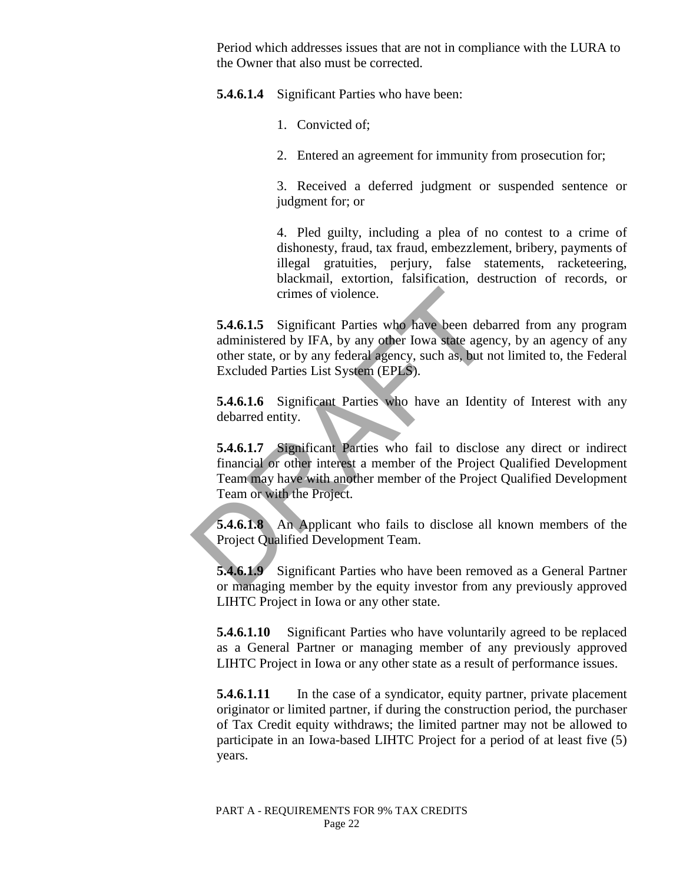Period which addresses issues that are not in compliance with the LURA to the Owner that also must be corrected.

**5.4.6.1.4** Significant Parties who have been:

- 1. Convicted of;
- 2. Entered an agreement for immunity from prosecution for;

3. Received a deferred judgment or suspended sentence or judgment for; or

4. Pled guilty, including a plea of no contest to a crime of dishonesty, fraud, tax fraud, embezzlement, bribery, payments of illegal gratuities, perjury, false statements, racketeering, blackmail, extortion, falsification, destruction of records, or crimes of violence.

 **5.4.6.1.5** Significant Parties who have been debarred from any program administered by IFA, by any other Iowa state agency, by an agency of any other state, or by any federal agency, such as, but not limited to, the Federal Excluded Parties List System (EPLS).

 **5.4.6.1.6** Significant Parties who have an Identity of Interest with any debarred entity.

crimes of violence.<br>
5.4.6.1.5 Significant Parties who have been debated administered by IFA, by any other Iowa state agen<br>
other state, or by any federal agency, such as, but n<br>
Excluded Parties List System (EPLS).<br>
5.4.6 **5.4.6.1.7** Significant Parties who fail to disclose any direct or indirect financial or other interest a member of the Project Qualified Development Team may have with another member of the Project Qualified Development Team or with the Project.

 **5.4.6.1.8** An Applicant who fails to disclose all known members of the Project Qualified Development Team.

 **5.4.6.1.9** Significant Parties who have been removed as a General Partner or managing member by the equity investor from any previously approved LIHTC Project in Iowa or any other state.

 **5.4.6.1.10** Significant Parties who have voluntarily agreed to be replaced as a General Partner or managing member of any previously approved LIHTC Project in Iowa or any other state as a result of performance issues.

**5.4.6.1.11** In the case of a syndicator, equity partner, private placement originator or limited partner, if during the construction period, the purchaser of Tax Credit equity withdraws; the limited partner may not be allowed to participate in an Iowa-based LIHTC Project for a period of at least five (5) years.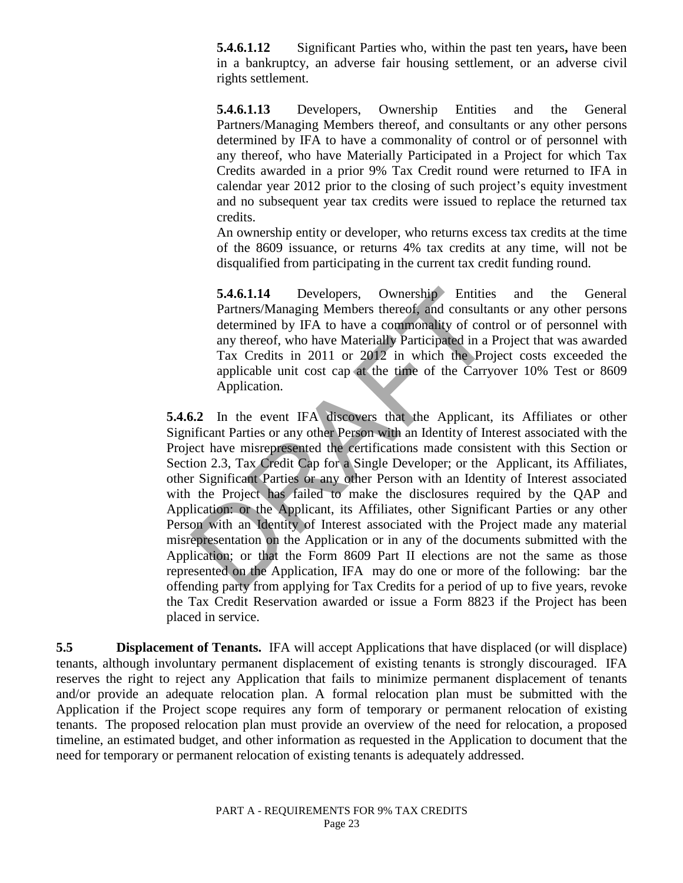**5.4.6.1.12** Significant Parties who, within the past ten years**,** have been in a bankruptcy, an adverse fair housing settlement, or an adverse civil rights settlement.

**5.4.6.1.13** Developers, Ownership Entities and the General Partners/Managing Members thereof, and consultants or any other persons determined by IFA to have a commonality of control or of personnel with any thereof, who have Materially Participated in a Project for which Tax Credits awarded in a prior 9% Tax Credit round were returned to IFA in calendar year 2012 prior to the closing of such project's equity investment and no subsequent year tax credits were issued to replace the returned tax credits.

An ownership entity or developer, who returns excess tax credits at the time of the 8609 issuance, or returns 4% tax credits at any time, will not be disqualified from participating in the current tax credit funding round.

**5.4.6.1.14** Developers, Ownership Entities and the General Partners/Managing Members thereof, and consultants or any other persons determined by IFA to have a commonality of control or of personnel with any thereof, who have Materially Participated in a Project that was awarded Tax Credits in 2011 or 2012 in which the Project costs exceeded the applicable unit cost cap at the time of the Carryover 10% Test or 8609 Application.

**5.4.6.1.14** Developers, Ownership Entities<br>
Partners/Managing Members thereof, and consulta<br>
determined by IFA to have a commonality of cont<br>
any thereof, who have Materially Participated in a l<br>
Tax Credits in 2011 or 2 **5.4.6.2** In the event IFA discovers that the Applicant, its Affiliates or other Significant Parties or any other Person with an Identity of Interest associated with the Project have misrepresented the certifications made consistent with this Section or Section 2.3, Tax Credit Cap for a Single Developer; or the Applicant, its Affiliates, other Significant Parties or any other Person with an Identity of Interest associated with the Project has failed to make the disclosures required by the QAP and Application: or the Applicant, its Affiliates, other Significant Parties or any other Person with an Identity of Interest associated with the Project made any material misrepresentation on the Application or in any of the documents submitted with the Application; or that the Form 8609 Part II elections are not the same as those represented on the Application, IFA may do one or more of the following: bar the offending party from applying for Tax Credits for a period of up to five years, revoke the Tax Credit Reservation awarded or issue a Form 8823 if the Project has been placed in service.

**5.5 Displacement of Tenants.** IFA will accept Applications that have displaced (or will displace) tenants, although involuntary permanent displacement of existing tenants is strongly discouraged. IFA reserves the right to reject any Application that fails to minimize permanent displacement of tenants and/or provide an adequate relocation plan. A formal relocation plan must be submitted with the Application if the Project scope requires any form of temporary or permanent relocation of existing tenants. The proposed relocation plan must provide an overview of the need for relocation, a proposed timeline, an estimated budget, and other information as requested in the Application to document that the need for temporary or permanent relocation of existing tenants is adequately addressed.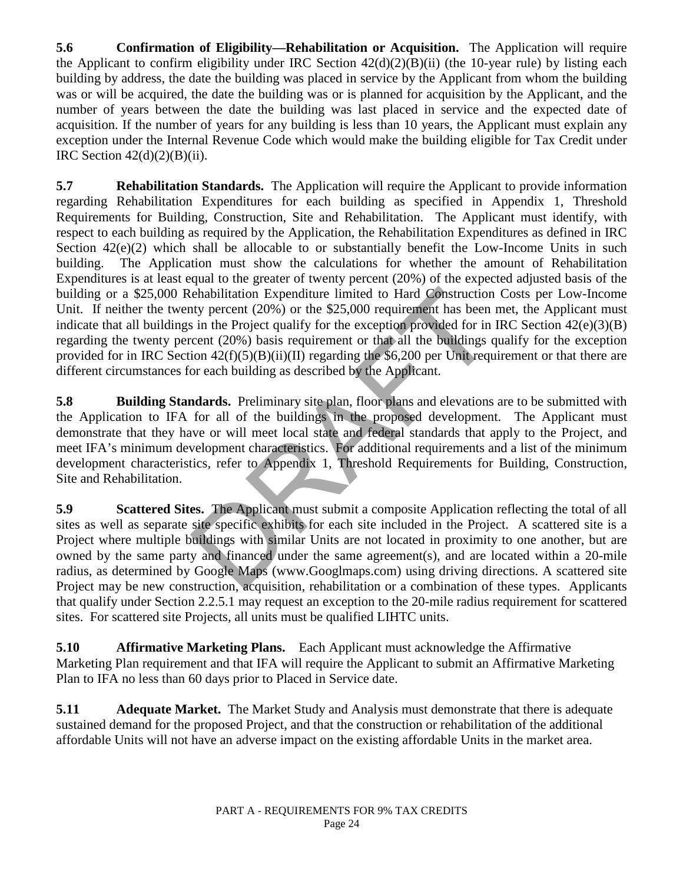**5.6 Confirmation of Eligibility—Rehabilitation or Acquisition.** The Application will require the Applicant to confirm eligibility under IRC Section  $42(d)(2)(B)(ii)$  (the 10-year rule) by listing each building by address, the date the building was placed in service by the Applicant from whom the building was or will be acquired, the date the building was or is planned for acquisition by the Applicant, and the number of years between the date the building was last placed in service and the expected date of acquisition. If the number of years for any building is less than 10 years, the Applicant must explain any exception under the Internal Revenue Code which would make the building eligible for Tax Credit under IRC Section  $42(d)(2)(B)(ii)$ .

ehabilitation Expenditure limited to Hard Construction<br>ty percent (20%) or the \$25,000 requirement has been<br>s in the Project qualify for the exception provided for in<br>cent (20%) basis requirement or that all the buildings **5.7 Rehabilitation Standards.** The Application will require the Applicant to provide information regarding Rehabilitation Expenditures for each building as specified in Appendix 1, Threshold Requirements for Building, Construction, Site and Rehabilitation. The Applicant must identify, with respect to each building as required by the Application, the Rehabilitation Expenditures as defined in IRC Section  $42(e)(2)$  which shall be allocable to or substantially benefit the Low-Income Units in such building. The Application must show the calculations for whether the amount of Rehabilitation Expenditures is at least equal to the greater of twenty percent (20%) of the expected adjusted basis of the building or a \$25,000 Rehabilitation Expenditure limited to Hard Construction Costs per Low-Income Unit. If neither the twenty percent (20%) or the \$25,000 requirement has been met, the Applicant must indicate that all buildings in the Project qualify for the exception provided for in IRC Section 42(e)(3)(B) regarding the twenty percent (20%) basis requirement or that all the buildings qualify for the exception provided for in IRC Section  $42(f)(5)(B)(ii)(II)$  regarding the \$6,200 per Unit requirement or that there are different circumstances for each building as described by the Applicant.

**5.8 Building Standards.** Preliminary site plan, floor plans and elevations are to be submitted with the Application to IFA for all of the buildings in the proposed development. The Applicant must demonstrate that they have or will meet local state and federal standards that apply to the Project, and meet IFA's minimum development characteristics. For additional requirements and a list of the minimum development characteristics, refer to Appendix 1, Threshold Requirements for Building, Construction, Site and Rehabilitation.

**5.9 Scattered Sites.** The Applicant must submit a composite Application reflecting the total of all sites as well as separate site specific exhibits for each site included in the Project. A scattered site is a Project where multiple buildings with similar Units are not located in proximity to one another, but are owned by the same party and financed under the same agreement(s), and are located within a 20-mile radius, as determined by Google Maps (www.Googlmaps.com) using driving directions. A scattered site Project may be new construction, acquisition, rehabilitation or a combination of these types. Applicants that qualify under Section 2.2.5.1 may request an exception to the 20-mile radius requirement for scattered sites. For scattered site Projects, all units must be qualified LIHTC units.

**5.10 Affirmative Marketing Plans.** Each Applicant must acknowledge the Affirmative Marketing Plan requirement and that IFA will require the Applicant to submit an Affirmative Marketing Plan to IFA no less than 60 days prior to Placed in Service date.

**5.11** Adequate Market. The Market Study and Analysis must demonstrate that there is adequate sustained demand for the proposed Project, and that the construction or rehabilitation of the additional affordable Units will not have an adverse impact on the existing affordable Units in the market area.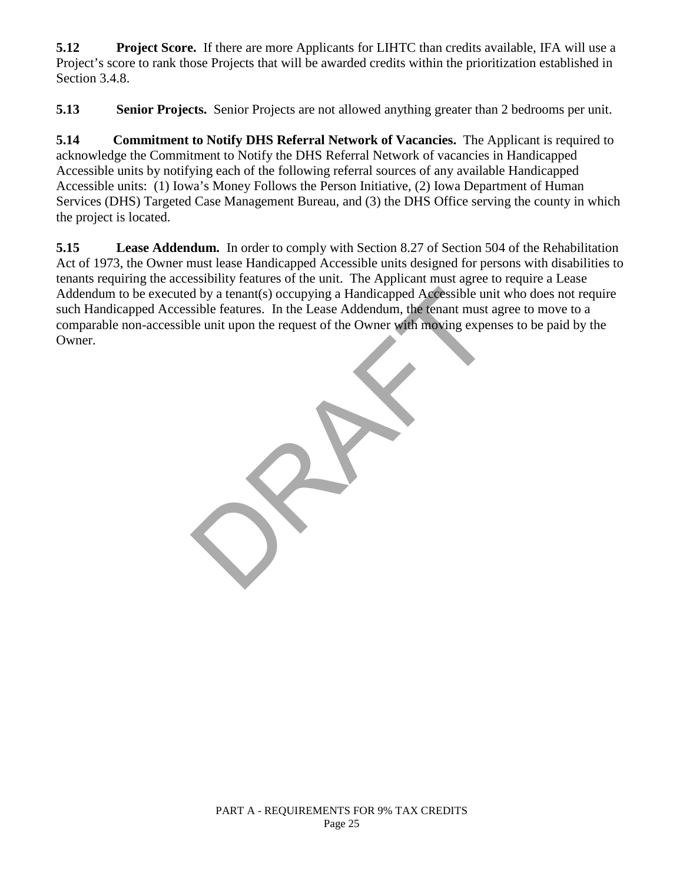**5.12** Project Score. If there are more Applicants for LIHTC than credits available, IFA will use a Project's score to rank those Projects that will be awarded credits within the prioritization established in Section 3.4.8.

**5.13** Senior Projects. Senior Projects are not allowed anything greater than 2 bedrooms per unit.

**5.14 Commitment to Notify DHS Referral Network of Vacancies.** The Applicant is required to acknowledge the Commitment to Notify the DHS Referral Network of vacancies in Handicapped Accessible units by notifying each of the following referral sources of any available Handicapped Accessible units: (1) Iowa's Money Follows the Person Initiative, (2) Iowa Department of Human Services (DHS) Targeted Case Management Bureau, and (3) the DHS Office serving the county in which the project is located.

**5.15 Lease Addendum.** In order to comply with Section 8.27 of Section 504 of the Rehabilitation Act of 1973, the Owner must lease Handicapped Accessible units designed for persons with disabilities to tenants requiring the accessibility features of the unit. The Applicant must agree to require a Lease Addendum to be executed by a tenant(s) occupying a Handicapped Accessible unit who does not require such Handicapped Accessible features. In the Lease Addendum, the tenant must agree to move to a comparable non-accessible unit upon the request of the Owner with moving expenses to be paid by the Owner.

d by a tenant(s) occupying a Handicapped Accessible unisble features. In the Lease Addendum, the tenant must all unit upon the request of the Owner with moving experience with  $\frac{1}{2}$  and  $\frac{1}{2}$  and  $\frac{1}{2}$  and  $\frac{$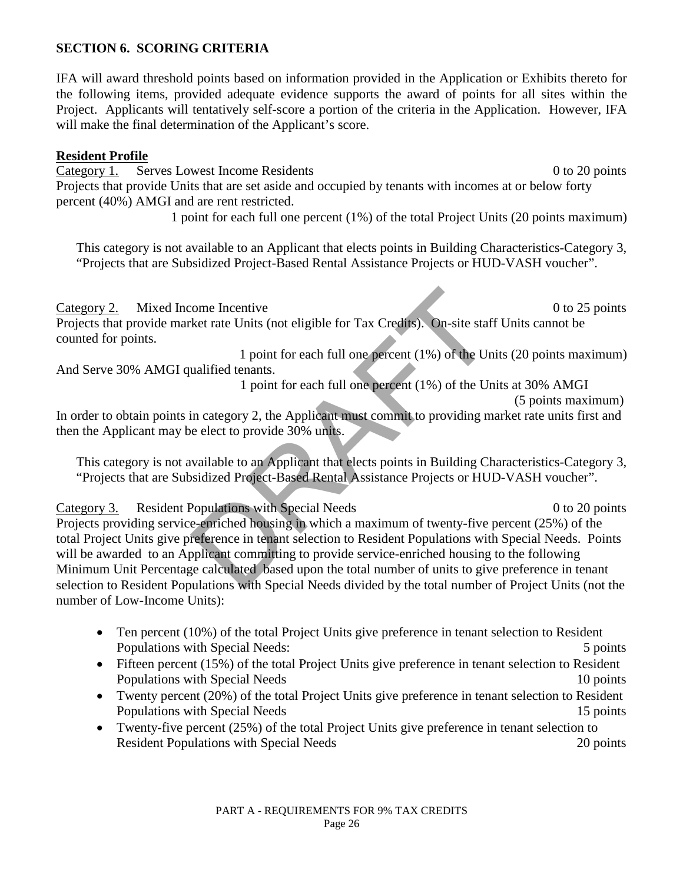## **SECTION 6. SCORING CRITERIA**

IFA will award threshold points based on information provided in the Application or Exhibits thereto for the following items, provided adequate evidence supports the award of points for all sites within the Project. Applicants will tentatively self-score a portion of the criteria in the Application. However, IFA will make the final determination of the Applicant's score.

#### **Resident Profile**

Category 1. Serves Lowest Income Residents 0 to 20 points 0 to 20 points Projects that provide Units that are set aside and occupied by tenants with incomes at or below forty percent (40%) AMGI and are rent restricted.

1 point for each full one percent (1%) of the total Project Units (20 points maximum)

This category is not available to an Applicant that elects points in Building Characteristics-Category 3, "Projects that are Subsidized Project-Based Rental Assistance Projects or HUD-VASH voucher".

Category 2. Mixed Income Incentive 0 to 25 points 0 to 25 points

Projects that provide market rate Units (not eligible for Tax Credits). On-site staff Units cannot be counted for points.

1 point for each full one percent (1%) of the Units (20 points maximum) And Serve 30% AMGI qualified tenants.

 1 point for each full one percent (1%) of the Units at 30% AMGI (5 points maximum) In order to obtain points in category 2, the Applicant must commit to providing market rate units first and then the Applicant may be elect to provide 30% units.

This category is not available to an Applicant that elects points in Building Characteristics-Category 3, "Projects that are Subsidized Project-Based Rental Assistance Projects or HUD-VASH voucher".

### Category 3. Resident Populations with Special Needs 0 to 20 points 0 to 20 points

Fraction Come Incentive<br>
1 point for each full one percent (1%) of the Un<br>
1 point for each full one percent (1%) of the Un<br>
1 point for each full one percent (1%) of the Un<br>
in category 2, the Applicant must commit to pro Projects providing service-enriched housing in which a maximum of twenty-five percent (25%) of the total Project Units give preference in tenant selection to Resident Populations with Special Needs. Points will be awarded to an Applicant committing to provide service-enriched housing to the following Minimum Unit Percentage calculated based upon the total number of units to give preference in tenant selection to Resident Populations with Special Needs divided by the total number of Project Units (not the number of Low-Income Units):

- Ten percent (10%) of the total Project Units give preference in tenant selection to Resident Populations with Special Needs: 5 points 5 points 5 points 5 points 6 and 7 and 7 and 7 and 7 and 7 and 7 and 7 and 7 and 7 and 7 and 7 and 7 and 7 and 7 and 7 and 7 and 7 and 7 and 7 and 7 and 7 and 7 and 7 and 7 and 7 an
- Fifteen percent (15%) of the total Project Units give preference in tenant selection to Resident Populations with Special Needs 10 points
- Twenty percent (20%) of the total Project Units give preference in tenant selection to Resident Populations with Special Needs 15 points 15 points
- Twenty-five percent (25%) of the total Project Units give preference in tenant selection to Resident Populations with Special Needs 20 points 20 points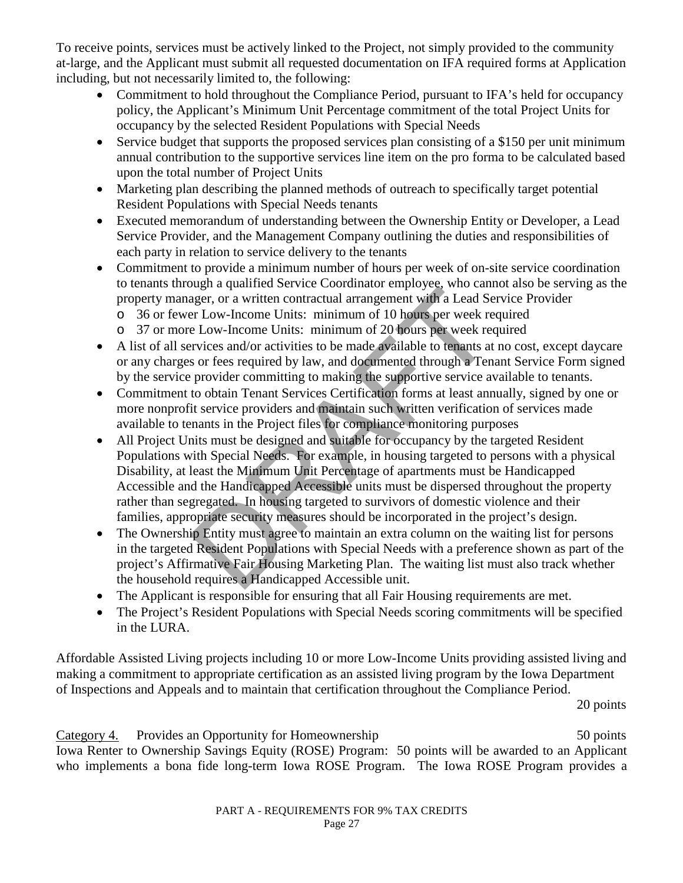To receive points, services must be actively linked to the Project, not simply provided to the community at-large, and the Applicant must submit all requested documentation on IFA required forms at Application including, but not necessarily limited to, the following:

- Commitment to hold throughout the Compliance Period, pursuant to IFA's held for occupancy policy, the Applicant's Minimum Unit Percentage commitment of the total Project Units for occupancy by the selected Resident Populations with Special Needs
- Service budget that supports the proposed services plan consisting of a \$150 per unit minimum annual contribution to the supportive services line item on the pro forma to be calculated based upon the total number of Project Units
- Marketing plan describing the planned methods of outreach to specifically target potential Resident Populations with Special Needs tenants
- Executed memorandum of understanding between the Ownership Entity or Developer, a Lead Service Provider, and the Management Company outlining the duties and responsibilities of each party in relation to service delivery to the tenants
- Commitment to provide a minimum number of hours per week of on-site service coordination to tenants through a qualified Service Coordinator employee, who cannot also be serving as the property manager, or a written contractual arrangement with a Lead Service Provider
	- o 36 or fewer Low-Income Units: minimum of 10 hours per week required
	- o 37 or more Low-Income Units: minimum of 20 hours per week required
- A list of all services and/or activities to be made available to tenants at no cost, except daycare or any charges or fees required by law, and documented through a Tenant Service Form signed by the service provider committing to making the supportive service available to tenants.
- Commitment to obtain Tenant Services Certification forms at least annually, signed by one or more nonprofit service providers and maintain such written verification of services made available to tenants in the Project files for compliance monitoring purposes
- way and a contractual arrangement with a Lead Search and the proposition of the Fig. or a written contractual arrangement with a Lead Search Devision and the Presenctive Consumer Low-Income Units: minimum of 10 hours per w • All Project Units must be designed and suitable for occupancy by the targeted Resident Populations with Special Needs. For example, in housing targeted to persons with a physical Disability, at least the Minimum Unit Percentage of apartments must be Handicapped Accessible and the Handicapped Accessible units must be dispersed throughout the property rather than segregated. In housing targeted to survivors of domestic violence and their families, appropriate security measures should be incorporated in the project's design.
- The Ownership Entity must agree to maintain an extra column on the waiting list for persons in the targeted Resident Populations with Special Needs with a preference shown as part of the project's Affirmative Fair Housing Marketing Plan. The waiting list must also track whether the household requires a Handicapped Accessible unit.
- The Applicant is responsible for ensuring that all Fair Housing requirements are met.
- The Project's Resident Populations with Special Needs scoring commitments will be specified in the LURA.

Affordable Assisted Living projects including 10 or more Low-Income Units providing assisted living and making a commitment to appropriate certification as an assisted living program by the Iowa Department of Inspections and Appeals and to maintain that certification throughout the Compliance Period.

20 points

Category 4. Provides an Opportunity for Homeownership 50 points 50 points Iowa Renter to Ownership Savings Equity (ROSE) Program: 50 points will be awarded to an Applicant who implements a bona fide long-term Iowa ROSE Program. The Iowa ROSE Program provides a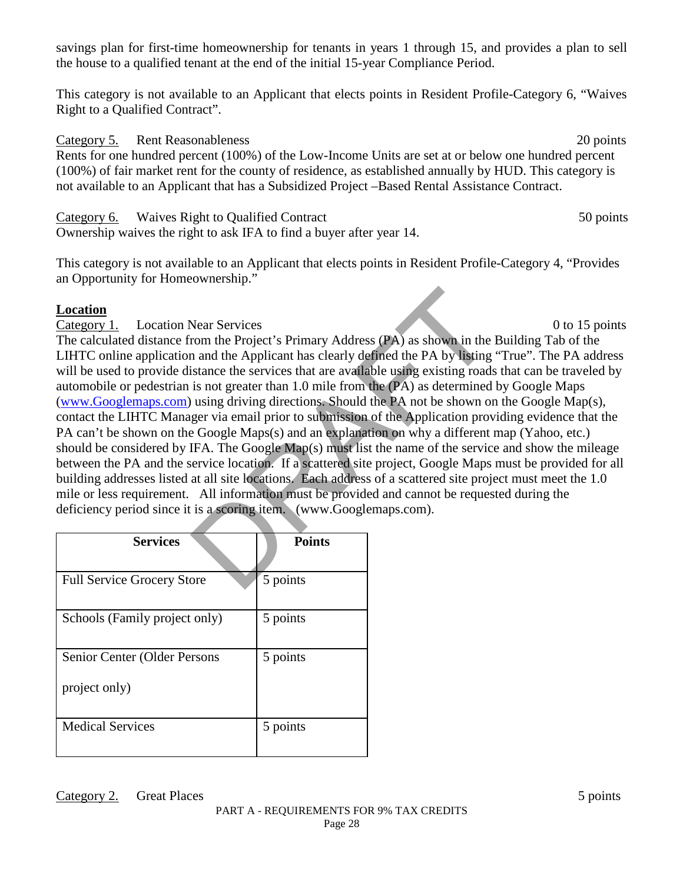savings plan for first-time homeownership for tenants in years 1 through 15, and provides a plan to sell the house to a qualified tenant at the end of the initial 15-year Compliance Period.

This category is not available to an Applicant that elects points in Resident Profile-Category 6, "Waives Right to a Qualified Contract".

Category 5. Rent Reasonableness 20 points 20 points Rents for one hundred percent (100%) of the Low-Income Units are set at or below one hundred percent (100%) of fair market rent for the county of residence, as established annually by HUD. This category is not available to an Applicant that has a Subsidized Project –Based Rental Assistance Contract.

Category 6. Waives Right to Qualified Contract 50 points 50 points Ownership waives the right to ask IFA to find a buyer after year 14.

This category is not available to an Applicant that elects points in Resident Profile-Category 4, "Provides an Opportunity for Homeownership."

## **Location**

Category 1. Location Near Services 0 to 15 points The calculated distance from the Project's Primary Address (PA) as shown in the Building Tab of the

Near Services<br>
The Project's Primary Address (PA) as shown in the<br>
n and the Applicant has clearly defined the PA by listing<br>
is not greater than 1.0 mile from the (PA) as determined<br>
using driving directions. Should the P LIHTC online application and the Applicant has clearly defined the PA by listing "True". The PA address will be used to provide distance the services that are available using existing roads that can be traveled by automobile or pedestrian is not greater than 1.0 mile from the (PA) as determined by Google Maps [\(www.Googlemaps.com\)](http://www.googlemaps.com/) using driving directions. Should the PA not be shown on the Google Map(s), contact the LIHTC Manager via email prior to submission of the Application providing evidence that the PA can't be shown on the Google Maps(s) and an explanation on why a different map (Yahoo, etc.) should be considered by IFA. The Google Map(s) must list the name of the service and show the mileage between the PA and the service location. If a scattered site project, Google Maps must be provided for all building addresses listed at all site locations. Each address of a scattered site project must meet the 1.0 mile or less requirement. All information must be provided and cannot be requested during the deficiency period since it is a scoring item. (www.Googlemaps.com).

| <b>Services</b>                   | <b>Points</b> |
|-----------------------------------|---------------|
| <b>Full Service Grocery Store</b> | 5 points      |
| Schools (Family project only)     | 5 points      |
| Senior Center (Older Persons      | 5 points      |
| project only)                     |               |
| <b>Medical Services</b>           | 5 points      |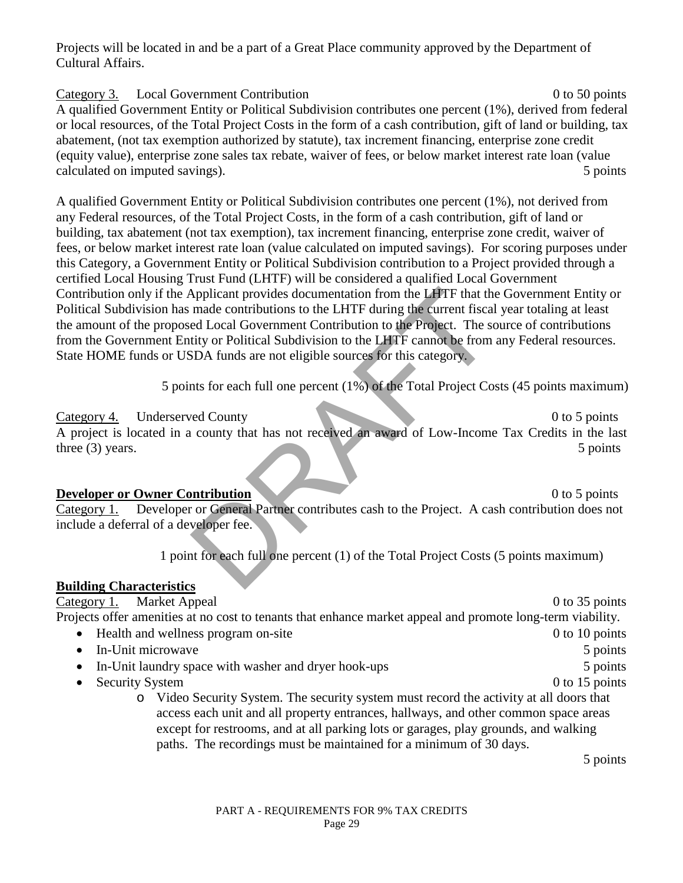Projects will be located in and be a part of a Great Place community approved by the Department of Cultural Affairs.

Category 3. Local Government Contribution 0 to 50 points A qualified Government Entity or Political Subdivision contributes one percent (1%), derived from federal or local resources, of the Total Project Costs in the form of a cash contribution, gift of land or building, tax abatement, (not tax exemption authorized by statute), tax increment financing, enterprise zone credit (equity value), enterprise zone sales tax rebate, waiver of fees, or below market interest rate loan (value calculated on imputed savings). 5 points that the same state of the same state of the same state of the same state of the same state of the same state of the same state of the same state of the same state of the same state

Applicant provides documentation from the LHTF that th<br>made contributions to the LHTF during the current fisca<br>ed Local Government Contribution to the Project. The setty or Political Subdivision to the LHTF cannot be from<br> A qualified Government Entity or Political Subdivision contributes one percent (1%), not derived from any Federal resources, of the Total Project Costs, in the form of a cash contribution, gift of land or building, tax abatement (not tax exemption), tax increment financing, enterprise zone credit, waiver of fees, or below market interest rate loan (value calculated on imputed savings). For scoring purposes under this Category, a Government Entity or Political Subdivision contribution to a Project provided through a certified Local Housing Trust Fund (LHTF) will be considered a qualified Local Government Contribution only if the Applicant provides documentation from the LHTF that the Government Entity or Political Subdivision has made contributions to the LHTF during the current fiscal year totaling at least the amount of the proposed Local Government Contribution to the Project. The source of contributions from the Government Entity or Political Subdivision to the LHTF cannot be from any Federal resources. State HOME funds or USDA funds are not eligible sources for this category.

5 points for each full one percent (1%) of the Total Project Costs (45 points maximum)

Category 4. Underserved County 0 to 5 points 0 to 5 points A project is located in a county that has not received an award of Low-Income Tax Credits in the last three (3) years. 5 points three (3) years. 5 points

**Developer or Owner Contribution** 0 to 5 points 0 to 5 points Category 1. Developer or General Partner contributes cash to the Project. A cash contribution does not include a deferral of a developer fee.

1 point for each full one percent (1) of the Total Project Costs (5 points maximum)

### **Building Characteristics**

Category 1. Market Appeal 0 to 35 points Projects offer amenities at no cost to tenants that enhance market appeal and promote long-term viability. • Health and wellness program on-site 0 to 10 points • In-Unit microwave 5 points • In-Unit laundry space with washer and dryer hook-ups 5 points 5 points • Security System 0 to 15 points o Video Security System. The security system must record the activity at all doors that access each unit and all property entrances, hallways, and other common space areas except for restrooms, and at all parking lots or garages, play grounds, and walking paths. The recordings must be maintained for a minimum of 30 days.

5 points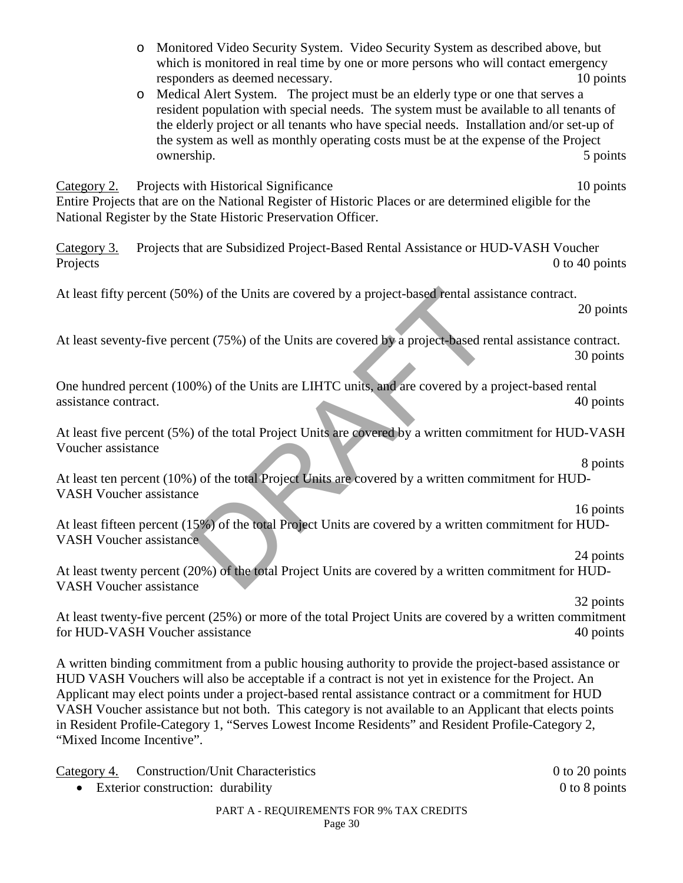- o Monitored Video Security System. Video Security System as described above, but which is monitored in real time by one or more persons who will contact emergency responders as deemed necessary. 10 points
- o Medical Alert System. The project must be an elderly type or one that serves a resident population with special needs. The system must be available to all tenants of the elderly project or all tenants who have special needs. Installation and/or set-up of the system as well as monthly operating costs must be at the expense of the Project ownership. 5 points to the set of the set of the set of the set of the set of the set of the set of the set of the set of the set of the set of the set of the set of the set of the set of the set of the set of the set of t

Category 2. Projects with Historical Significance 10 points 10 points Entire Projects that are on the National Register of Historic Places or are determined eligible for the National Register by the State Historic Preservation Officer.

Category 3. Projects that are Subsidized Project-Based Rental Assistance or HUD-VASH Voucher Projects 0 to 40 points

At least fifty percent (50%) of the Units are covered by a project-based rental assistance contract.

20 points

At least seventy-five percent (75%) of the Units are covered by a project-based rental assistance contract. 30 points

One hundred percent (100%) of the Units are LIHTC units, and are covered by a project-based rental assistance contract. 40 points assistance contract. 40 points

At least five percent (5%) of the total Project Units are covered by a written commitment for HUD-VASH Voucher assistance

%) of the Units are covered by a project-based rental assi<br>
cent (75%) of the Units are covered by a project-based re<br>
0%) of the Units are LIHTC units, and are covered by a p<br>
1) of the total Project Units are covered by 8 points 8 points At least ten percent (10%) of the total Project Units are covered by a written commitment for HUD-VASH Voucher assistance

16 points

At least fifteen percent (15%) of the total Project Units are covered by a written commitment for HUD-VASH Voucher assistance

24 points At least twenty percent (20%) of the total Project Units are covered by a written commitment for HUD-VASH Voucher assistance

 32 points At least twenty-five percent (25%) or more of the total Project Units are covered by a written commitment for HUD-VASH Voucher assistance 40 points

A written binding commitment from a public housing authority to provide the project-based assistance or HUD VASH Vouchers will also be acceptable if a contract is not yet in existence for the Project. An Applicant may elect points under a project-based rental assistance contract or a commitment for HUD VASH Voucher assistance but not both. This category is not available to an Applicant that elects points in Resident Profile-Category 1, "Serves Lowest Income Residents" and Resident Profile-Category 2, "Mixed Income Incentive".

| Category 4. Construction/Unit Characteristics | 0 to 20 points |
|-----------------------------------------------|----------------|
| • Exterior construction: durability           | 0 to 8 points  |
| PART A - REQUIREMENTS FOR 9% TAX CREDITS      |                |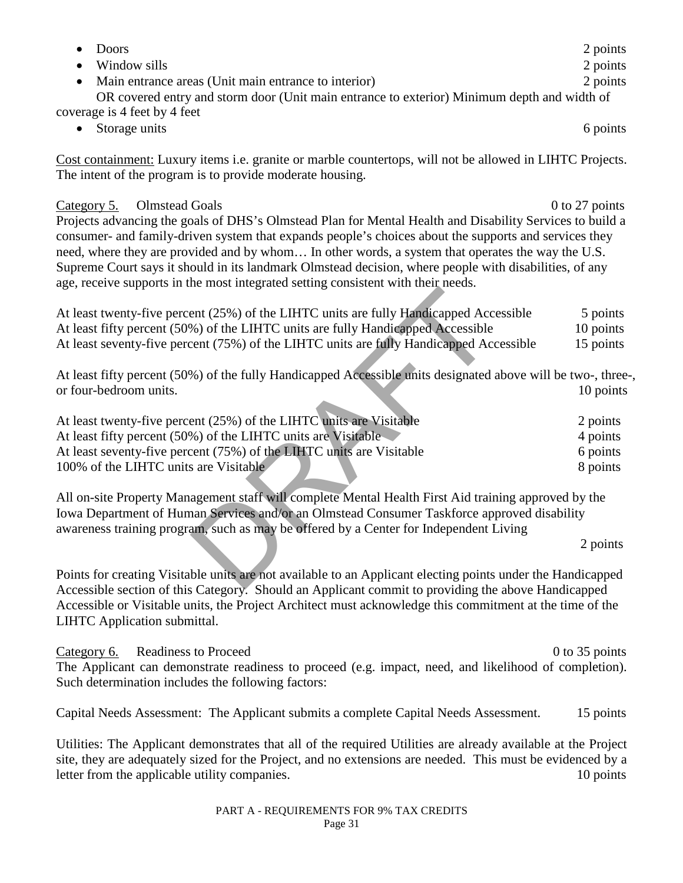| <b>Doors</b>                                                                                                                                                                                                                                                                                                           | 2 points         |
|------------------------------------------------------------------------------------------------------------------------------------------------------------------------------------------------------------------------------------------------------------------------------------------------------------------------|------------------|
| Window sills                                                                                                                                                                                                                                                                                                           | 2 points         |
| Main entrance areas (Unit main entrance to interior)<br>$\bullet$                                                                                                                                                                                                                                                      | 2 points         |
| OR covered entry and storm door (Unit main entrance to exterior) Minimum depth and width of                                                                                                                                                                                                                            |                  |
| coverage is 4 feet by 4 feet                                                                                                                                                                                                                                                                                           |                  |
| Storage units                                                                                                                                                                                                                                                                                                          | 6 points         |
| Cost containment: Luxury items i.e. granite or marble countertops, will not be allowed in LIHTC Projects.<br>The intent of the program is to provide moderate housing.                                                                                                                                                 |                  |
| <b>Olmstead Goals</b><br>Category 5.                                                                                                                                                                                                                                                                                   | $0$ to 27 points |
| Projects advancing the goals of DHS's Olmstead Plan for Mental Health and Disability Services to build a<br>consumer- and family-driven system that expands people's choices about the supports and services they<br>need, where they are provided and by whom In other words, a system that operates the way the U.S. |                  |
| Supreme Court says it should in its landmark Olmstead decision, where people with disabilities, of any                                                                                                                                                                                                                 |                  |
| age, receive supports in the most integrated setting consistent with their needs.                                                                                                                                                                                                                                      |                  |
| At least twenty-five percent (25%) of the LIHTC units are fully Handicapped Accessible                                                                                                                                                                                                                                 | 5 points         |
| At least fifty percent (50%) of the LIHTC units are fully Handicapped Accessible                                                                                                                                                                                                                                       | 10 points        |

| At least twenty-five percent (25%) of the LIHTC units are fully Handicapped Accessible                      | 5 points  |
|-------------------------------------------------------------------------------------------------------------|-----------|
| At least fifty percent (50%) of the LIHTC units are fully Handicapped Accessible                            | 10 points |
| At least seventy-five percent (75%) of the LIHTC units are fully Handicapped Accessible                     | 15 points |
| At least fifty percent (50%) of the fully Handicapped Accessible units designated above will be two-, three |           |
| or four-bedroom units.                                                                                      | 10 points |
| At least twenty-five percent (25%) of the LIHTC units are Visitable                                         | 2 points  |
| At least fifty percent (50%) of the LIHTC units are Visitable                                               | 4 points  |
| At least seventy-five percent (75%) of the LIHTC units are Visitable                                        | 6 points  |
| 100% of the LIHTC units are Visitable                                                                       | 8 points  |
| All on-site Property Management staff will complete Mental Health First Aid training approved by the        |           |
| Iowa Department of Human Services and/or an Olmstead Consumer Taskforce approved disability                 |           |
| awareness training program, such as may be offered by a Center for Independent Living                       |           |
|                                                                                                             | 2 points  |
| Points for creating Visitable units are not available to an Applicant electing points under the Handicapped |           |
| Accessible section of this Category, Should an Applicant commit to providing the shows Handicanned          |           |

Points for creating Visitable units are not available to an Applicant electing points under the Handicapped Accessible section of this Category. Should an Applicant commit to providing the above Handicapped Accessible or Visitable units, the Project Architect must acknowledge this commitment at the time of the LIHTC Application submittal.

Category 6. Readiness to Proceed 0 to 35 points 0 to 35 points The Applicant can demonstrate readiness to proceed (e.g. impact, need, and likelihood of completion). Such determination includes the following factors:

Capital Needs Assessment:The Applicant submits a complete Capital Needs Assessment. 15 points

Utilities: The Applicant demonstrates that all of the required Utilities are already available at the Project site, they are adequately sized for the Project, and no extensions are needed. This must be evidenced by a letter from the applicable utility companies. 10 points 10 points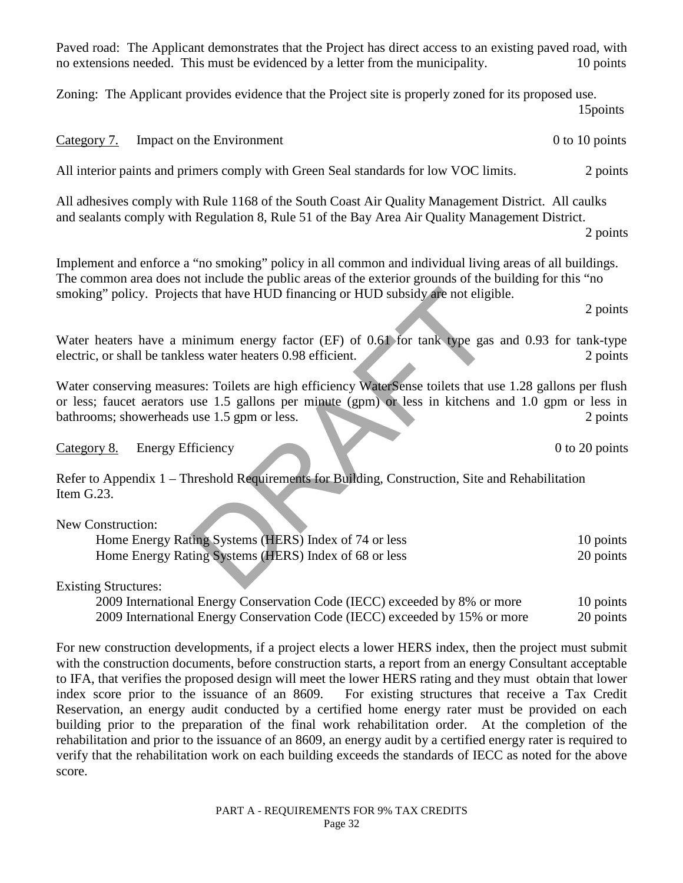Paved road: The Applicant demonstrates that the Project has direct access to an existing paved road, with no extensions needed. This must be evidenced by a letter from the municipality. 10 points

Zoning:The Applicant provides evidence that the Project site is properly zoned for its proposed use. 15points

Category 7. Impact on the Environment 0 to 10 points

All interior paints and primers comply with Green Seal standards for low VOC limits. 2 points

All adhesives comply with Rule 1168 of the South Coast Air Quality Management District. All caulks and sealants comply with Regulation 8, Rule 51 of the Bay Area Air Quality Management District. 2 points

Implement and enforce a "no smoking" policy in all common and individual living areas of all buildings. The common area does not include the public areas of the exterior grounds of the building for this "no smoking" policy. Projects that have HUD financing or HUD subsidy are not eligible.

2 points

Water heaters have a minimum energy factor (EF) of 0.61 for tank type gas and 0.93 for tank-type electric, or shall be tankless water heaters 0.98 efficient. 2 points 2 points

the state HUD financing or HUD subsidy are not eligitim<br>infinition energy factor (EF) of 0.61 for tank type gas<br>sess water heaters 0.98 efficient.<br>res: Toilets are high efficiency WaterSense toilets that u<br>use 1.5 gallons Water conserving measures: Toilets are high efficiency WaterSense toilets that use 1.28 gallons per flush or less; faucet aerators use 1.5 gallons per minute (gpm) or less in kitchens and 1.0 gpm or less in bathrooms; showerheads use 1.5 gpm or less. 2 points 2 points

Category 8. Energy Efficiency 0 to 20 points 0 to 20 points

Refer to Appendix 1 – Threshold Requirements for Building, Construction, Site and Rehabilitation Item G.23.

New Construction:

| Home Energy Rating Systems (HERS) Index of 74 or less | 10 points |
|-------------------------------------------------------|-----------|
| Home Energy Rating Systems (HERS) Index of 68 or less | 20 points |

Existing Structures:

2009 International Energy Conservation Code (IECC) exceeded by 8% or more 10 points 2009 International Energy Conservation Code (IECC) exceeded by 15% or more 20 points

For new construction developments, if a project elects a lower HERS index, then the project must submit with the construction documents, before construction starts, a report from an energy Consultant acceptable to IFA, that verifies the proposed design will meet the lower HERS rating and they must obtain that lower index score prior to the issuance of an 8609. For existing structures that receive a Tax Credit Reservation, an energy audit conducted by a certified home energy rater must be provided on each building prior to the preparation of the final work rehabilitation order. At the completion of the rehabilitation and prior to the issuance of an 8609, an energy audit by a certified energy rater is required to verify that the rehabilitation work on each building exceeds the standards of IECC as noted for the above score.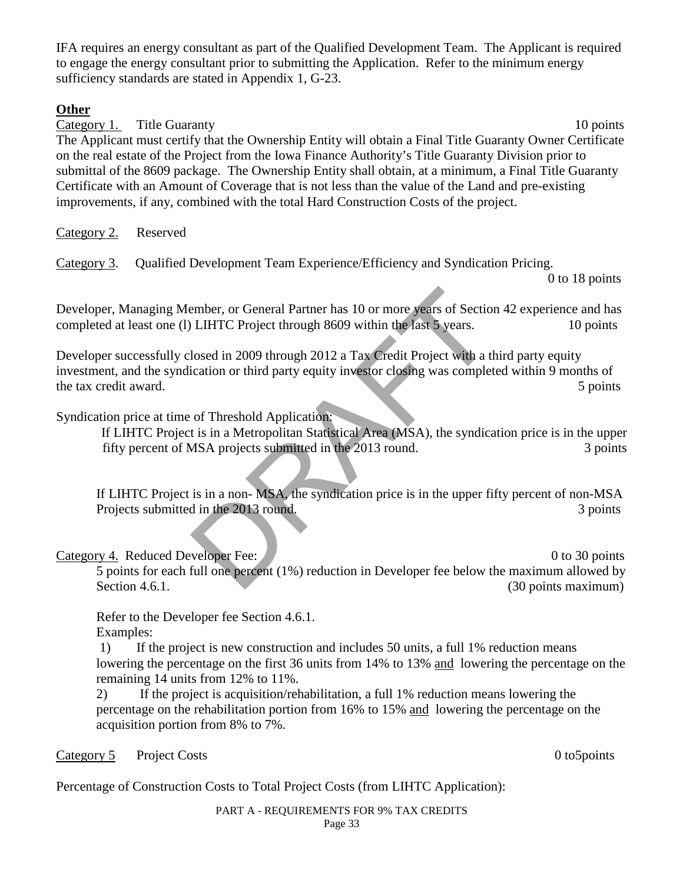IFA requires an energy consultant as part of the Qualified Development Team. The Applicant is required to engage the energy consultant prior to submitting the Application. Refer to the minimum energy sufficiency standards are stated in Appendix 1, G-23.

#### **Other**

Category 1. Title Guaranty 10 points 10 points 10 points 10 points 10 points 10 points 10 points 10 points 10 points 10 points 10 points 10 points 10 points 10 points 10 points 10 points 10 points 10 points 10 points 10 po

The Applicant must certify that the Ownership Entity will obtain a Final Title Guaranty Owner Certificate on the real estate of the Project from the Iowa Finance Authority's Title Guaranty Division prior to submittal of the 8609 package. The Ownership Entity shall obtain, at a minimum, a Final Title Guaranty Certificate with an Amount of Coverage that is not less than the value of the Land and pre-existing improvements, if any, combined with the total Hard Construction Costs of the project.

Category 2. Reserved

Category 3. Qualified Development Team Experience/Efficiency and Syndication Pricing.

0 to 18 points

Developer, Managing Member, or General Partner has 10 or more years of Section 42 experience and has completed at least one (l) LIHTC Project through 8609 within the last 5 years. 10 points

ember, or General Partner has 10 or more years of Sectio<br>
LIHTC Project through 8609 within the last 5 years.<br>
losed in 2009 through 2012 a Tax Credit Project with a the<br>
lication or third party equity investor closing was Developer successfully closed in 2009 through 2012 a Tax Credit Project with a third party equity investment, and the syndication or third party equity investor closing was completed within 9 months of the tax credit award. 5 points of the tax credit award. 5 points of the tax credit award.

Syndication price at time of Threshold Application:

If LIHTC Project is in a Metropolitan Statistical Area (MSA), the syndication price is in the upper fifty percent of MSA projects submitted in the 2013 round. 3 points

If LIHTC Project is in a non- MSA, the syndication price is in the upper fifty percent of non-MSA Projects submitted in the 2013 round. 3 points 3 points

Category 4. Reduced Developer Fee: 0 to 30 points 0 to 30 points 5 points for each full one percent (1%) reduction in Developer fee below the maximum allowed by Section 4.6.1.  $(30 \text{ points maximum})$ 

Refer to the Developer fee Section 4.6.1.

Examples:

 1) If the project is new construction and includes 50 units, a full 1% reduction means lowering the percentage on the first 36 units from 14% to 13% and lowering the percentage on the remaining 14 units from 12% to 11%.

2) If the project is acquisition/rehabilitation, a full 1% reduction means lowering the percentage on the rehabilitation portion from 16% to 15% and lowering the percentage on the acquisition portion from 8% to 7%.

Category 5 Project Costs 0 to 5points 0 to 5points

Percentage of Construction Costs to Total Project Costs (from LIHTC Application):

PART A - REQUIREMENTS FOR 9% TAX CREDITS Page 33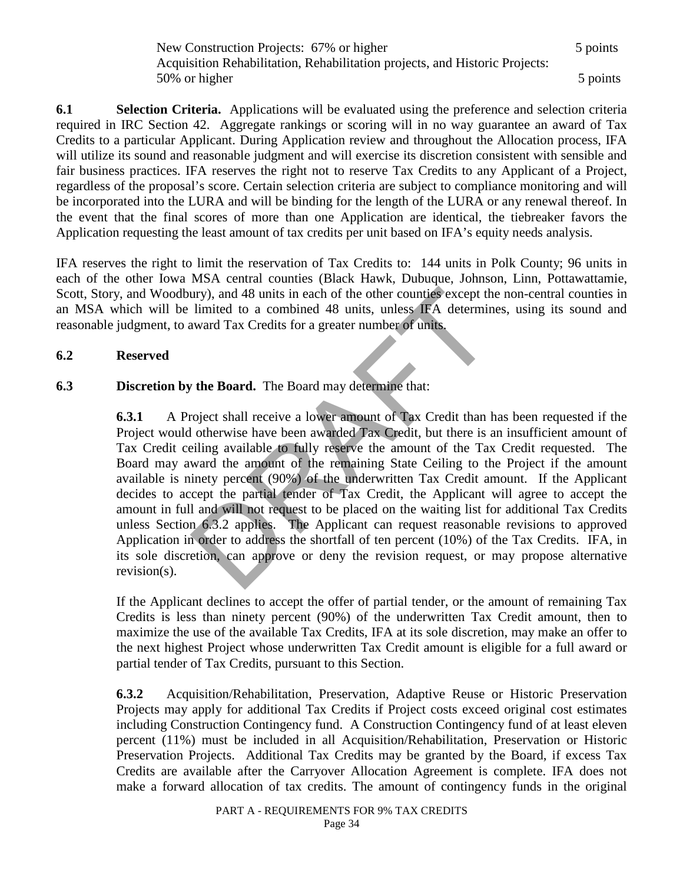New Construction Projects: 67% or higher 5 points Acquisition Rehabilitation, Rehabilitation projects, and Historic Projects: 50% or higher 5 points

**6.1 Selection Criteria.** Applications will be evaluated using the preference and selection criteria required in IRC Section 42. Aggregate rankings or scoring will in no way guarantee an award of Tax Credits to a particular Applicant. During Application review and throughout the Allocation process, IFA will utilize its sound and reasonable judgment and will exercise its discretion consistent with sensible and fair business practices. IFA reserves the right not to reserve Tax Credits to any Applicant of a Project, regardless of the proposal's score. Certain selection criteria are subject to compliance monitoring and will be incorporated into the LURA and will be binding for the length of the LURA or any renewal thereof. In the event that the final scores of more than one Application are identical, the tiebreaker favors the Application requesting the least amount of tax credits per unit based on IFA's equity needs analysis.

IFA reserves the right to limit the reservation of Tax Credits to: 144 units in Polk County; 96 units in each of the other Iowa MSA central counties (Black Hawk, Dubuque, Johnson, Linn, Pottawattamie, Scott, Story, and Woodbury), and 48 units in each of the other counties except the non-central counties in an MSA which will be limited to a combined 48 units, unless IFA determines, using its sound and reasonable judgment, to award Tax Credits for a greater number of units.

### **6.2 Reserved**

## **6.3 Discretion by the Board.** The Board may determine that:

ury), and 48 units in each of the other counties except th<br>limited to a combined 48 units, unless IFA determine<br>ward Tax Credits for a greater number of units.<br>The set of the Board. The Board may determine that:<br>roject sha **6.3.1** A Project shall receive a lower amount of Tax Credit than has been requested if the Project would otherwise have been awarded Tax Credit, but there is an insufficient amount of Tax Credit ceiling available to fully reserve the amount of the Tax Credit requested. The Board may award the amount of the remaining State Ceiling to the Project if the amount available is ninety percent (90%) of the underwritten Tax Credit amount. If the Applicant decides to accept the partial tender of Tax Credit, the Applicant will agree to accept the amount in full and will not request to be placed on the waiting list for additional Tax Credits unless Section 6.3.2 applies. The Applicant can request reasonable revisions to approved Application in order to address the shortfall of ten percent (10%) of the Tax Credits. IFA, in its sole discretion, can approve or deny the revision request, or may propose alternative revision(s).

If the Applicant declines to accept the offer of partial tender, or the amount of remaining Tax Credits is less than ninety percent (90%) of the underwritten Tax Credit amount, then to maximize the use of the available Tax Credits, IFA at its sole discretion, may make an offer to the next highest Project whose underwritten Tax Credit amount is eligible for a full award or partial tender of Tax Credits, pursuant to this Section.

**6.3.2** Acquisition/Rehabilitation, Preservation, Adaptive Reuse or Historic Preservation Projects may apply for additional Tax Credits if Project costs exceed original cost estimates including Construction Contingency fund. A Construction Contingency fund of at least eleven percent (11%) must be included in all Acquisition/Rehabilitation, Preservation or Historic Preservation Projects. Additional Tax Credits may be granted by the Board, if excess Tax Credits are available after the Carryover Allocation Agreement is complete. IFA does not make a forward allocation of tax credits. The amount of contingency funds in the original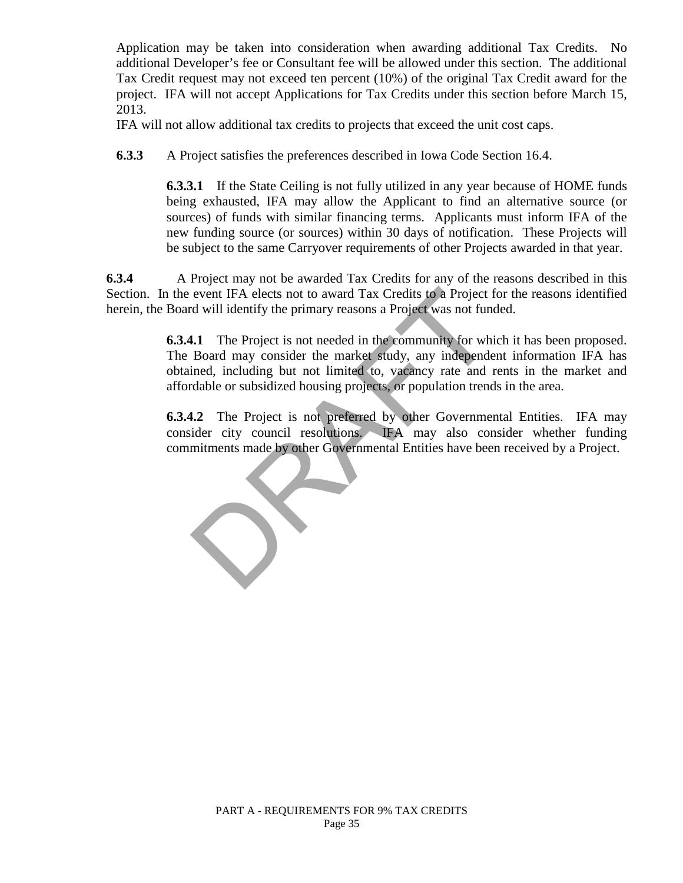Application may be taken into consideration when awarding additional Tax Credits. No additional Developer's fee or Consultant fee will be allowed under this section. The additional Tax Credit request may not exceed ten percent (10%) of the original Tax Credit award for the project. IFA will not accept Applications for Tax Credits under this section before March 15, 2013.

IFA will not allow additional tax credits to projects that exceed the unit cost caps.

**6.3.3** A Project satisfies the preferences described in Iowa Code Section 16.4.

 **6.3.3.1** If the State Ceiling is not fully utilized in any year because of HOME funds being exhausted, IFA may allow the Applicant to find an alternative source (or sources) of funds with similar financing terms. Applicants must inform IFA of the new funding source (or sources) within 30 days of notification. These Projects will be subject to the same Carryover requirements of other Projects awarded in that year.

 **6.3.4** A Project may not be awarded Tax Credits for any of the reasons described in this Section. In the event IFA elects not to award Tax Credits to a Project for the reasons identified herein, the Board will identify the primary reasons a Project was not funded.

> **6.3.4.1** The Project is not needed in the community for which it has been proposed. The Board may consider the market study, any independent information IFA has obtained, including but not limited to, vacancy rate and rents in the market and affordable or subsidized housing projects, or population trends in the area.

> **6.3.4.2** The Project is not preferred by other Governmental Entities. IFA may consider city council resolutions. IFA may also consider whether funding commitments made by other Governmental Entities have been received by a Project.

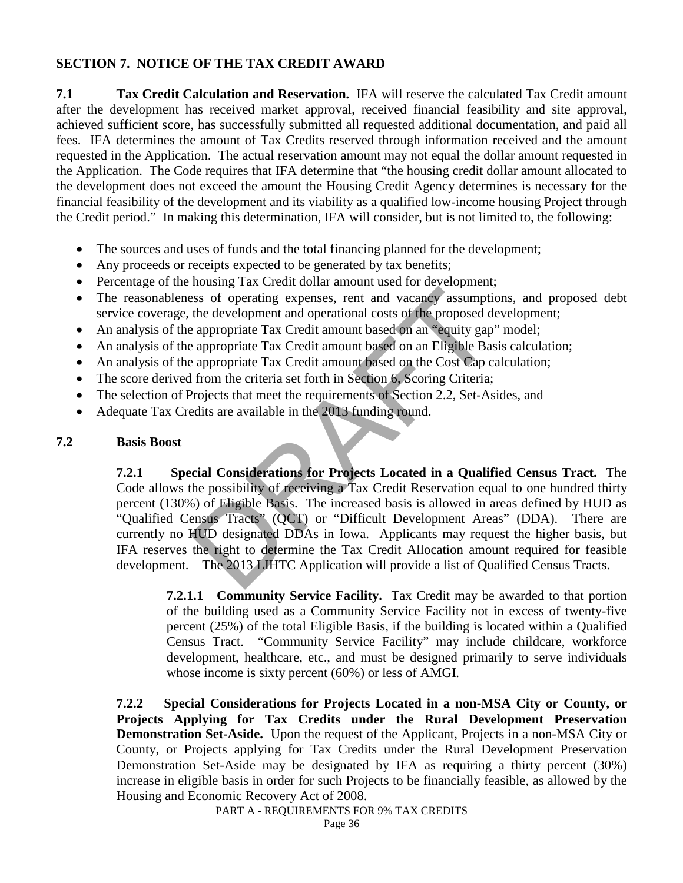### **SECTION 7. NOTICE OF THE TAX CREDIT AWARD**

**7.1 Tax Credit Calculation and Reservation.** IFA will reserve the calculated Tax Credit amount after the development has received market approval, received financial feasibility and site approval, achieved sufficient score, has successfully submitted all requested additional documentation, and paid all fees. IFA determines the amount of Tax Credits reserved through information received and the amount requested in the Application. The actual reservation amount may not equal the dollar amount requested in the Application. The Code requires that IFA determine that "the housing credit dollar amount allocated to the development does not exceed the amount the Housing Credit Agency determines is necessary for the financial feasibility of the development and its viability as a qualified low-income housing Project through the Credit period." In making this determination, IFA will consider, but is not limited to, the following:

- The sources and uses of funds and the total financing planned for the development;
- Any proceeds or receipts expected to be generated by tax benefits;
- Percentage of the housing Tax Credit dollar amount used for development;
- The reasonableness of operating expenses, rent and vacancy assumptions, and proposed debt service coverage, the development and operational costs of the proposed development;
- An analysis of the appropriate Tax Credit amount based on an "equity gap" model;
- An analysis of the appropriate Tax Credit amount based on an Eligible Basis calculation;
- An analysis of the appropriate Tax Credit amount based on the Cost Cap calculation;
- The score derived from the criteria set forth in Section 6, Scoring Criteria;
- The selection of Projects that meet the requirements of Section 2.2, Set-Asides, and
- Adequate Tax Credits are available in the 2013 funding round.

#### **7.2 Basis Boost**

Sometimes are all that the Tax Credit Allocation and the results of the proposed e appropriate Tax Credit amount based on an "equity gap appropriate Tax Credit amount based on an "equity gap appropriate Tax Credit amount b **7.2.1 Special Considerations for Projects Located in a Qualified Census Tract.** The Code allows the possibility of receiving a Tax Credit Reservation equal to one hundred thirty percent (130%) of Eligible Basis. The increased basis is allowed in areas defined by HUD as "Qualified Census Tracts" (QCT) or "Difficult Development Areas" (DDA). There are currently no HUD designated DDAs in Iowa. Applicants may request the higher basis, but IFA reserves the right to determine the Tax Credit Allocation amount required for feasible development. The 2013 LIHTC Application will provide a list of Qualified Census Tracts.

 **7.2.1.1 Community Service Facility.** Tax Credit may be awarded to that portion of the building used as a Community Service Facility not in excess of twenty-five percent (25%) of the total Eligible Basis, if the building is located within a Qualified Census Tract. "Community Service Facility" may include childcare, workforce development, healthcare, etc., and must be designed primarily to serve individuals whose income is sixty percent (60%) or less of AMGI.

**7.2.2 Special Considerations for Projects Located in a non-MSA City or County, or Projects Applying for Tax Credits under the Rural Development Preservation Demonstration Set-Aside.** Upon the request of the Applicant, Projects in a non-MSA City or County, or Projects applying for Tax Credits under the Rural Development Preservation Demonstration Set-Aside may be designated by IFA as requiring a thirty percent (30%) increase in eligible basis in order for such Projects to be financially feasible, as allowed by the Housing and Economic Recovery Act of 2008.

PART A - REQUIREMENTS FOR 9% TAX CREDITS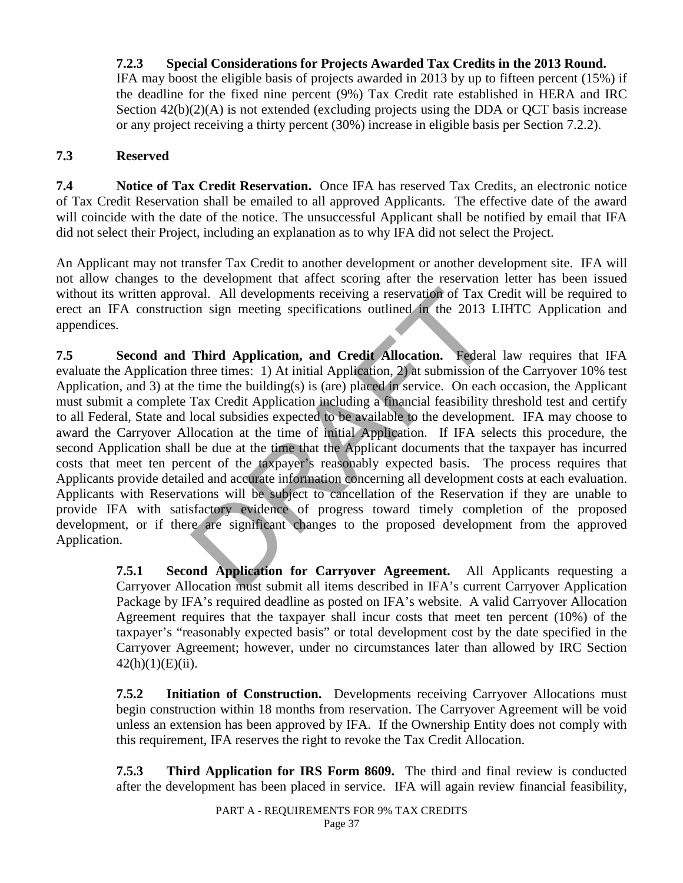## **7.2.3 Special Considerations for Projects Awarded Tax Credits in the 2013 Round.**

IFA may boost the eligible basis of projects awarded in 2013 by up to fifteen percent (15%) if the deadline for the fixed nine percent (9%) Tax Credit rate established in HERA and IRC Section  $42(b)(2)(A)$  is not extended (excluding projects using the DDA or QCT basis increase or any project receiving a thirty percent (30%) increase in eligible basis per Section 7.2.2).

#### **7.3 Reserved**

**7.4 Notice of Tax Credit Reservation.** Once IFA has reserved Tax Credits, an electronic notice of Tax Credit Reservation shall be emailed to all approved Applicants. The effective date of the award will coincide with the date of the notice. The unsuccessful Applicant shall be notified by email that IFA did not select their Project, including an explanation as to why IFA did not select the Project.

An Applicant may not transfer Tax Credit to another development or another development site. IFA will not allow changes to the development that affect scoring after the reservation letter has been issued without its written approval. All developments receiving a reservation of Tax Credit will be required to erect an IFA construction sign meeting specifications outlined in the 2013 LIHTC Application and appendices.

val. All developments receiving a reservation of Tax C<br>on sign meeting specifications outlined in the 2013 1<br>Third Application, and Credit Allocation. Federa<br>three times: 1) At initial Application, 2) at submission o<br>e tim **7.5 Second and Third Application, and Credit Allocation.** Federal law requires that IFA evaluate the Application three times: 1) At initial Application, 2) at submission of the Carryover 10% test Application, and 3) at the time the building(s) is (are) placed in service. On each occasion, the Applicant must submit a complete Tax Credit Application including a financial feasibility threshold test and certify to all Federal, State and local subsidies expected to be available to the development. IFA may choose to award the Carryover Allocation at the time of initial Application. If IFA selects this procedure, the second Application shall be due at the time that the Applicant documents that the taxpayer has incurred costs that meet ten percent of the taxpayer's reasonably expected basis. The process requires that Applicants provide detailed and accurate information concerning all development costs at each evaluation. Applicants with Reservations will be subject to cancellation of the Reservation if they are unable to provide IFA with satisfactory evidence of progress toward timely completion of the proposed development, or if there are significant changes to the proposed development from the approved Application.

 **7.5.1 Second Application for Carryover Agreement.** All Applicants requesting a Carryover Allocation must submit all items described in IFA's current Carryover Application Package by IFA's required deadline as posted on IFA's website. A valid Carryover Allocation Agreement requires that the taxpayer shall incur costs that meet ten percent (10%) of the taxpayer's "reasonably expected basis" or total development cost by the date specified in the Carryover Agreement; however, under no circumstances later than allowed by IRC Section  $42(h)(1)(E)(ii)$ .

 **7.5.2 Initiation of Construction.** Developments receiving Carryover Allocations must begin construction within 18 months from reservation. The Carryover Agreement will be void unless an extension has been approved by IFA. If the Ownership Entity does not comply with this requirement, IFA reserves the right to revoke the Tax Credit Allocation.

 **7.5.3 Third Application for IRS Form 8609.** The third and final review is conducted after the development has been placed in service. IFA will again review financial feasibility,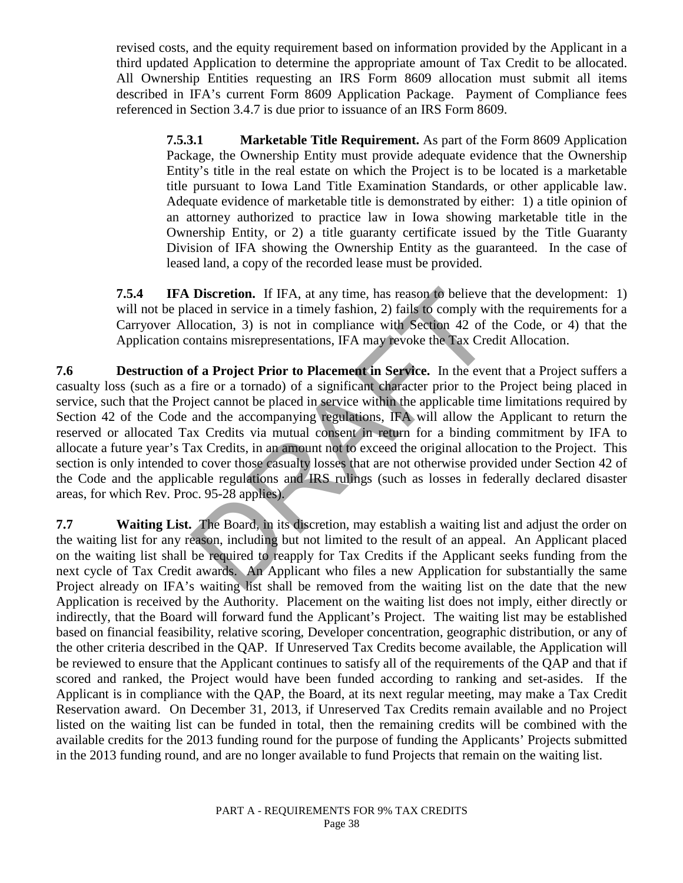revised costs, and the equity requirement based on information provided by the Applicant in a third updated Application to determine the appropriate amount of Tax Credit to be allocated. All Ownership Entities requesting an IRS Form 8609 allocation must submit all items described in IFA's current Form 8609 Application Package. Payment of Compliance fees referenced in Section 3.4.7 is due prior to issuance of an IRS Form 8609.

 **7.5.3.1 Marketable Title Requirement.** As part of the Form 8609 Application Package, the Ownership Entity must provide adequate evidence that the Ownership Entity's title in the real estate on which the Project is to be located is a marketable title pursuant to Iowa Land Title Examination Standards, or other applicable law. Adequate evidence of marketable title is demonstrated by either: 1) a title opinion of an attorney authorized to practice law in Iowa showing marketable title in the Ownership Entity, or 2) a title guaranty certificate issued by the Title Guaranty Division of IFA showing the Ownership Entity as the guaranteed. In the case of leased land, a copy of the recorded lease must be provided.

**7.5.4 IFA Discretion.** If IFA, at any time, has reason to believe that the development: 1) will not be placed in service in a timely fashion, 2) fails to comply with the requirements for a Carryover Allocation, 3) is not in compliance with Section 42 of the Code, or 4) that the Application contains misrepresentations, IFA may revoke the Tax Credit Allocation.

**Discretion.** If IFA, at any time, has reason to believe the aced in service in a timely fashion, 2) fails to comply wilocation, 3) is not in compliance with Section 42 of 1 ontains misrepresentations, IFA may revoke the T **7.6 Destruction of a Project Prior to Placement in Service.** In the event that a Project suffers a casualty loss (such as a fire or a tornado) of a significant character prior to the Project being placed in service, such that the Project cannot be placed in service within the applicable time limitations required by Section 42 of the Code and the accompanying regulations, IFA will allow the Applicant to return the reserved or allocated Tax Credits via mutual consent in return for a binding commitment by IFA to allocate a future year's Tax Credits, in an amount not to exceed the original allocation to the Project. This section is only intended to cover those casualty losses that are not otherwise provided under Section 42 of the Code and the applicable regulations and IRS rulings (such as losses in federally declared disaster areas, for which Rev. Proc. 95-28 applies).

**7.7 Waiting List.** The Board, in its discretion, may establish a waiting list and adjust the order on the waiting list for any reason, including but not limited to the result of an appeal. An Applicant placed on the waiting list shall be required to reapply for Tax Credits if the Applicant seeks funding from the next cycle of Tax Credit awards. An Applicant who files a new Application for substantially the same Project already on IFA's waiting list shall be removed from the waiting list on the date that the new Application is received by the Authority. Placement on the waiting list does not imply, either directly or indirectly, that the Board will forward fund the Applicant's Project. The waiting list may be established based on financial feasibility, relative scoring, Developer concentration, geographic distribution, or any of the other criteria described in the QAP. If Unreserved Tax Credits become available, the Application will be reviewed to ensure that the Applicant continues to satisfy all of the requirements of the QAP and that if scored and ranked, the Project would have been funded according to ranking and set-asides. If the Applicant is in compliance with the QAP, the Board, at its next regular meeting, may make a Tax Credit Reservation award. On December 31, 2013, if Unreserved Tax Credits remain available and no Project listed on the waiting list can be funded in total, then the remaining credits will be combined with the available credits for the 2013 funding round for the purpose of funding the Applicants' Projects submitted in the 2013 funding round, and are no longer available to fund Projects that remain on the waiting list.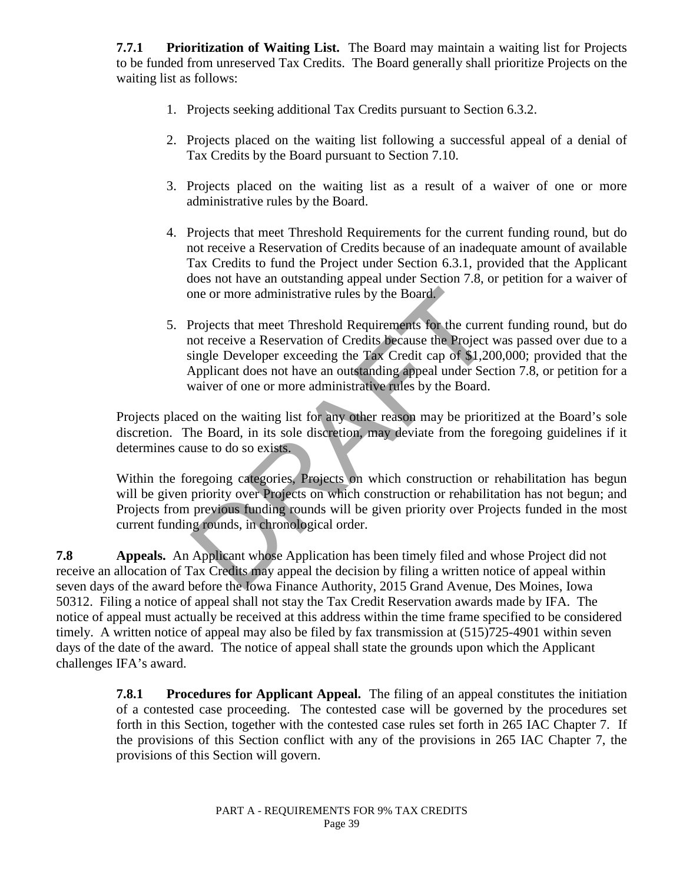**7.7.1 Prioritization of Waiting List.** The Board may maintain a waiting list for Projects to be funded from unreserved Tax Credits. The Board generally shall prioritize Projects on the waiting list as follows:

- 1. Projects seeking additional Tax Credits pursuant to Section 6.3.2.
- 2. Projects placed on the waiting list following a successful appeal of a denial of Tax Credits by the Board pursuant to Section 7.10.
- 3. Projects placed on the waiting list as a result of a waiver of one or more administrative rules by the Board.
- 4. Projects that meet Threshold Requirements for the current funding round, but do not receive a Reservation of Credits because of an inadequate amount of available Tax Credits to fund the Project under Section 6.3.1, provided that the Applicant does not have an outstanding appeal under Section 7.8, or petition for a waiver of one or more administrative rules by the Board.
- The or more administrative rules by the Board.<br>
Projects that meet Threshold Requirements for the curre<br>
not receive a Reservation of Credits because the Project<br>
single Developer exceeding the Tax Credit cap of \$1,20<br>
App 5. Projects that meet Threshold Requirements for the current funding round, but do not receive a Reservation of Credits because the Project was passed over due to a single Developer exceeding the Tax Credit cap of \$1,200,000; provided that the Applicant does not have an outstanding appeal under Section 7.8, or petition for a waiver of one or more administrative rules by the Board.

Projects placed on the waiting list for any other reason may be prioritized at the Board's sole discretion. The Board, in its sole discretion, may deviate from the foregoing guidelines if it determines cause to do so exists.

Within the foregoing categories, Projects on which construction or rehabilitation has begun will be given priority over Projects on which construction or rehabilitation has not begun; and Projects from previous funding rounds will be given priority over Projects funded in the most current funding rounds, in chronological order.

**7.8 Appeals.** An Applicant whose Application has been timely filed and whose Project did not receive an allocation of Tax Credits may appeal the decision by filing a written notice of appeal within seven days of the award before the Iowa Finance Authority, 2015 Grand Avenue, Des Moines, Iowa 50312. Filing a notice of appeal shall not stay the Tax Credit Reservation awards made by IFA. The notice of appeal must actually be received at this address within the time frame specified to be considered timely. A written notice of appeal may also be filed by fax transmission at (515)725-4901 within seven days of the date of the award. The notice of appeal shall state the grounds upon which the Applicant challenges IFA's award.

> **7.8.1 Procedures for Applicant Appeal.** The filing of an appeal constitutes the initiation of a contested case proceeding. The contested case will be governed by the procedures set forth in this Section, together with the contested case rules set forth in 265 IAC Chapter 7. If the provisions of this Section conflict with any of the provisions in 265 IAC Chapter 7, the provisions of this Section will govern.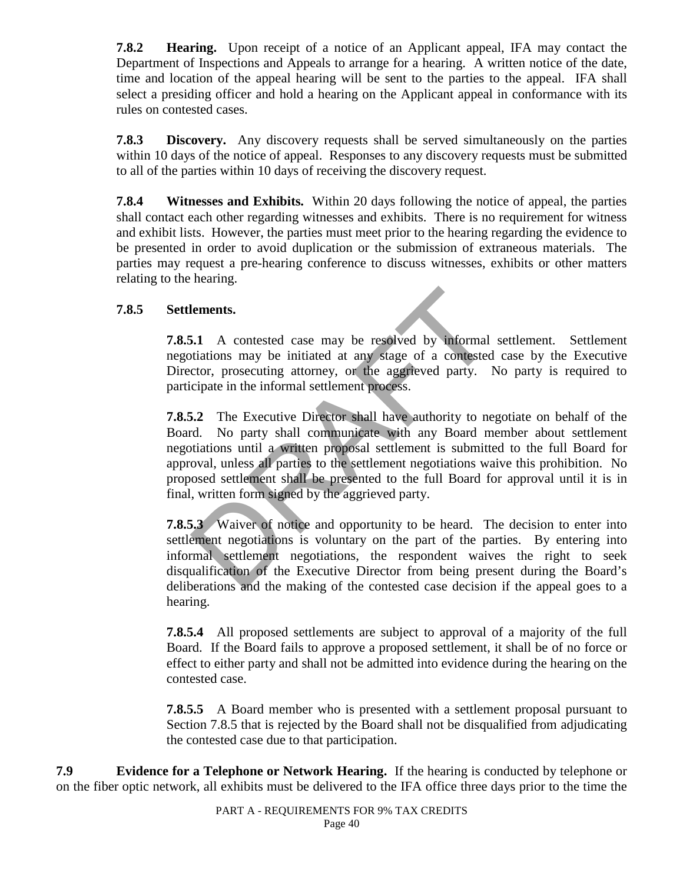**7.8.2 Hearing.** Upon receipt of a notice of an Applicant appeal, IFA may contact the Department of Inspections and Appeals to arrange for a hearing. A written notice of the date, time and location of the appeal hearing will be sent to the parties to the appeal. IFA shall select a presiding officer and hold a hearing on the Applicant appeal in conformance with its rules on contested cases.

**7.8.3 Discovery.** Any discovery requests shall be served simultaneously on the parties within 10 days of the notice of appeal. Responses to any discovery requests must be submitted to all of the parties within 10 days of receiving the discovery request.

**7.8.4** Witnesses and Exhibits. Within 20 days following the notice of appeal, the parties shall contact each other regarding witnesses and exhibits. There is no requirement for witness and exhibit lists. However, the parties must meet prior to the hearing regarding the evidence to be presented in order to avoid duplication or the submission of extraneous materials. The parties may request a pre-hearing conference to discuss witnesses, exhibits or other matters relating to the hearing.

## **7.8.5 Settlements.**

**7.8.5.1** A contested case may be resolved by informal settlement. Settlement negotiations may be initiated at any stage of a contested case by the Executive Director, prosecuting attorney, or the aggrieved party. No party is required to participate in the informal settlement process.

**Examplements.**<br> **Examplements.**<br> **Examplements**<br> **Examplements**<br> **Examplement and the system of a contested ctor, prosecuting attorney, or the aggrieved party. I<br>
cipate in the informal settlement process.<br>
<b>Examplement a 7.8.5.2** The Executive Director shall have authority to negotiate on behalf of the Board. No party shall communicate with any Board member about settlement negotiations until a written proposal settlement is submitted to the full Board for approval, unless all parties to the settlement negotiations waive this prohibition. No proposed settlement shall be presented to the full Board for approval until it is in final, written form signed by the aggrieved party.

**7.8.5.3** Waiver of notice and opportunity to be heard. The decision to enter into settlement negotiations is voluntary on the part of the parties. By entering into informal settlement negotiations, the respondent waives the right to seek disqualification of the Executive Director from being present during the Board's deliberations and the making of the contested case decision if the appeal goes to a hearing.

**7.8.5.4** All proposed settlements are subject to approval of a majority of the full Board. If the Board fails to approve a proposed settlement, it shall be of no force or effect to either party and shall not be admitted into evidence during the hearing on the contested case.

**7.8.5.5** A Board member who is presented with a settlement proposal pursuant to Section 7.8.5 that is rejected by the Board shall not be disqualified from adjudicating the contested case due to that participation.

**7.9 Evidence for a Telephone or Network Hearing.** If the hearing is conducted by telephone or on the fiber optic network, all exhibits must be delivered to the IFA office three days prior to the time the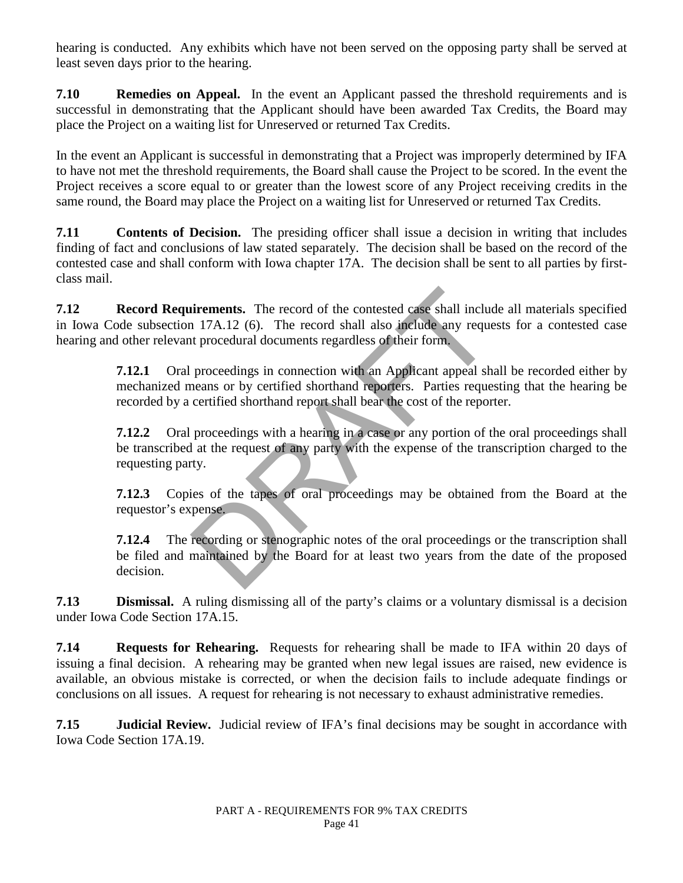hearing is conducted. Any exhibits which have not been served on the opposing party shall be served at least seven days prior to the hearing.

**7.10 Remedies on Appeal.** In the event an Applicant passed the threshold requirements and is successful in demonstrating that the Applicant should have been awarded Tax Credits, the Board may place the Project on a waiting list for Unreserved or returned Tax Credits.

In the event an Applicant is successful in demonstrating that a Project was improperly determined by IFA to have not met the threshold requirements, the Board shall cause the Project to be scored. In the event the Project receives a score equal to or greater than the lowest score of any Project receiving credits in the same round, the Board may place the Project on a waiting list for Unreserved or returned Tax Credits.

**7.11** Contents of Decision. The presiding officer shall issue a decision in writing that includes finding of fact and conclusions of law stated separately. The decision shall be based on the record of the contested case and shall conform with Iowa chapter 17A. The decision shall be sent to all parties by firstclass mail.

**7.12 Record Requirements.** The record of the contested case shall include all materials specified in Iowa Code subsection 17A.12 (6). The record shall also include any requests for a contested case hearing and other relevant procedural documents regardless of their form.

> **7.12.1** Oral proceedings in connection with an Applicant appeal shall be recorded either by mechanized means or by certified shorthand reporters. Parties requesting that the hearing be recorded by a certified shorthand report shall bear the cost of the reporter.

> **7.12.2** Oral proceedings with a hearing in a case or any portion of the oral proceedings shall be transcribed at the request of any party with the expense of the transcription charged to the requesting party.

> **7.12.3** Copies of the tapes of oral proceedings may be obtained from the Board at the requestor's expense.

> incoments. The record of the contested case shall include in 17A.12 (6). The record shall also include any request the proceedings in connection with an Applicant appeal she incorrectings in connection with an Applicant ap **7.12.4** The recording or stenographic notes of the oral proceedings or the transcription shall be filed and maintained by the Board for at least two years from the date of the proposed decision.

**7.13 Dismissal.** A ruling dismissing all of the party's claims or a voluntary dismissal is a decision under Iowa Code Section 17A.15.

**7.14 Requests for Rehearing.** Requests for rehearing shall be made to IFA within 20 days of issuing a final decision. A rehearing may be granted when new legal issues are raised, new evidence is available, an obvious mistake is corrected, or when the decision fails to include adequate findings or conclusions on all issues. A request for rehearing is not necessary to exhaust administrative remedies.

**7.15 Judicial Review.** Judicial review of IFA's final decisions may be sought in accordance with Iowa Code Section 17A.19.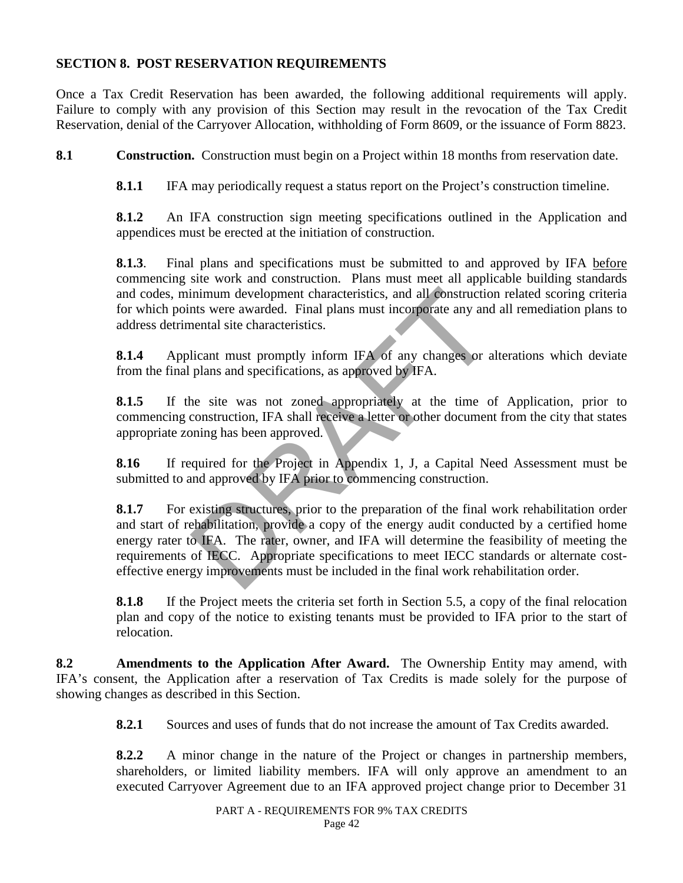### **SECTION 8. POST RESERVATION REQUIREMENTS**

Once a Tax Credit Reservation has been awarded, the following additional requirements will apply. Failure to comply with any provision of this Section may result in the revocation of the Tax Credit Reservation, denial of the Carryover Allocation, withholding of Form 8609, or the issuance of Form 8823.

8.1 **Construction.** Construction must begin on a Project within 18 months from reservation date.

**8.1.1** IFA may periodically request a status report on the Project's construction timeline.

**8.1.2** An IFA construction sign meeting specifications outlined in the Application and appendices must be erected at the initiation of construction.

**8.1.3**. Final plans and specifications must be submitted to and approved by IFA before commencing site work and construction. Plans must meet all applicable building standards and codes, minimum development characteristics, and all construction related scoring criteria for which points were awarded. Final plans must incorporate any and all remediation plans to address detrimental site characteristics.

**8.1.4** Applicant must promptly inform IFA of any changes or alterations which deviate from the final plans and specifications, as approved by IFA.

**8.1.5** If the site was not zoned appropriately at the time of Application, prior to commencing construction, IFA shall receive a letter or other document from the city that states appropriate zoning has been approved.

**8.16** If required for the Project in Appendix 1, J, a Capital Need Assessment must be submitted to and approved by IFA prior to commencing construction.

inimum development characteristics, and all constructions<br>the were awarded. Final plans must incorporate any and<br>nental site characteristics.<br>licant must promptly inform IFA of any changes or a<br>plans and specifications, as **8.1.7** For existing structures, prior to the preparation of the final work rehabilitation order and start of rehabilitation, provide a copy of the energy audit conducted by a certified home energy rater to IFA. The rater, owner, and IFA will determine the feasibility of meeting the requirements of IECC. Appropriate specifications to meet IECC standards or alternate costeffective energy improvements must be included in the final work rehabilitation order.

**8.1.8** If the Project meets the criteria set forth in Section 5.5, a copy of the final relocation plan and copy of the notice to existing tenants must be provided to IFA prior to the start of relocation.

**8.2 Amendments to the Application After Award.** The Ownership Entity may amend, with IFA's consent, the Application after a reservation of Tax Credits is made solely for the purpose of showing changes as described in this Section.

**8.2.1** Sources and uses of funds that do not increase the amount of Tax Credits awarded.

**8.2.2** A minor change in the nature of the Project or changes in partnership members, shareholders, or limited liability members. IFA will only approve an amendment to an executed Carryover Agreement due to an IFA approved project change prior to December 31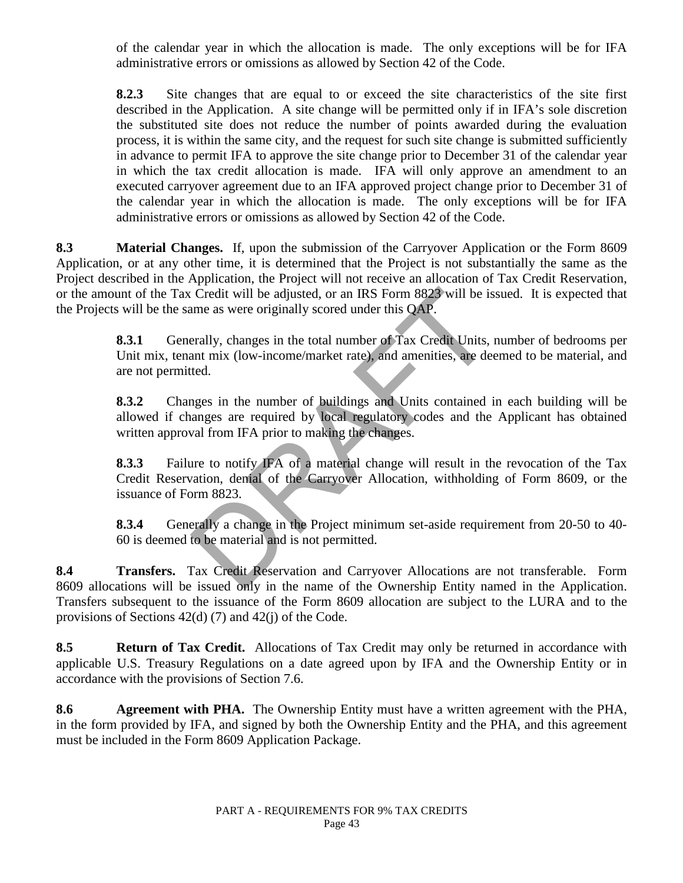of the calendar year in which the allocation is made. The only exceptions will be for IFA administrative errors or omissions as allowed by Section 42 of the Code.

**8.2.3** Site changes that are equal to or exceed the site characteristics of the site first described in the Application. A site change will be permitted only if in IFA's sole discretion the substituted site does not reduce the number of points awarded during the evaluation process, it is within the same city, and the request for such site change is submitted sufficiently in advance to permit IFA to approve the site change prior to December 31 of the calendar year in which the tax credit allocation is made. IFA will only approve an amendment to an executed carryover agreement due to an IFA approved project change prior to December 31 of the calendar year in which the allocation is made. The only exceptions will be for IFA administrative errors or omissions as allowed by Section 42 of the Code.

**8.3 Material Changes.** If, upon the submission of the Carryover Application or the Form 8609 Application, or at any other time, it is determined that the Project is not substantially the same as the Project described in the Application, the Project will not receive an allocation of Tax Credit Reservation, or the amount of the Tax Credit will be adjusted, or an IRS Form 8823 will be issued. It is expected that the Projects will be the same as were originally scored under this QAP.

Credit will be adjusted, or an IRS Form 8823 will be is<br>ame as were originally scored under this QAP.<br>erally, changes in the total number of Tax Credit Units,<br>ant mix (low-income/market rate), and amenities, are de-<br>ted.<br>n **8.3.1** Generally, changes in the total number of Tax Credit Units, number of bedrooms per Unit mix, tenant mix (low-income/market rate), and amenities, are deemed to be material, and are not permitted.

**8.3.2** Changes in the number of buildings and Units contained in each building will be allowed if changes are required by local regulatory codes and the Applicant has obtained written approval from IFA prior to making the changes.

**8.3.3** Failure to notify IFA of a material change will result in the revocation of the Tax Credit Reservation, denial of the Carryover Allocation, withholding of Form 8609, or the issuance of Form 8823.

**8.3.4** Generally a change in the Project minimum set-aside requirement from 20-50 to 40- 60 is deemed to be material and is not permitted.

**8.4 Transfers.** Tax Credit Reservation and Carryover Allocations are not transferable. Form 8609 allocations will be issued only in the name of the Ownership Entity named in the Application. Transfers subsequent to the issuance of the Form 8609 allocation are subject to the LURA and to the provisions of Sections 42(d) (7) and 42(j) of the Code.

**8.5 Return of Tax Credit.** Allocations of Tax Credit may only be returned in accordance with applicable U.S. Treasury Regulations on a date agreed upon by IFA and the Ownership Entity or in accordance with the provisions of Section 7.6.

**8.6 Agreement with PHA.** The Ownership Entity must have a written agreement with the PHA, in the form provided by IFA, and signed by both the Ownership Entity and the PHA, and this agreement must be included in the Form 8609 Application Package.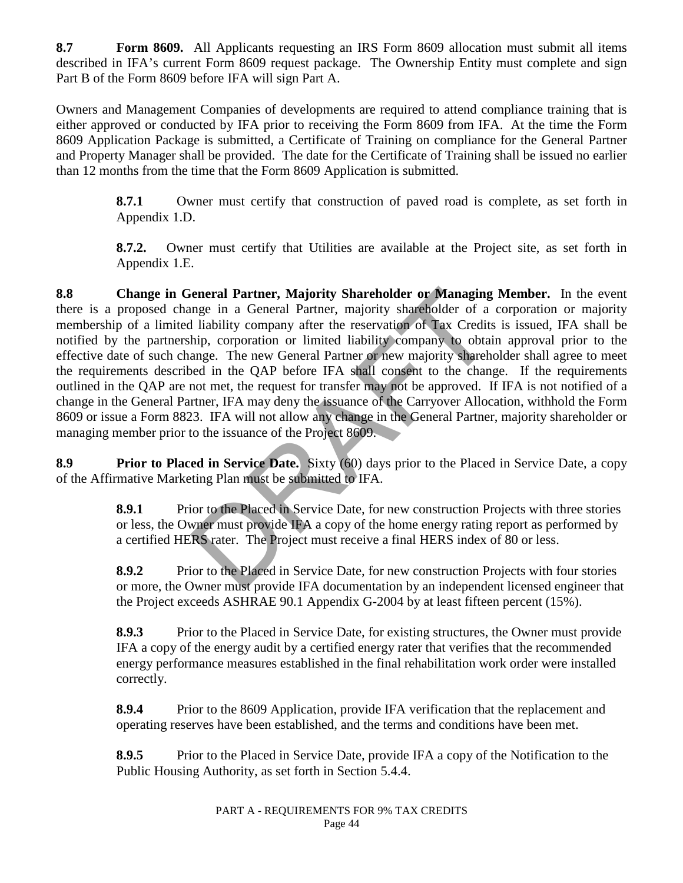**8.7 Form 8609.** All Applicants requesting an IRS Form 8609 allocation must submit all items described in IFA's current Form 8609 request package. The Ownership Entity must complete and sign Part B of the Form 8609 before IFA will sign Part A.

Owners and Management Companies of developments are required to attend compliance training that is either approved or conducted by IFA prior to receiving the Form 8609 from IFA. At the time the Form 8609 Application Package is submitted, a Certificate of Training on compliance for the General Partner and Property Manager shall be provided. The date for the Certificate of Training shall be issued no earlier than 12 months from the time that the Form 8609 Application is submitted.

> **8.7.1** Owner must certify that construction of paved road is complete, as set forth in Appendix 1.D.

> **8.7.2.** Owner must certify that Utilities are available at the Project site, as set forth in Appendix 1.E.

Ferrich Partner, Majority Shareholder or Managing<br>ting in a General Partner, majority shareholder or Managing<br>all liability company after the reservation of Tax Credits<br>hip, corporation or limited liability company to obta **8.8 Change in General Partner, Majority Shareholder or Managing Member.** In the event there is a proposed change in a General Partner, majority shareholder of a corporation or majority membership of a limited liability company after the reservation of Tax Credits is issued, IFA shall be notified by the partnership, corporation or limited liability company to obtain approval prior to the effective date of such change. The new General Partner or new majority shareholder shall agree to meet the requirements described in the QAP before IFA shall consent to the change. If the requirements outlined in the QAP are not met, the request for transfer may not be approved. If IFA is not notified of a change in the General Partner, IFA may deny the issuance of the Carryover Allocation, withhold the Form 8609 or issue a Form 8823. IFA will not allow any change in the General Partner, majority shareholder or managing member prior to the issuance of the Project 8609.

 **8.9 Prior to Placed in Service Date.** Sixty (60) days prior to the Placed in Service Date, a copy of the Affirmative Marketing Plan must be submitted to IFA.

> **8.9.1** Prior to the Placed in Service Date, for new construction Projects with three stories or less, the Owner must provide IFA a copy of the home energy rating report as performed by a certified HERS rater. The Project must receive a final HERS index of 80 or less.

> **8.9.2** Prior to the Placed in Service Date, for new construction Projects with four stories or more, the Owner must provide IFA documentation by an independent licensed engineer that the Project exceeds ASHRAE 90.1 Appendix G-2004 by at least fifteen percent (15%).

> **8.9.3** Prior to the Placed in Service Date, for existing structures, the Owner must provide IFA a copy of the energy audit by a certified energy rater that verifies that the recommended energy performance measures established in the final rehabilitation work order were installed correctly.

**8.9.4** Prior to the 8609 Application, provide IFA verification that the replacement and operating reserves have been established, and the terms and conditions have been met.

**8.9.5** Prior to the Placed in Service Date, provide IFA a copy of the Notification to the Public Housing Authority, as set forth in Section 5.4.4.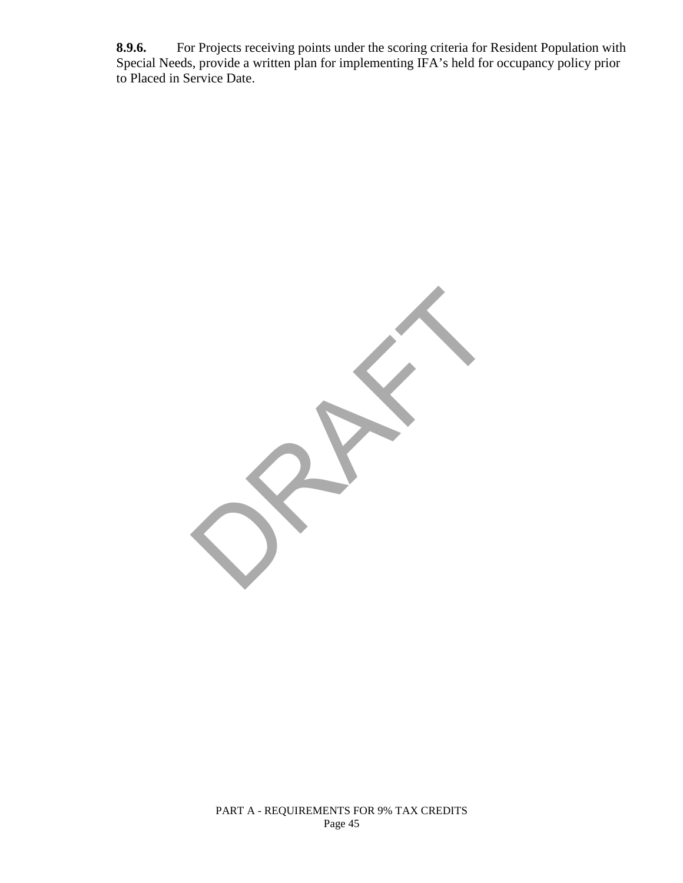**8.9.6.** For Projects receiving points under the scoring criteria for Resident Population with Special Needs, provide a written plan for implementing IFA's held for occupancy policy prior to Placed in Service Date.

DRAFT

PART A - REQUIREMENTS FOR 9% TAX CREDITS Page 45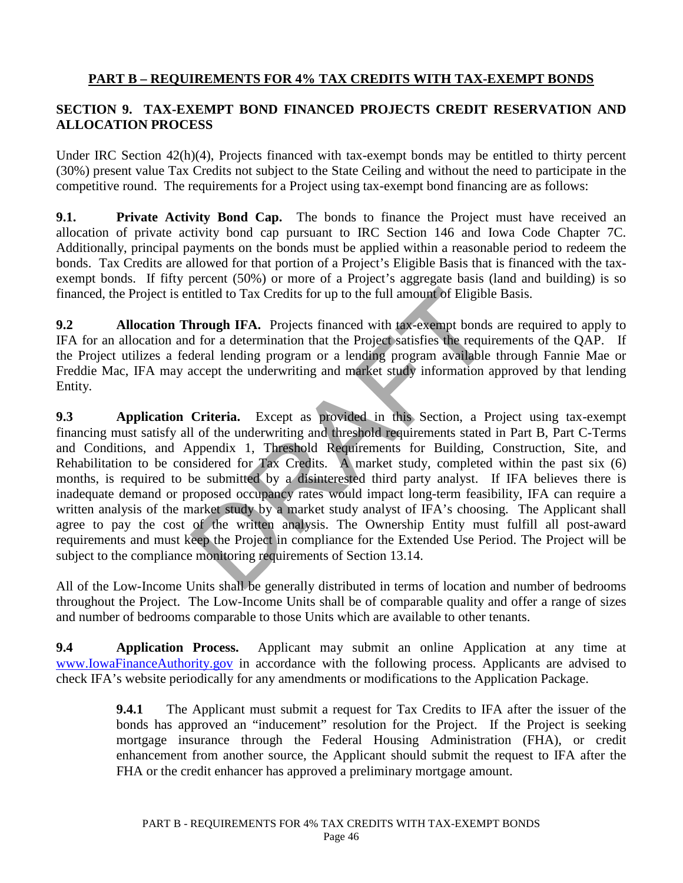# **PART B – REQUIREMENTS FOR 4% TAX CREDITS WITH TAX-EXEMPT BONDS**

## **SECTION 9. TAX-EXEMPT BOND FINANCED PROJECTS CREDIT RESERVATION AND ALLOCATION PROCESS**

Under IRC Section 42(h)(4), Projects financed with tax-exempt bonds may be entitled to thirty percent (30%) present value Tax Credits not subject to the State Ceiling and without the need to participate in the competitive round. The requirements for a Project using tax-exempt bond financing are as follows:

**9.1.** Private Activity Bond Cap. The bonds to finance the Project must have received an allocation of private activity bond cap pursuant to IRC Section 146 and Iowa Code Chapter 7C. Additionally, principal payments on the bonds must be applied within a reasonable period to redeem the bonds. Tax Credits are allowed for that portion of a Project's Eligible Basis that is financed with the taxexempt bonds. If fifty percent (50%) or more of a Project's aggregate basis (land and building) is so financed, the Project is entitled to Tax Credits for up to the full amount of Eligible Basis.

**9.2** Allocation Through IFA. Projects financed with tax-exempt bonds are required to apply to IFA for an allocation and for a determination that the Project satisfies the requirements of the QAP. If the Project utilizes a federal lending program or a lending program available through Fannie Mae or Freddie Mac, IFA may accept the underwriting and market study information approved by that lending Entity.

intitled to Tax Credits for up to the full amount of Eligible<br> **hrough IFA.** Projects financed with tax-exempt bonds<br>
d for a determination that the Project satisfies the requin<br>
deral lending program or a lending program **9.3 Application Criteria.** Except as provided in this Section, a Project using tax-exempt financing must satisfy all of the underwriting and threshold requirements stated in Part B, Part C-Terms and Conditions, and Appendix 1, Threshold Requirements for Building, Construction, Site, and Rehabilitation to be considered for Tax Credits. A market study, completed within the past six  $(6)$ months, is required to be submitted by a disinterested third party analyst. If IFA believes there is inadequate demand or proposed occupancy rates would impact long-term feasibility, IFA can require a written analysis of the market study by a market study analyst of IFA's choosing. The Applicant shall agree to pay the cost of the written analysis. The Ownership Entity must fulfill all post-award requirements and must keep the Project in compliance for the Extended Use Period. The Project will be subject to the compliance monitoring requirements of Section 13.14.

All of the Low-Income Units shall be generally distributed in terms of location and number of bedrooms throughout the Project. The Low-Income Units shall be of comparable quality and offer a range of sizes and number of bedrooms comparable to those Units which are available to other tenants.

**9.4 Application Process.** Applicant may submit an online Application at any time at [www.IowaFinanceAuthority.gov](http://www.iowafinanceauthority.gov/) in accordance with the following process. Applicants are advised to check IFA's website periodically for any amendments or modifications to the Application Package.

> **9.4.1** The Applicant must submit a request for Tax Credits to IFA after the issuer of the bonds has approved an "inducement" resolution for the Project. If the Project is seeking mortgage insurance through the Federal Housing Administration (FHA), or credit enhancement from another source, the Applicant should submit the request to IFA after the FHA or the credit enhancer has approved a preliminary mortgage amount.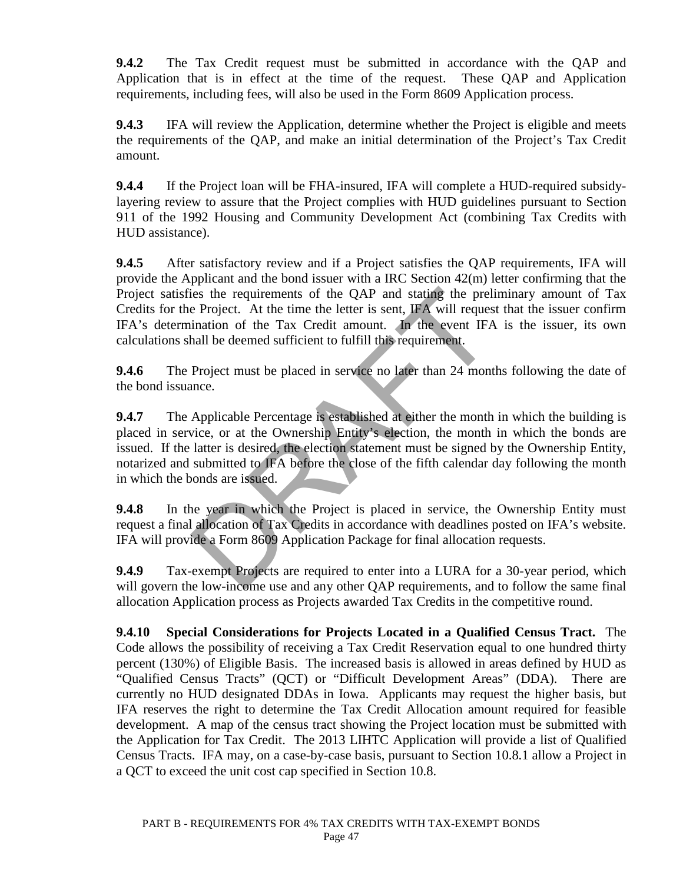**9.4.2** The Tax Credit request must be submitted in accordance with the QAP and Application that is in effect at the time of the request. These QAP and Application requirements, including fees, will also be used in the Form 8609 Application process.

**9.4.3** IFA will review the Application, determine whether the Project is eligible and meets the requirements of the QAP, and make an initial determination of the Project's Tax Credit amount.

**9.4.4** If the Project loan will be FHA-insured, IFA will complete a HUD-required subsidylayering review to assure that the Project complies with HUD guidelines pursuant to Section 911 of the 1992 Housing and Community Development Act (combining Tax Credits with HUD assistance).

**9.4.5** • After satisfactory review and if a Project satisfies the QAP requirements, IFA will provide the Applicant and the bond issuer with a IRC Section 42(m) letter confirming that the Project satisfies the requirements of the QAP and stating the preliminary amount of Tax Credits for the Project. At the time the letter is sent, IFA will request that the issuer confirm IFA's determination of the Tax Credit amount. In the event IFA is the issuer, its own calculations shall be deemed sufficient to fulfill this requirement.

**9.4.6** The Project must be placed in service no later than 24 months following the date of the bond issuance.

ies the requirements of the QAP and stating the prelives the requirements of the QAP and stating the prelives Project. At the time the letter is sent, IFA will requese ination of the Tax Credit amount. In the event IFA hal **9.4.7** The Applicable Percentage is established at either the month in which the building is placed in service, or at the Ownership Entity's election, the month in which the bonds are issued. If the latter is desired, the election statement must be signed by the Ownership Entity, notarized and submitted to IFA before the close of the fifth calendar day following the month in which the bonds are issued.

 **9.4.8** In the year in which the Project is placed in service, the Ownership Entity must request a final allocation of Tax Credits in accordance with deadlines posted on IFA's website. IFA will provide a Form 8609 Application Package for final allocation requests.

**9.4.9** Tax-exempt Projects are required to enter into a LURA for a 30-year period, which will govern the low-income use and any other QAP requirements, and to follow the same final allocation Application process as Projects awarded Tax Credits in the competitive round.

**9.4.10 Special Considerations for Projects Located in a Qualified Census Tract.** The Code allows the possibility of receiving a Tax Credit Reservation equal to one hundred thirty percent (130%) of Eligible Basis. The increased basis is allowed in areas defined by HUD as "Qualified Census Tracts" (QCT) or "Difficult Development Areas" (DDA). There are currently no HUD designated DDAs in Iowa. Applicants may request the higher basis, but IFA reserves the right to determine the Tax Credit Allocation amount required for feasible development. A map of the census tract showing the Project location must be submitted with the Application for Tax Credit. The 2013 LIHTC Application will provide a list of Qualified Census Tracts. IFA may, on a case-by-case basis, pursuant to Section 10.8.1 allow a Project in a QCT to exceed the unit cost cap specified in Section 10.8.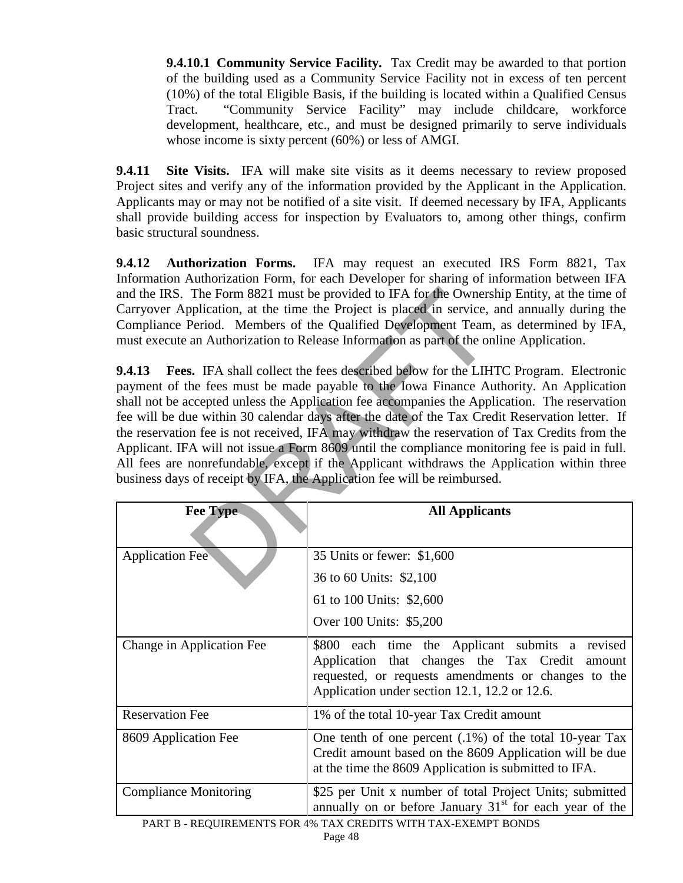**9.4.10.1 Community Service Facility.** Tax Credit may be awarded to that portion of the building used as a Community Service Facility not in excess of ten percent (10%) of the total Eligible Basis, if the building is located within a Qualified Census Tract. "Community Service Facility" may include childcare, workforce development, healthcare, etc., and must be designed primarily to serve individuals whose income is sixty percent (60%) or less of AMGI.

**9.4.11 Site Visits.** IFA will make site visits as it deems necessary to review proposed Project sites and verify any of the information provided by the Applicant in the Application. Applicants may or may not be notified of a site visit. If deemed necessary by IFA, Applicants shall provide building access for inspection by Evaluators to, among other things, confirm basic structural soundness.

 **9.4.12 Authorization Forms.** IFA may request an executed IRS Form 8821, Tax Information Authorization Form, for each Developer for sharing of information between IFA and the IRS. The Form 8821 must be provided to IFA for the Ownership Entity, at the time of Carryover Application, at the time the Project is placed in service, and annually during the Compliance Period. Members of the Qualified Development Team, as determined by IFA, must execute an Authorization to Release Information as part of the online Application.

The Form 8821 must be provided to IFA for the Owners<br>pplication, at the time the Project is placed in service,<br>Period. Members of the Qualified Development Team,<br>an Authorization to Release Information as part of the on<br>i.  **9.4.13 Fees.** IFA shall collect the fees described below for the LIHTC Program. Electronic payment of the fees must be made payable to the Iowa Finance Authority. An Application shall not be accepted unless the Application fee accompanies the Application. The reservation fee will be due within 30 calendar days after the date of the Tax Credit Reservation letter. If the reservation fee is not received, IFA may withdraw the reservation of Tax Credits from the Applicant. IFA will not issue a Form 8609 until the compliance monitoring fee is paid in full. All fees are nonrefundable, except if the Applicant withdraws the Application within three business days of receipt by IFA, the Application fee will be reimbursed.

| <b>Fee Type</b>              | <b>All Applicants</b>                                                                                                                                                                                           |
|------------------------------|-----------------------------------------------------------------------------------------------------------------------------------------------------------------------------------------------------------------|
| <b>Application Fee</b>       | 35 Units or fewer: \$1,600                                                                                                                                                                                      |
|                              | 36 to 60 Units: \$2,100                                                                                                                                                                                         |
|                              | 61 to 100 Units: \$2,600                                                                                                                                                                                        |
|                              | Over 100 Units: \$5,200                                                                                                                                                                                         |
| Change in Application Fee    | \$800 each time the Applicant submits a<br>revised<br>Application that changes the Tax Credit<br>amount<br>requested, or requests amendments or changes to the<br>Application under section 12.1, 12.2 or 12.6. |
| <b>Reservation Fee</b>       | 1% of the total 10-year Tax Credit amount                                                                                                                                                                       |
| 8609 Application Fee         | One tenth of one percent $(.1\%)$ of the total 10-year Tax<br>Credit amount based on the 8609 Application will be due<br>at the time the 8609 Application is submitted to IFA.                                  |
| <b>Compliance Monitoring</b> | \$25 per Unit x number of total Project Units; submitted<br>annually on or before January 31 <sup>st</sup> for each year of the<br>LARE DEOUDELEVES FOR 40/ TAV ORENTS WITH TAV EVELOP ROUDS                    |

PART B - REQUIREMENTS FOR 4% TAX CREDITS WITH TAX-EXEMPT BONDS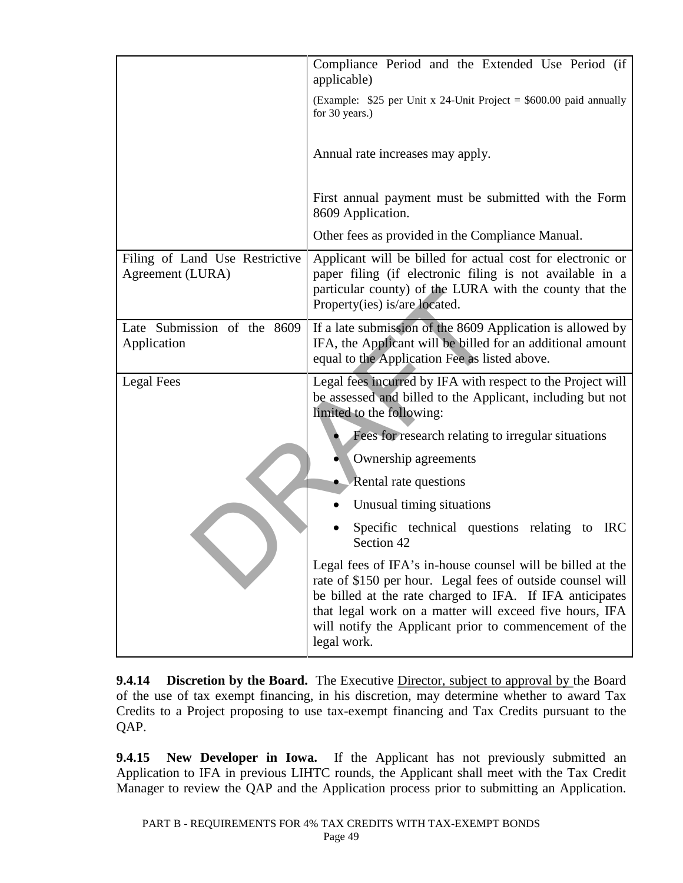|                                                    | Compliance Period and the Extended Use Period (if<br>applicable)                                                                                                                                                                                                                                                         |  |  |  |
|----------------------------------------------------|--------------------------------------------------------------------------------------------------------------------------------------------------------------------------------------------------------------------------------------------------------------------------------------------------------------------------|--|--|--|
|                                                    | (Example: $$25$ per Unit x 24-Unit Project = $$600.00$ paid annually<br>for 30 years.)                                                                                                                                                                                                                                   |  |  |  |
|                                                    | Annual rate increases may apply.                                                                                                                                                                                                                                                                                         |  |  |  |
|                                                    | First annual payment must be submitted with the Form<br>8609 Application.                                                                                                                                                                                                                                                |  |  |  |
|                                                    | Other fees as provided in the Compliance Manual.                                                                                                                                                                                                                                                                         |  |  |  |
| Filing of Land Use Restrictive<br>Agreement (LURA) | Applicant will be billed for actual cost for electronic or<br>paper filing (if electronic filing is not available in a<br>particular county) of the LURA with the county that the<br>Property(ies) is/are located.                                                                                                       |  |  |  |
| Late Submission of the 8609<br>Application         | If a late submission of the 8609 Application is allowed by<br>IFA, the Applicant will be billed for an additional amount<br>equal to the Application Fee as listed above.                                                                                                                                                |  |  |  |
| Legal Fees                                         | Legal fees incurred by IFA with respect to the Project will<br>be assessed and billed to the Applicant, including but not<br>limited to the following:                                                                                                                                                                   |  |  |  |
|                                                    | Fees for research relating to irregular situations                                                                                                                                                                                                                                                                       |  |  |  |
|                                                    | Ownership agreements                                                                                                                                                                                                                                                                                                     |  |  |  |
|                                                    | Rental rate questions                                                                                                                                                                                                                                                                                                    |  |  |  |
|                                                    | Unusual timing situations                                                                                                                                                                                                                                                                                                |  |  |  |
|                                                    | Specific technical questions relating to<br><b>IRC</b><br>Section 42                                                                                                                                                                                                                                                     |  |  |  |
|                                                    | Legal fees of IFA's in-house counsel will be billed at the<br>rate of \$150 per hour. Legal fees of outside counsel will<br>be billed at the rate charged to IFA. If IFA anticipates<br>that legal work on a matter will exceed five hours, IFA<br>will notify the Applicant prior to commencement of the<br>legal work. |  |  |  |

**9.4.14 Discretion by the Board.** The Executive Director, subject to approval by the Board of the use of tax exempt financing, in his discretion, may determine whether to award Tax Credits to a Project proposing to use tax-exempt financing and Tax Credits pursuant to the QAP.

**9.4.15 New Developer in Iowa.** If the Applicant has not previously submitted an Application to IFA in previous LIHTC rounds, the Applicant shall meet with the Tax Credit Manager to review the QAP and the Application process prior to submitting an Application.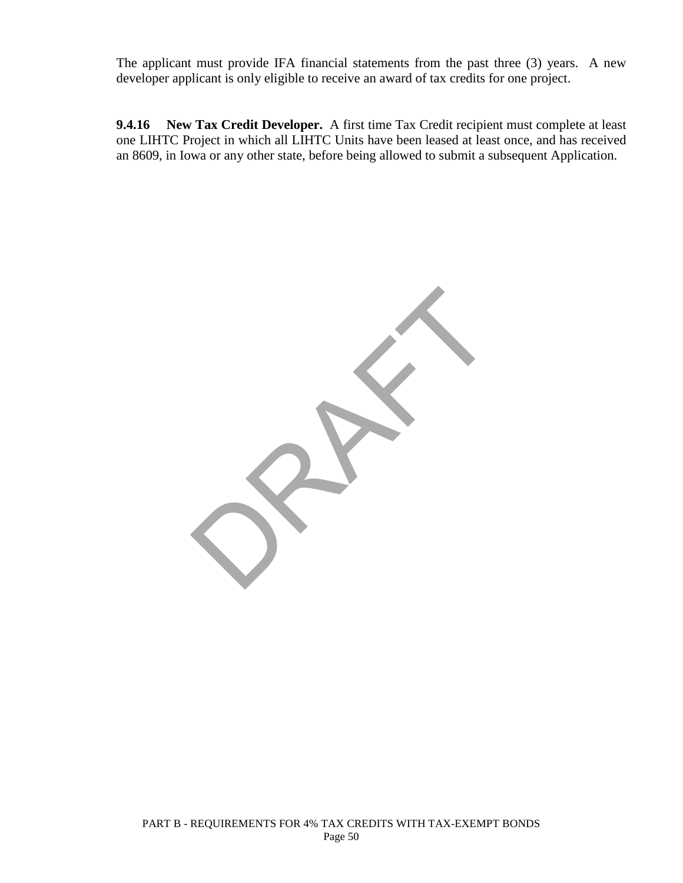The applicant must provide IFA financial statements from the past three (3) years. A new developer applicant is only eligible to receive an award of tax credits for one project.

**9.4.16 New Tax Credit Developer.** A first time Tax Credit recipient must complete at least one LIHTC Project in which all LIHTC Units have been leased at least once, and has received an 8609, in Iowa or any other state, before being allowed to submit a subsequent Application.

PRAFT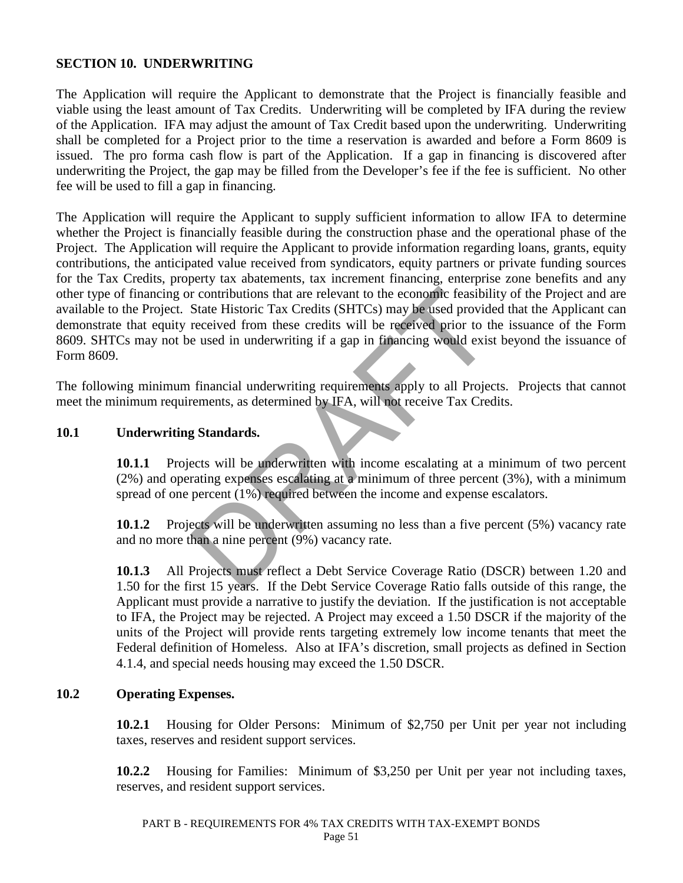#### **SECTION 10. UNDERWRITING**

The Application will require the Applicant to demonstrate that the Project is financially feasible and viable using the least amount of Tax Credits. Underwriting will be completed by IFA during the review of the Application. IFA may adjust the amount of Tax Credit based upon the underwriting. Underwriting shall be completed for a Project prior to the time a reservation is awarded and before a Form 8609 is issued. The pro forma cash flow is part of the Application. If a gap in financing is discovered after underwriting the Project, the gap may be filled from the Developer's fee if the fee is sufficient. No other fee will be used to fill a gap in financing.

The contributions that are relevant to the economic feasibilist<br>State Historic Tax Credits (SHTCs) may be used providenceived from these credits will be received prior to the<br>used in underwriting if a gap in financing woul The Application will require the Applicant to supply sufficient information to allow IFA to determine whether the Project is financially feasible during the construction phase and the operational phase of the Project. The Application will require the Applicant to provide information regarding loans, grants, equity contributions, the anticipated value received from syndicators, equity partners or private funding sources for the Tax Credits, property tax abatements, tax increment financing, enterprise zone benefits and any other type of financing or contributions that are relevant to the economic feasibility of the Project and are available to the Project. State Historic Tax Credits (SHTCs) may be used provided that the Applicant can demonstrate that equity received from these credits will be received prior to the issuance of the Form 8609. SHTCs may not be used in underwriting if a gap in financing would exist beyond the issuance of Form 8609.

The following minimum financial underwriting requirements apply to all Projects. Projects that cannot meet the minimum requirements, as determined by IFA, will not receive Tax Credits.

#### **10.1 Underwriting Standards.**

 **10.1.1** Projects will be underwritten with income escalating at a minimum of two percent (2%) and operating expenses escalating at a minimum of three percent (3%), with a minimum spread of one percent (1%) required between the income and expense escalators.

**10.1.2** Projects will be underwritten assuming no less than a five percent (5%) vacancy rate and no more than a nine percent (9%) vacancy rate.

**10.1.3** All Projects must reflect a Debt Service Coverage Ratio (DSCR) between 1.20 and 1.50 for the first 15 years. If the Debt Service Coverage Ratio falls outside of this range, the Applicant must provide a narrative to justify the deviation. If the justification is not acceptable to IFA, the Project may be rejected. A Project may exceed a 1.50 DSCR if the majority of the units of the Project will provide rents targeting extremely low income tenants that meet the Federal definition of Homeless. Also at IFA's discretion, small projects as defined in Section 4.1.4, and special needs housing may exceed the 1.50 DSCR.

### **10.2 Operating Expenses.**

 **10.2.1** Housing for Older Persons: Minimum of \$2,750 per Unit per year not including taxes, reserves and resident support services.

 **10.2.2** Housing for Families: Minimum of \$3,250 per Unit per year not including taxes, reserves, and resident support services.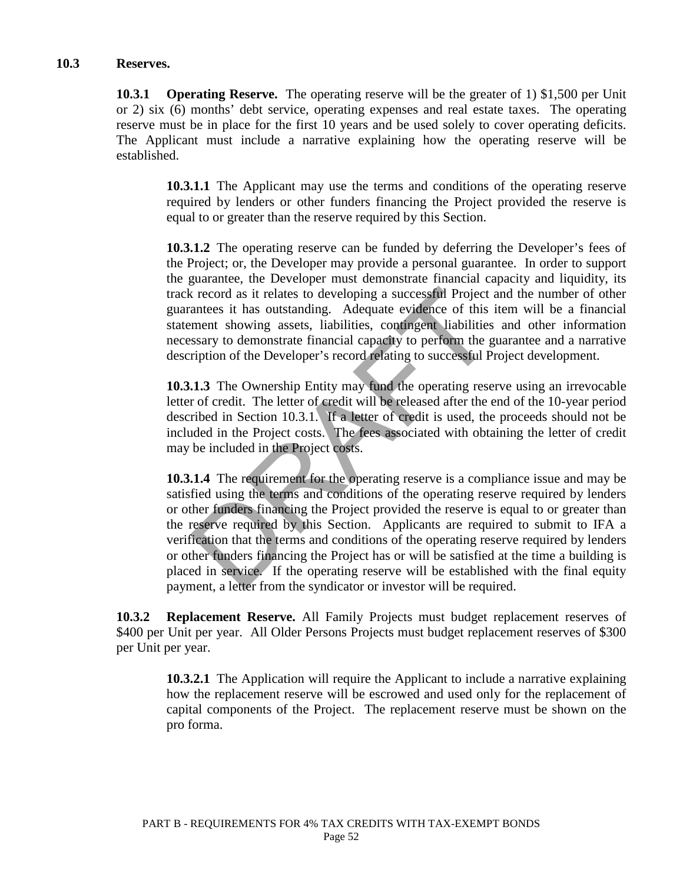#### **10.3 Reserves.**

 **10.3.1 Operating Reserve.** The operating reserve will be the greater of 1) \$1,500 per Unit or 2) six (6) months' debt service, operating expenses and real estate taxes. The operating reserve must be in place for the first 10 years and be used solely to cover operating deficits. The Applicant must include a narrative explaining how the operating reserve will be established.

 **10.3.1.1** The Applicant may use the terms and conditions of the operating reserve required by lenders or other funders financing the Project provided the reserve is equal to or greater than the reserve required by this Section.

 **10.3.1.2** The operating reserve can be funded by deferring the Developer's fees of the Project; or, the Developer may provide a personal guarantee. In order to support the guarantee, the Developer must demonstrate financial capacity and liquidity, its track record as it relates to developing a successful Project and the number of other guarantees it has outstanding. Adequate evidence of this item will be a financial statement showing assets, liabilities, contingent liabilities and other information necessary to demonstrate financial capacity to perform the guarantee and a narrative description of the Developer's record relating to successful Project development.

 **10.3.1.3** The Ownership Entity may fund the operating reserve using an irrevocable letter of credit. The letter of credit will be released after the end of the 10-year period described in Section 10.3.1. If a letter of credit is used, the proceeds should not be included in the Project costs. The fees associated with obtaining the letter of credit may be included in the Project costs.

Exercise at the state of developing a successful Project<br>
antees it has outstanding. Adequate evidence of this<br>
ment showing assets, liabilities, contingent liabilities<br>
ssary to demonstrate financial capacity to perform t **10.3.1.4** The requirement for the operating reserve is a compliance issue and may be satisfied using the terms and conditions of the operating reserve required by lenders or other funders financing the Project provided the reserve is equal to or greater than the reserve required by this Section. Applicants are required to submit to IFA a verification that the terms and conditions of the operating reserve required by lenders or other funders financing the Project has or will be satisfied at the time a building is placed in service. If the operating reserve will be established with the final equity payment, a letter from the syndicator or investor will be required.

 **10.3.2 Replacement Reserve.** All Family Projects must budget replacement reserves of \$400 per Unit per year. All Older Persons Projects must budget replacement reserves of \$300 per Unit per year.

 **10.3.2.1** The Application will require the Applicant to include a narrative explaining how the replacement reserve will be escrowed and used only for the replacement of capital components of the Project. The replacement reserve must be shown on the pro forma.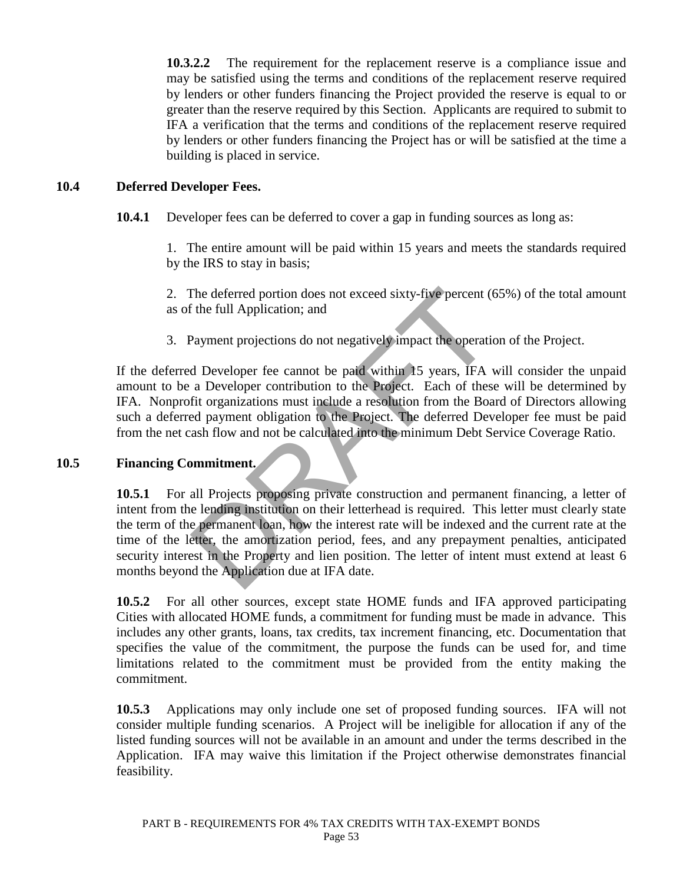**10.3.2.2** The requirement for the replacement reserve is a compliance issue and may be satisfied using the terms and conditions of the replacement reserve required by lenders or other funders financing the Project provided the reserve is equal to or greater than the reserve required by this Section. Applicants are required to submit to IFA a verification that the terms and conditions of the replacement reserve required by lenders or other funders financing the Project has or will be satisfied at the time a building is placed in service.

#### **10.4 Deferred Developer Fees.**

**10.4.1** Developer fees can be deferred to cover a gap in funding sources as long as:

1. The entire amount will be paid within 15 years and meets the standards required by the IRS to stay in basis;

2. The deferred portion does not exceed sixty-five percent (65%) of the total amount as of the full Application; and

3. Payment projections do not negatively impact the operation of the Project.

If the deferred Developer fee cannot be paid within 15 years, IFA will consider the unpaid amount to be a Developer contribution to the Project. Each of these will be determined by IFA. Nonprofit organizations must include a resolution from the Board of Directors allowing such a deferred payment obligation to the Project. The deferred Developer fee must be paid from the net cash flow and not be calculated into the minimum Debt Service Coverage Ratio.

#### **10.5 Financing Commitment.**

The deferred portion does not exceed sixty-five percent (<br>
f the full Application; and<br>
Payment projections do not negatively impact the operation<br>
d Developer fee cannot be paid within 15 years, IFA<br>
a Developer contribut **10.5.1** For all Projects proposing private construction and permanent financing, a letter of intent from the lending institution on their letterhead is required. This letter must clearly state the term of the permanent loan, how the interest rate will be indexed and the current rate at the time of the letter, the amortization period, fees, and any prepayment penalties, anticipated security interest in the Property and lien position. The letter of intent must extend at least 6 months beyond the Application due at IFA date.

**10.5.2** For all other sources, except state HOME funds and IFA approved participating Cities with allocated HOME funds, a commitment for funding must be made in advance. This includes any other grants, loans, tax credits, tax increment financing, etc. Documentation that specifies the value of the commitment, the purpose the funds can be used for, and time limitations related to the commitment must be provided from the entity making the commitment.

**10.5.3** Applications may only include one set of proposed funding sources. IFA will not consider multiple funding scenarios. A Project will be ineligible for allocation if any of the listed funding sources will not be available in an amount and under the terms described in the Application. IFA may waive this limitation if the Project otherwise demonstrates financial feasibility.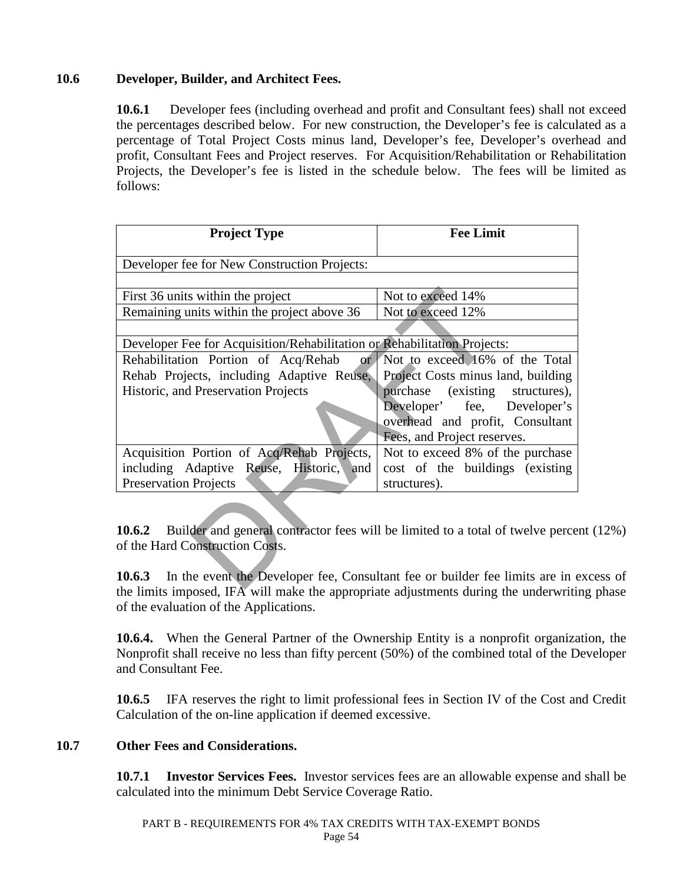## **10.6 Developer, Builder, and Architect Fees.**

**10.6.1** Developer fees (including overhead and profit and Consultant fees) shall not exceed the percentages described below. For new construction, the Developer's fee is calculated as a percentage of Total Project Costs minus land, Developer's fee, Developer's overhead and profit, Consultant Fees and Project reserves. For Acquisition/Rehabilitation or Rehabilitation Projects, the Developer's fee is listed in the schedule below. The fees will be limited as follows:

| <b>Project Type</b>                                                                                                                                                                                                                                                                                                                                   | <b>Fee Limit</b>                   |  |
|-------------------------------------------------------------------------------------------------------------------------------------------------------------------------------------------------------------------------------------------------------------------------------------------------------------------------------------------------------|------------------------------------|--|
| Developer fee for New Construction Projects:                                                                                                                                                                                                                                                                                                          |                                    |  |
|                                                                                                                                                                                                                                                                                                                                                       |                                    |  |
| First 36 units within the project                                                                                                                                                                                                                                                                                                                     | Not to exceed 14%                  |  |
| Remaining units within the project above 36                                                                                                                                                                                                                                                                                                           | Not to exceed 12%                  |  |
|                                                                                                                                                                                                                                                                                                                                                       |                                    |  |
| Developer Fee for Acquisition/Rehabilitation or Rehabilitation Projects:                                                                                                                                                                                                                                                                              |                                    |  |
| Rehabilitation Portion of Acq/Rehab<br>or                                                                                                                                                                                                                                                                                                             | Not to exceed 16% of the Total     |  |
| Rehab Projects, including Adaptive Reuse,                                                                                                                                                                                                                                                                                                             | Project Costs minus land, building |  |
| Historic, and Preservation Projects                                                                                                                                                                                                                                                                                                                   | purchase (existing structures),    |  |
|                                                                                                                                                                                                                                                                                                                                                       | Developer' fee, Developer's        |  |
|                                                                                                                                                                                                                                                                                                                                                       | overhead and profit, Consultant    |  |
|                                                                                                                                                                                                                                                                                                                                                       | Fees, and Project reserves.        |  |
| Acquisition Portion of Acq/Rehab Projects,                                                                                                                                                                                                                                                                                                            | Not to exceed 8% of the purchase   |  |
| including Adaptive Reuse, Historic, and                                                                                                                                                                                                                                                                                                               | cost of the buildings (existing)   |  |
| <b>Preservation Projects</b>                                                                                                                                                                                                                                                                                                                          | structures).                       |  |
|                                                                                                                                                                                                                                                                                                                                                       |                                    |  |
|                                                                                                                                                                                                                                                                                                                                                       |                                    |  |
| 10.6.2 Builder and general contractor fees will be limited to a total of twelve perce                                                                                                                                                                                                                                                                 |                                    |  |
| of the Hard Construction Costs.                                                                                                                                                                                                                                                                                                                       |                                    |  |
|                                                                                                                                                                                                                                                                                                                                                       |                                    |  |
| 10.6.3 In the event the Developer fee, Consultant fee or builder fee limits are in e<br>$\mathbf{r}$ and the contract of the contract of the contract of the contract of the contract of the contract of the contract of the contract of the contract of the contract of the contract of the contract of the contract of<br>$\mathbf{1}$ $\mathbf{1}$ |                                    |  |

 **10.6.2** Builder and general contractor fees will be limited to a total of twelve percent (12%) of the Hard Construction Costs.

 **10.6.3** In the event the Developer fee, Consultant fee or builder fee limits are in excess of the limits imposed, IFA will make the appropriate adjustments during the underwriting phase of the evaluation of the Applications.

 **10.6.4.** When the General Partner of the Ownership Entity is a nonprofit organization, the Nonprofit shall receive no less than fifty percent (50%) of the combined total of the Developer and Consultant Fee.

**10.6.5** IFA reserves the right to limit professional fees in Section IV of the Cost and Credit Calculation of the on-line application if deemed excessive.

### **10.7 Other Fees and Considerations.**

 **10.7.1 Investor Services Fees.** Investor services fees are an allowable expense and shall be calculated into the minimum Debt Service Coverage Ratio.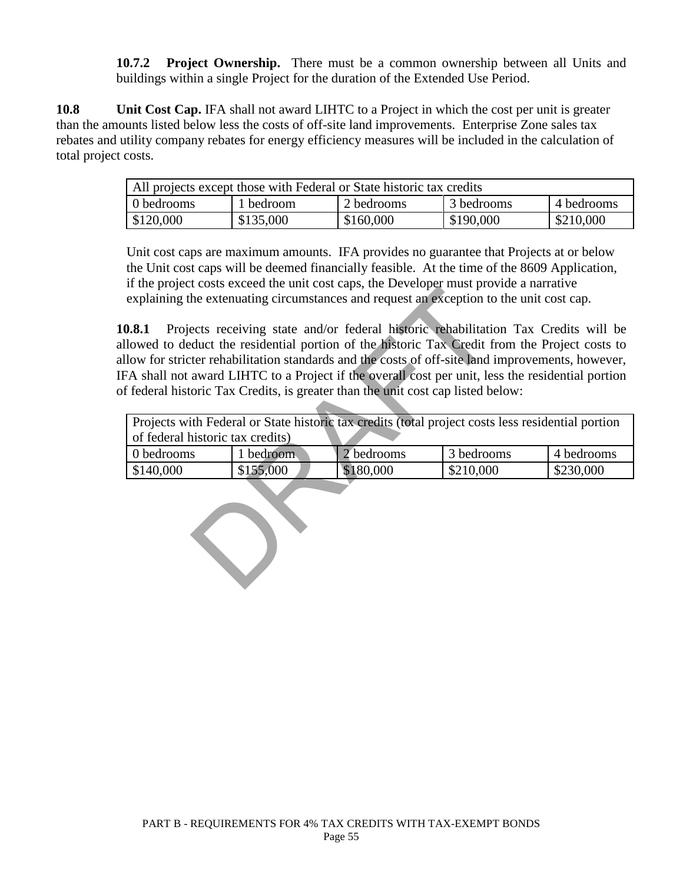**10.7.2 Project Ownership.** There must be a common ownership between all Units and buildings within a single Project for the duration of the Extended Use Period.

**10.8** Unit Cost Cap. IFA shall not award LIHTC to a Project in which the cost per unit is greater than the amounts listed below less the costs of off-site land improvements. Enterprise Zone sales tax rebates and utility company rebates for energy efficiency measures will be included in the calculation of total project costs.

| All projects except those with Federal or State historic tax credits |           |            |            |            |  |  |  |
|----------------------------------------------------------------------|-----------|------------|------------|------------|--|--|--|
| 0 bedrooms                                                           | 1 bedroom | 2 bedrooms | 3 bedrooms | 4 bedrooms |  |  |  |
| \$120,000                                                            | \$135,000 | \$160,000  | \$190,000  | \$210,000  |  |  |  |

Unit cost caps are maximum amounts. IFA provides no guarantee that Projects at or below the Unit cost caps will be deemed financially feasible. At the time of the 8609 Application, if the project costs exceed the unit cost caps, the Developer must provide a narrative explaining the extenuating circumstances and request an exception to the unit cost cap.

France and Transfer and Transfer and Transfer and Transfer and Transfer and Transfer and Transfer and Transfer and Transfer and Transfer and Transfer and Transfer and Transfer and Transfer and Transfer and Transfer and awa **10.8.1** Projects receiving state and/or federal historic rehabilitation Tax Credits will be allowed to deduct the residential portion of the historic Tax Credit from the Project costs to allow for stricter rehabilitation standards and the costs of off-site land improvements, however, IFA shall not award LIHTC to a Project if the overall cost per unit, less the residential portion of federal historic Tax Credits, is greater than the unit cost cap listed below:

| Projects with Federal or State historic tax credits (total project costs less residential portion |           |            |            |            |  |  |  |
|---------------------------------------------------------------------------------------------------|-----------|------------|------------|------------|--|--|--|
| of federal historic tax credits)                                                                  |           |            |            |            |  |  |  |
| 0 bedrooms                                                                                        | 1 bedroom | 2 bedrooms | 3 bedrooms | 4 bedrooms |  |  |  |
| \$140,000                                                                                         | \$155,000 | \$180,000  | \$210,000  | \$230,000  |  |  |  |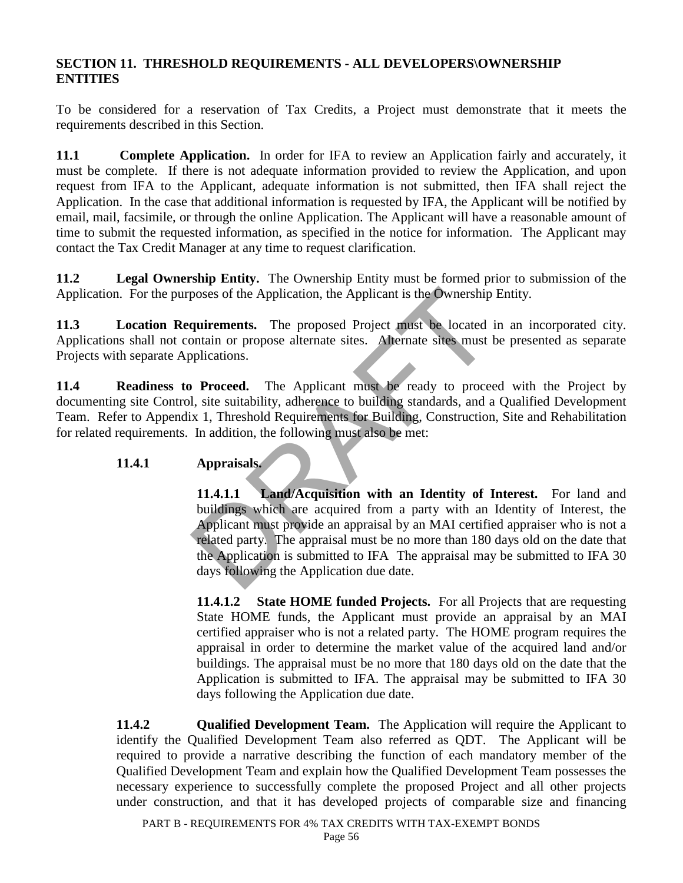### **SECTION 11. THRESHOLD REQUIREMENTS - ALL DEVELOPERS\OWNERSHIP ENTITIES**

To be considered for a reservation of Tax Credits, a Project must demonstrate that it meets the requirements described in this Section.

**11.1 Complete Application.** In order for IFA to review an Application fairly and accurately, it must be complete. If there is not adequate information provided to review the Application, and upon request from IFA to the Applicant, adequate information is not submitted, then IFA shall reject the Application. In the case that additional information is requested by IFA, the Applicant will be notified by email, mail, facsimile, or through the online Application. The Applicant will have a reasonable amount of time to submit the requested information, as specified in the notice for information. The Applicant may contact the Tax Credit Manager at any time to request clarification.

**11.2 Legal Ownership Entity.** The Ownership Entity must be formed prior to submission of the Application. For the purposes of the Application, the Applicant is the Ownership Entity.

**11.3 Location Requirements.** The proposed Project must be located in an incorporated city. Applications shall not contain or propose alternate sites. Alternate sites must be presented as separate Projects with separate Applications.

11.4 **Readiness to Proceed.** The Applicant must be ready to proceed with the Project by documenting site Control, site suitability, adherence to building standards, and a Qualified Development Team. Refer to Appendix 1, Threshold Requirements for Building, Construction, Site and Rehabilitation for related requirements. In addition, the following must also be met:

# **11.4.1 Appraisals.**

provides of the Application, the Applicant is the Ownership<br> **quirements.** The proposed Project must be located<br>
botain or propose alternate sites. Alternate sites must<br>
plications.<br> **DRAFT PRAFT DRAFT DRAFT ACTION** The st **11.4.1.1 Land/Acquisition with an Identity of Interest.** For land and buildings which are acquired from a party with an Identity of Interest, the Applicant must provide an appraisal by an MAI certified appraiser who is not a related party. The appraisal must be no more than 180 days old on the date that the Application is submitted to IFA The appraisal may be submitted to IFA 30 days following the Application due date.

**11.4.1.2** State HOME funded Projects. For all Projects that are requesting State HOME funds, the Applicant must provide an appraisal by an MAI certified appraiser who is not a related party. The HOME program requires the appraisal in order to determine the market value of the acquired land and/or buildings. The appraisal must be no more that 180 days old on the date that the Application is submitted to IFA. The appraisal may be submitted to IFA 30 days following the Application due date.

**11.4.2 Qualified Development Team.** The Application will require the Applicant to identify the Qualified Development Team also referred as QDT. The Applicant will be required to provide a narrative describing the function of each mandatory member of the Qualified Development Team and explain how the Qualified Development Team possesses the necessary experience to successfully complete the proposed Project and all other projects under construction, and that it has developed projects of comparable size and financing

PART B - REQUIREMENTS FOR 4% TAX CREDITS WITH TAX-EXEMPT BONDS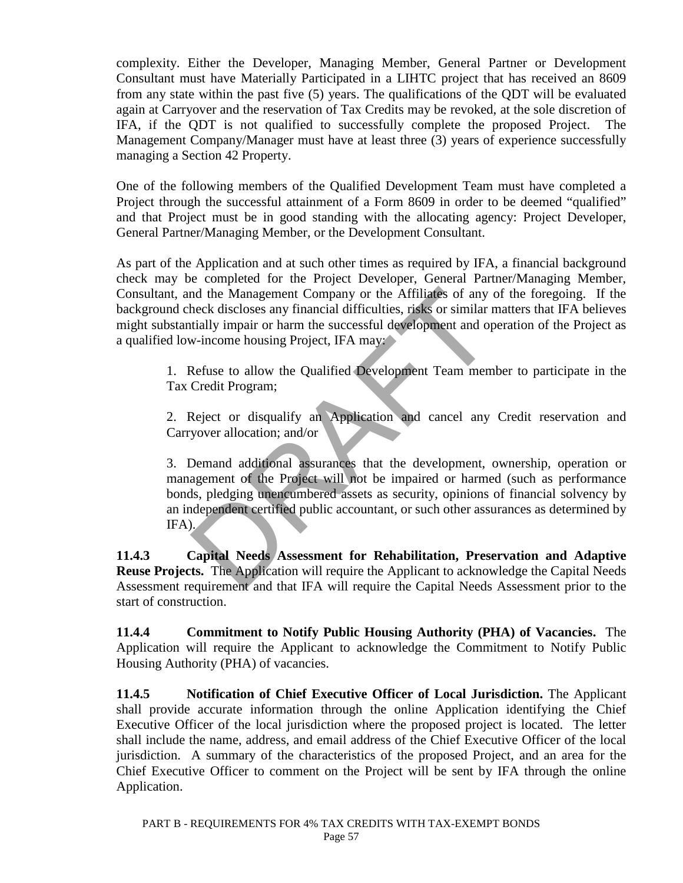complexity. Either the Developer, Managing Member, General Partner or Development Consultant must have Materially Participated in a LIHTC project that has received an 8609 from any state within the past five (5) years. The qualifications of the QDT will be evaluated again at Carryover and the reservation of Tax Credits may be revoked, at the sole discretion of IFA, if the QDT is not qualified to successfully complete the proposed Project. The Management Company/Manager must have at least three (3) years of experience successfully managing a Section 42 Property.

One of the following members of the Qualified Development Team must have completed a Project through the successful attainment of a Form 8609 in order to be deemed "qualified" and that Project must be in good standing with the allocating agency: Project Developer, General Partner/Managing Member, or the Development Consultant.

As part of the Application and at such other times as required by IFA, a financial background check may be completed for the Project Developer, General Partner/Managing Member, Consultant, and the Management Company or the Affiliates of any of the foregoing. If the background check discloses any financial difficulties, risks or similar matters that IFA believes might substantially impair or harm the successful development and operation of the Project as a qualified low-income housing Project, IFA may:

1. Refuse to allow the Qualified Development Team member to participate in the Tax Credit Program;

2. Reject or disqualify an Application and cancel any Credit reservation and Carryover allocation; and/or

nd the Management Company or the Affiliates of any<br>heck discloses any financial difficulties, risks or similar itially impair or harm the successful development and on<br>w-income housing Project, IFA may:<br>Refuse to allow the 3. Demand additional assurances that the development, ownership, operation or management of the Project will not be impaired or harmed (such as performance bonds, pledging unencumbered assets as security, opinions of financial solvency by an independent certified public accountant, or such other assurances as determined by IFA).

 **11.4.3 Capital Needs Assessment for Rehabilitation, Preservation and Adaptive Reuse Projects.** The Application will require the Applicant to acknowledge the Capital Needs Assessment requirement and that IFA will require the Capital Needs Assessment prior to the start of construction.

**11.4.4 Commitment to Notify Public Housing Authority (PHA) of Vacancies.** The Application will require the Applicant to acknowledge the Commitment to Notify Public Housing Authority (PHA) of vacancies.

**11.4.5 Notification of Chief Executive Officer of Local Jurisdiction.** The Applicant shall provide accurate information through the online Application identifying the Chief Executive Officer of the local jurisdiction where the proposed project is located. The letter shall include the name, address, and email address of the Chief Executive Officer of the local jurisdiction. A summary of the characteristics of the proposed Project, and an area for the Chief Executive Officer to comment on the Project will be sent by IFA through the online Application.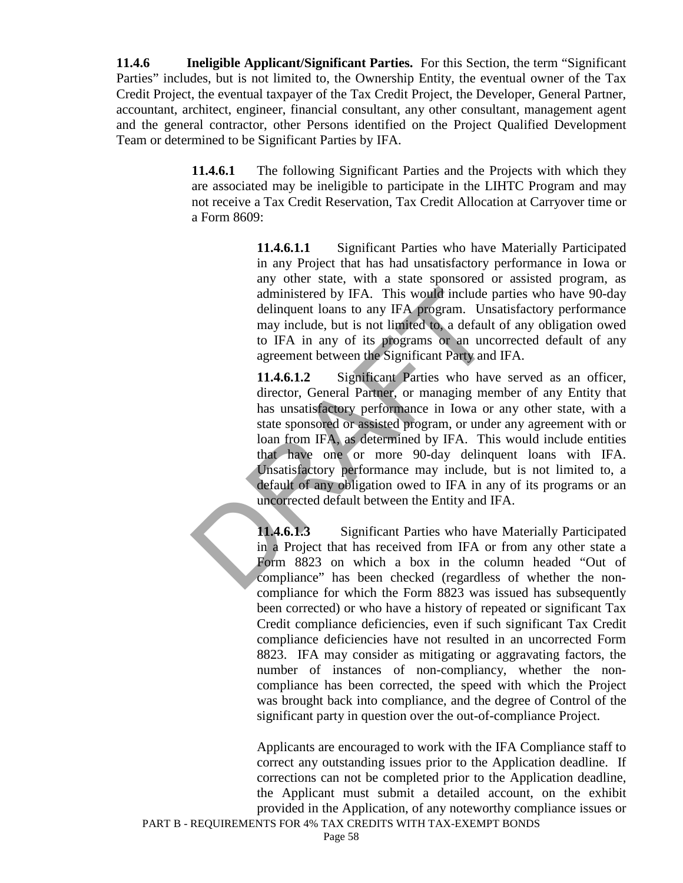**11.4.6 Ineligible Applicant/Significant Parties.** For this Section, the term "Significant Parties" includes, but is not limited to, the Ownership Entity, the eventual owner of the Tax Credit Project, the eventual taxpayer of the Tax Credit Project, the Developer, General Partner, accountant, architect, engineer, financial consultant, any other consultant, management agent and the general contractor, other Persons identified on the Project Qualified Development Team or determined to be Significant Parties by IFA.

> **11.4.6.1** The following Significant Parties and the Projects with which they are associated may be ineligible to participate in the LIHTC Program and may not receive a Tax Credit Reservation, Tax Credit Allocation at Carryover time or a Form 8609:

> > **11.4.6.1.1** Significant Parties who have Materially Participated in any Project that has had unsatisfactory performance in Iowa or any other state, with a state sponsored or assisted program, as administered by IFA. This would include parties who have 90-day delinquent loans to any IFA program. Unsatisfactory performance may include, but is not limited to, a default of any obligation owed to IFA in any of its programs or an uncorrected default of any agreement between the Significant Party and IFA.

administered by IFA. This would include p<br>delinquent loans to any IFA program. Uns<br>may include, but is not limited to, a default<br>to IFA in any of its programs or an unc<br>agreement between the Significant Party and<br>**11.4.6.1 11.4.6.1.2** Significant Parties who have served as an officer, director, General Partner, or managing member of any Entity that has unsatisfactory performance in Iowa or any other state, with a state sponsored or assisted program, or under any agreement with or loan from IFA, as determined by IFA. This would include entities that have one or more 90-day delinquent loans with IFA. Unsatisfactory performance may include, but is not limited to, a default of any obligation owed to IFA in any of its programs or an uncorrected default between the Entity and IFA.

 **11.4.6.1.3** Significant Parties who have Materially Participated in a Project that has received from IFA or from any other state a Form 8823 on which a box in the column headed "Out of compliance" has been checked (regardless of whether the noncompliance for which the Form 8823 was issued has subsequently been corrected) or who have a history of repeated or significant Tax Credit compliance deficiencies, even if such significant Tax Credit compliance deficiencies have not resulted in an uncorrected Form 8823. IFA may consider as mitigating or aggravating factors, the number of instances of non-compliancy, whether the noncompliance has been corrected, the speed with which the Project was brought back into compliance, and the degree of Control of the significant party in question over the out-of-compliance Project.

 Applicants are encouraged to work with the IFA Compliance staff to correct any outstanding issues prior to the Application deadline. If corrections can not be completed prior to the Application deadline, the Applicant must submit a detailed account, on the exhibit provided in the Application, of any noteworthy compliance issues or

PART B - REQUIREMENTS FOR 4% TAX CREDITS WITH TAX-EXEMPT BONDS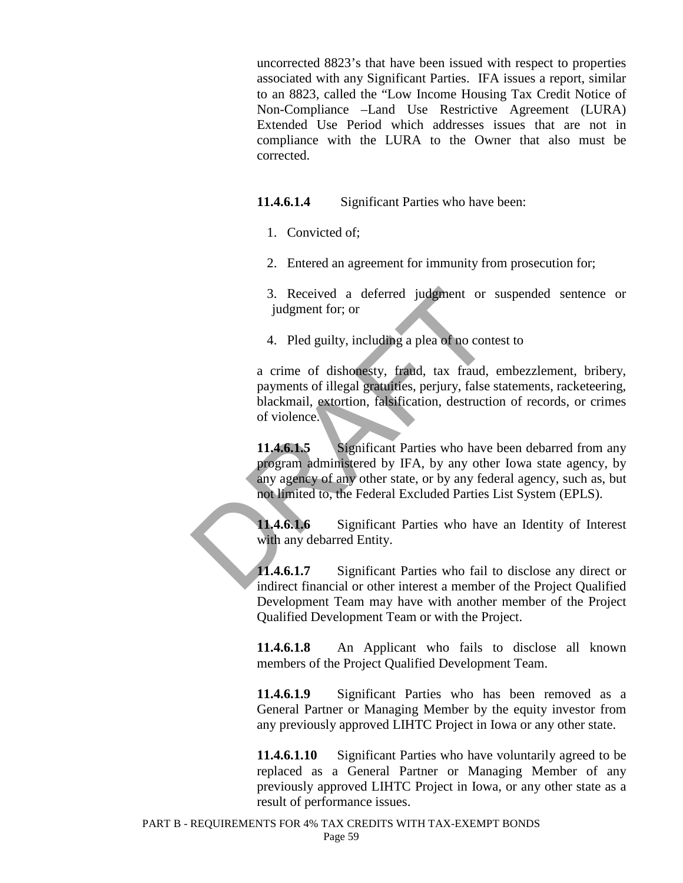uncorrected 8823's that have been issued with respect to properties associated with any Significant Parties. IFA issues a report, similar to an 8823, called the "Low Income Housing Tax Credit Notice of Non-Compliance –Land Use Restrictive Agreement (LURA) Extended Use Period which addresses issues that are not in compliance with the LURA to the Owner that also must be corrected.

**11.4.6.1.4** Significant Parties who have been:

- 1. Convicted of;
- 2. Entered an agreement for immunity from prosecution for;

 3. Received a deferred judgment or suspended sentence or judgment for; or

4. Pled guilty, including a plea of no contest to

a crime of dishonesty, fraud, tax fraud, embezzlement, bribery, payments of illegal gratuities, perjury, false statements, racketeering, blackmail, extortion, falsification, destruction of records, or crimes of violence.

3. Received a deferred judgment or<br>judgment for; or<br>4. Pled guilty, including a plea of no cont<br>a crime of dishonesty, fraud, tax fraud,<br>payments of illegal gratuities, perjury, false<br>blackmail, extortion, falsification, d 11.4.6.1.5 Significant Parties who have been debarred from any program administered by IFA, by any other Iowa state agency, by any agency of any other state, or by any federal agency, such as, but not limited to, the Federal Excluded Parties List System (EPLS).

**11.4.6.1.6** Significant Parties who have an Identity of Interest with any debarred Entity.

**11.4.6.1.7** Significant Parties who fail to disclose any direct or indirect financial or other interest a member of the Project Qualified Development Team may have with another member of the Project Qualified Development Team or with the Project.

**11.4.6.1.8** An Applicant who fails to disclose all known members of the Project Qualified Development Team.

**11.4.6.1.9** Significant Parties who has been removed as a General Partner or Managing Member by the equity investor from any previously approved LIHTC Project in Iowa or any other state.

**11.4.6.1.10** Significant Parties who have voluntarily agreed to be replaced as a General Partner or Managing Member of any previously approved LIHTC Project in Iowa, or any other state as a result of performance issues.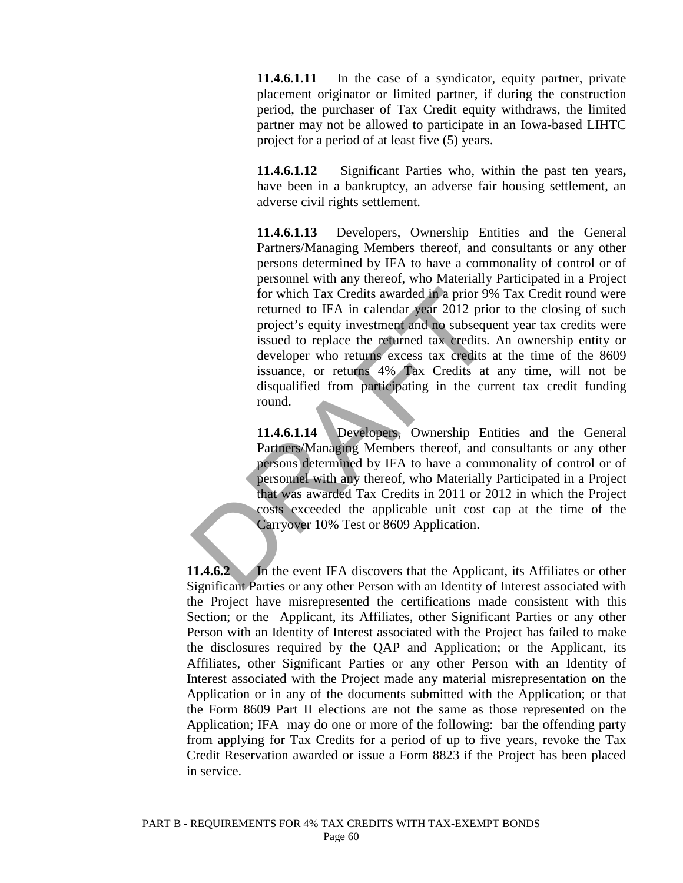**11.4.6.1.11** In the case of a syndicator, equity partner, private placement originator or limited partner, if during the construction period, the purchaser of Tax Credit equity withdraws, the limited partner may not be allowed to participate in an Iowa-based LIHTC project for a period of at least five (5) years.

 **11.4.6.1.12** Significant Parties who, within the past ten years**,**  have been in a bankruptcy, an adverse fair housing settlement, an adverse civil rights settlement.

for which Tax Credits awarded in a prior 99<br>returned to IFA in calendar year 2012 prior<br>project's equity investment and no subseque<br>issued to replace the returned tax credits.<br>developer who returns excess tax credits is<br>su  **11.4.6.1.13** Developers, Ownership Entities and the General Partners/Managing Members thereof, and consultants or any other persons determined by IFA to have a commonality of control or of personnel with any thereof, who Materially Participated in a Project for which Tax Credits awarded in a prior 9% Tax Credit round were returned to IFA in calendar year 2012 prior to the closing of such project's equity investment and no subsequent year tax credits were issued to replace the returned tax credits. An ownership entity or developer who returns excess tax credits at the time of the 8609 issuance, or returns 4% Tax Credits at any time, will not be disqualified from participating in the current tax credit funding round.

**11.4.6.1.14** Developers, Ownership Entities and the General Partners/Managing Members thereof, and consultants or any other persons determined by IFA to have a commonality of control or of personnel with any thereof, who Materially Participated in a Project that was awarded Tax Credits in 2011 or 2012 in which the Project costs exceeded the applicable unit cost cap at the time of the Carryover 10% Test or 8609 Application.

**11.4.6.2** In the event IFA discovers that the Applicant, its Affiliates or other Significant Parties or any other Person with an Identity of Interest associated with the Project have misrepresented the certifications made consistent with this Section; or the Applicant, its Affiliates, other Significant Parties or any other Person with an Identity of Interest associated with the Project has failed to make the disclosures required by the QAP and Application; or the Applicant, its Affiliates, other Significant Parties or any other Person with an Identity of Interest associated with the Project made any material misrepresentation on the Application or in any of the documents submitted with the Application; or that the Form 8609 Part II elections are not the same as those represented on the Application; IFA may do one or more of the following: bar the offending party from applying for Tax Credits for a period of up to five years, revoke the Tax Credit Reservation awarded or issue a Form 8823 if the Project has been placed in service.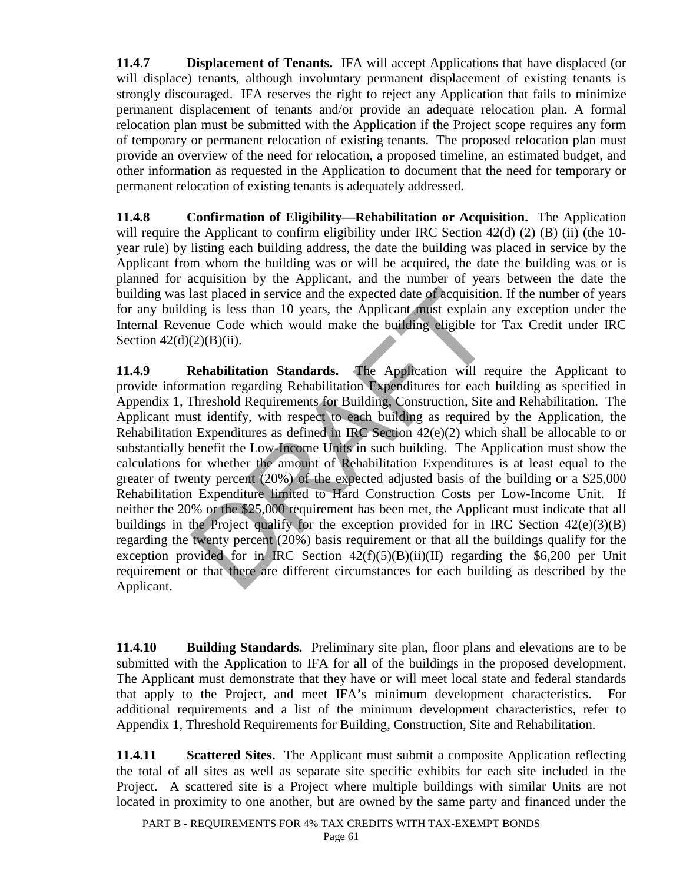**11.4**.**7 Displacement of Tenants.** IFA will accept Applications that have displaced (or will displace) tenants, although involuntary permanent displacement of existing tenants is strongly discouraged. IFA reserves the right to reject any Application that fails to minimize permanent displacement of tenants and/or provide an adequate relocation plan. A formal relocation plan must be submitted with the Application if the Project scope requires any form of temporary or permanent relocation of existing tenants. The proposed relocation plan must provide an overview of the need for relocation, a proposed timeline, an estimated budget, and other information as requested in the Application to document that the need for temporary or permanent relocation of existing tenants is adequately addressed.

 **11.4.8 Confirmation of Eligibility—Rehabilitation or Acquisition.** The Application will require the Applicant to confirm eligibility under IRC Section 42(d) (2) (B) (ii) (the 10year rule) by listing each building address, the date the building was placed in service by the Applicant from whom the building was or will be acquired, the date the building was or is planned for acquisition by the Applicant, and the number of years between the date the building was last placed in service and the expected date of acquisition. If the number of years for any building is less than 10 years, the Applicant must explain any exception under the Internal Revenue Code which would make the building eligible for Tax Credit under IRC Section  $42(d)(2)(B)(ii)$ .

last placed in service and the expected date of acquisition<br>ing is less than 10 years, the Applicant must explain in<br>mue Code which would make the building eligible for<br>(2)(B)(ii).<br>**Rehabilitation Standards.** The Applicat  **11.4.9 Rehabilitation Standards.** The Application will require the Applicant to provide information regarding Rehabilitation Expenditures for each building as specified in Appendix 1, Threshold Requirements for Building, Construction, Site and Rehabilitation. The Applicant must identify, with respect to each building as required by the Application, the Rehabilitation Expenditures as defined in IRC Section 42(e)(2) which shall be allocable to or substantially benefit the Low-Income Units in such building. The Application must show the calculations for whether the amount of Rehabilitation Expenditures is at least equal to the greater of twenty percent (20%) of the expected adjusted basis of the building or a \$25,000 Rehabilitation Expenditure limited to Hard Construction Costs per Low-Income Unit. If neither the 20% or the \$25,000 requirement has been met, the Applicant must indicate that all buildings in the Project qualify for the exception provided for in IRC Section  $42(e)(3)(B)$ regarding the twenty percent (20%) basis requirement or that all the buildings qualify for the exception provided for in IRC Section  $42(f)(5)(B)(ii)(II)$  regarding the \$6,200 per Unit requirement or that there are different circumstances for each building as described by the Applicant.

 **11.4.10 Building Standards.** Preliminary site plan, floor plans and elevations are to be submitted with the Application to IFA for all of the buildings in the proposed development. The Applicant must demonstrate that they have or will meet local state and federal standards that apply to the Project, and meet IFA's minimum development characteristics. For additional requirements and a list of the minimum development characteristics, refer to Appendix 1, Threshold Requirements for Building, Construction, Site and Rehabilitation.

 **11.4.11 Scattered Sites.** The Applicant must submit a composite Application reflecting the total of all sites as well as separate site specific exhibits for each site included in the Project. A scattered site is a Project where multiple buildings with similar Units are not located in proximity to one another, but are owned by the same party and financed under the

PART B - REQUIREMENTS FOR 4% TAX CREDITS WITH TAX-EXEMPT BONDS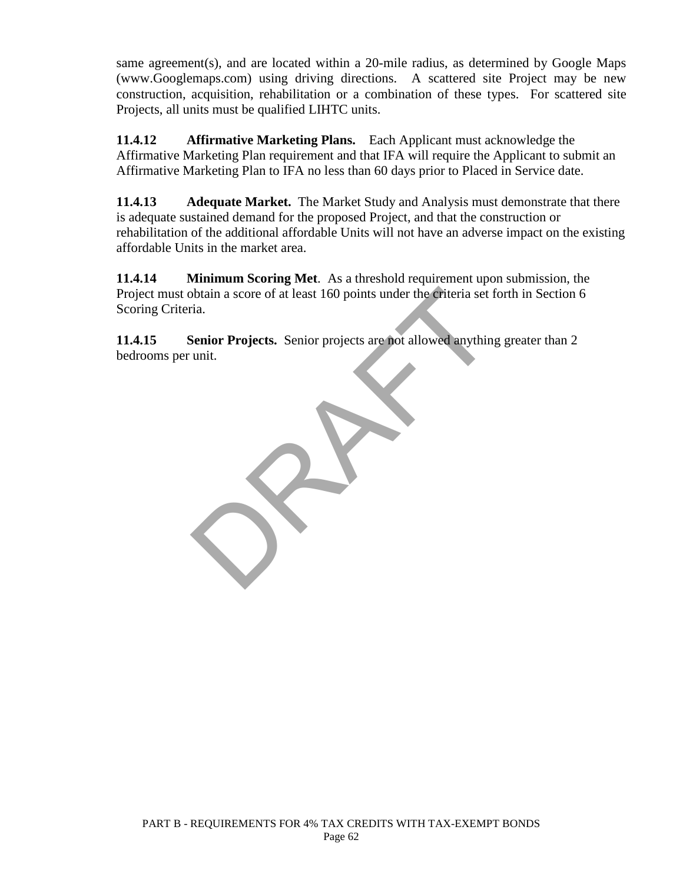same agreement(s), and are located within a 20-mile radius, as determined by Google Maps (www.Googlemaps.com) using driving directions. A scattered site Project may be new construction, acquisition, rehabilitation or a combination of these types. For scattered site Projects, all units must be qualified LIHTC units.

 **11.4.12 Affirmative Marketing Plans.** Each Applicant must acknowledge the Affirmative Marketing Plan requirement and that IFA will require the Applicant to submit an Affirmative Marketing Plan to IFA no less than 60 days prior to Placed in Service date.

 **11.4.13 Adequate Market.** The Market Study and Analysis must demonstrate that there is adequate sustained demand for the proposed Project, and that the construction or rehabilitation of the additional affordable Units will not have an adverse impact on the existing affordable Units in the market area.

 **11.4.14 Minimum Scoring Met**. As a threshold requirement upon submission, the Project must obtain a score of at least 160 points under the criteria set forth in Section 6 Scoring Criteria.

 **11.4.15 Senior Projects.** Senior projects are not allowed anything greater than 2 bedrooms per unit.

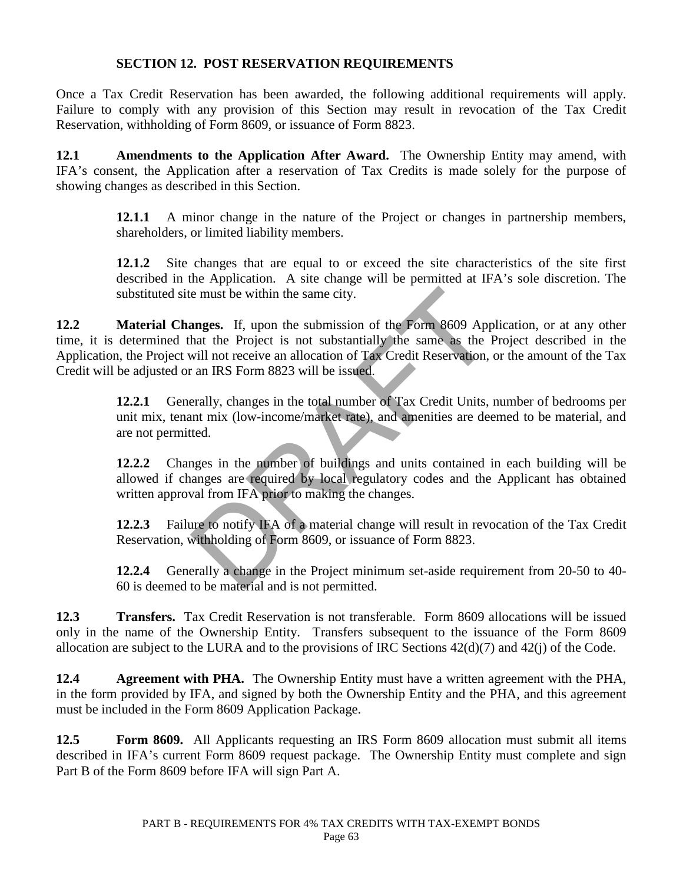### **SECTION 12. POST RESERVATION REQUIREMENTS**

Once a Tax Credit Reservation has been awarded, the following additional requirements will apply. Failure to comply with any provision of this Section may result in revocation of the Tax Credit Reservation, withholding of Form 8609, or issuance of Form 8823.

**12.1 Amendments to the Application After Award.** The Ownership Entity may amend, with IFA's consent, the Application after a reservation of Tax Credits is made solely for the purpose of showing changes as described in this Section.

> **12.1.1** A minor change in the nature of the Project or changes in partnership members, shareholders, or limited liability members.

> **12.1.2** Site changes that are equal to or exceed the site characteristics of the site first described in the Application. A site change will be permitted at IFA's sole discretion. The substituted site must be within the same city.

e must be within the same city.<br> **anges.** If, upon the submission of the Form 8609 App<br>
hat the Project is not substantially the same as the I<br>
will not receive an allocation of Tax Credit Reservation,<br>
r an IRS Form 8823 **12.2 Material Changes.** If, upon the submission of the Form 8609 Application, or at any other time, it is determined that the Project is not substantially the same as the Project described in the Application, the Project will not receive an allocation of Tax Credit Reservation, or the amount of the Tax Credit will be adjusted or an IRS Form 8823 will be issued.

**12.2.1** Generally, changes in the total number of Tax Credit Units, number of bedrooms per unit mix, tenant mix (low-income/market rate), and amenities are deemed to be material, and are not permitted.

**12.2.2** Changes in the number of buildings and units contained in each building will be allowed if changes are required by local regulatory codes and the Applicant has obtained written approval from IFA prior to making the changes.

**12.2.3** Failure to notify IFA of a material change will result in revocation of the Tax Credit Reservation, withholding of Form 8609, or issuance of Form 8823.

**12.2.4** Generally a change in the Project minimum set-aside requirement from 20-50 to 40- 60 is deemed to be material and is not permitted.

**12.3 Transfers.** Tax Credit Reservation is not transferable. Form 8609 allocations will be issued only in the name of the Ownership Entity. Transfers subsequent to the issuance of the Form 8609 allocation are subject to the LURA and to the provisions of IRC Sections  $42(d)(7)$  and  $42(i)$  of the Code.

**12.4** Agreement with PHA. The Ownership Entity must have a written agreement with the PHA, in the form provided by IFA, and signed by both the Ownership Entity and the PHA, and this agreement must be included in the Form 8609 Application Package.

**12.5 Form 8609.** All Applicants requesting an IRS Form 8609 allocation must submit all items described in IFA's current Form 8609 request package. The Ownership Entity must complete and sign Part B of the Form 8609 before IFA will sign Part A.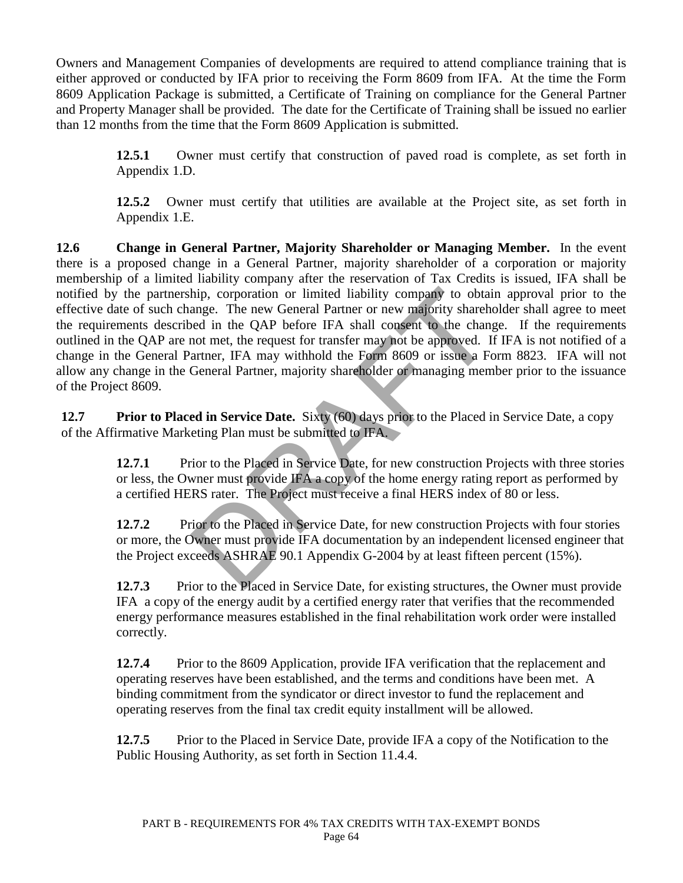Owners and Management Companies of developments are required to attend compliance training that is either approved or conducted by IFA prior to receiving the Form 8609 from IFA. At the time the Form 8609 Application Package is submitted, a Certificate of Training on compliance for the General Partner and Property Manager shall be provided. The date for the Certificate of Training shall be issued no earlier than 12 months from the time that the Form 8609 Application is submitted.

> **12.5.1** Owner must certify that construction of paved road is complete, as set forth in Appendix 1.D.

> **12.5.2** Owner must certify that utilities are available at the Project site, as set forth in Appendix 1.E.

hip, corporation or limited liability company to obtain ange. The new General Partner or new majority sharehed in the QAP before IFA shall consent to the change of meta, the request for transfer may not be approved. If art **12.6 Change in General Partner, Majority Shareholder or Managing Member.** In the event there is a proposed change in a General Partner, majority shareholder of a corporation or majority membership of a limited liability company after the reservation of Tax Credits is issued, IFA shall be notified by the partnership, corporation or limited liability company to obtain approval prior to the effective date of such change. The new General Partner or new majority shareholder shall agree to meet the requirements described in the QAP before IFA shall consent to the change. If the requirements outlined in the QAP are not met, the request for transfer may not be approved. If IFA is not notified of a change in the General Partner, IFA may withhold the Form 8609 or issue a Form 8823. IFA will not allow any change in the General Partner, majority shareholder or managing member prior to the issuance of the Project 8609.

**12.7 Prior to Placed in Service Date.** Sixty (60) days prior to the Placed in Service Date, a copy of the Affirmative Marketing Plan must be submitted to IFA.

> **12.7.1** Prior to the Placed in Service Date, for new construction Projects with three stories or less, the Owner must provide IFA a copy of the home energy rating report as performed by a certified HERS rater. The Project must receive a final HERS index of 80 or less.

> **12.7.2** Prior to the Placed in Service Date, for new construction Projects with four stories or more, the Owner must provide IFA documentation by an independent licensed engineer that the Project exceeds ASHRAE 90.1 Appendix G-2004 by at least fifteen percent (15%).

> **12.7.3** Prior to the Placed in Service Date, for existing structures, the Owner must provide IFA a copy of the energy audit by a certified energy rater that verifies that the recommended energy performance measures established in the final rehabilitation work order were installed correctly.

**12.7.4** Prior to the 8609 Application, provide IFA verification that the replacement and operating reserves have been established, and the terms and conditions have been met. A binding commitment from the syndicator or direct investor to fund the replacement and operating reserves from the final tax credit equity installment will be allowed.

**12.7.5** Prior to the Placed in Service Date, provide IFA a copy of the Notification to the Public Housing Authority, as set forth in Section 11.4.4.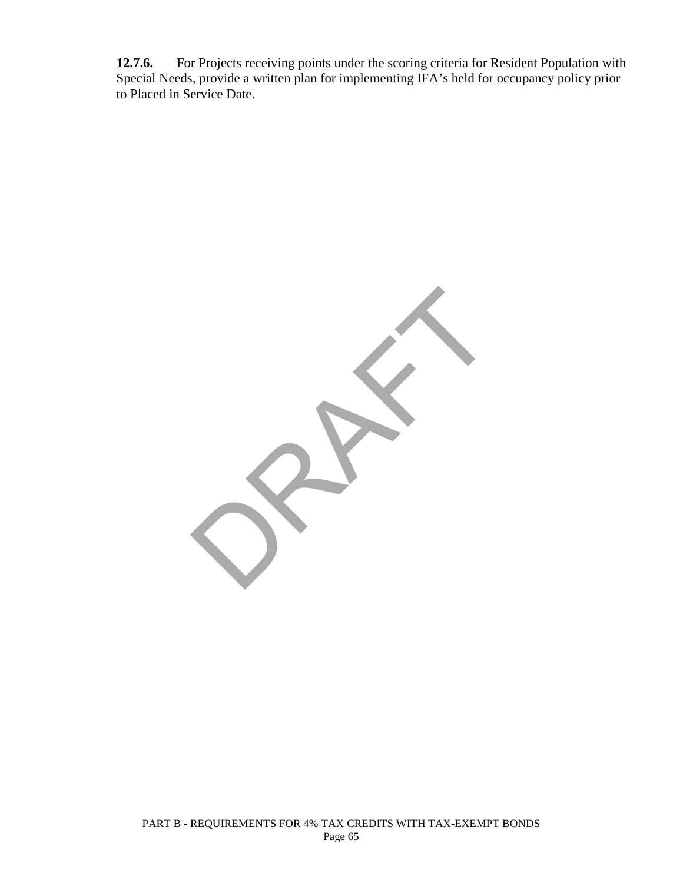**12.7.6.** For Projects receiving points under the scoring criteria for Resident Population with Special Needs, provide a written plan for implementing IFA's held for occupancy policy prior to Placed in Service Date.

PRAFT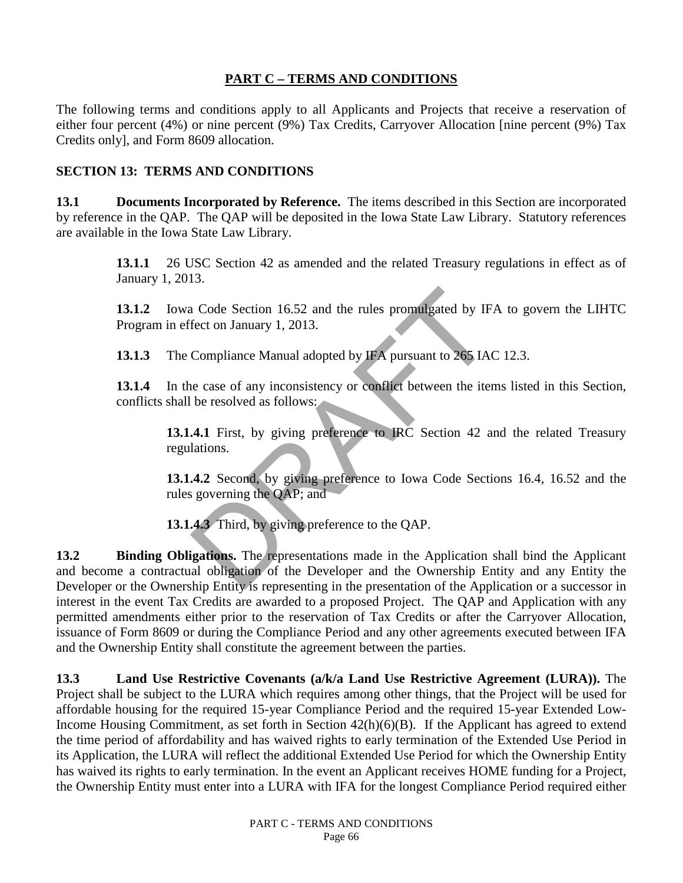# **PART C – TERMS AND CONDITIONS**

The following terms and conditions apply to all Applicants and Projects that receive a reservation of either four percent (4%) or nine percent (9%) Tax Credits, Carryover Allocation [nine percent (9%) Tax Credits only], and Form 8609 allocation.

## **SECTION 13: TERMS AND CONDITIONS**

**13.1 Documents Incorporated by Reference.** The items described in this Section are incorporated by reference in the QAP. The QAP will be deposited in the Iowa State Law Library. Statutory references are available in the Iowa State Law Library.

> **13.1.1** 26 USC Section 42 as amended and the related Treasury regulations in effect as of January 1, 2013.

> **13.1.2** Iowa Code Section 16.52 and the rules promulgated by IFA to govern the LIHTC Program in effect on January 1, 2013.

**13.1.3** The Compliance Manual adopted by IFA pursuant to 265 IAC 12.3.

**13.1.4** In the case of any inconsistency or conflict between the items listed in this Section, conflicts shall be resolved as follows:

 **13.1.4.1** First, by giving preference to IRC Section 42 and the related Treasury regulations.

 **13.1.4.2** Second, by giving preference to Iowa Code Sections 16.4, 16.52 and the rules governing the QAP; and

 **13.1.4.3** Third, by giving preference to the QAP.

21 Code Section 16.52 and the rules promulgated by IF.<br>
Fect on January 1, 2013.<br>
Compliance Manual adopted by IFA pursuant to 265 IAC<br>
are case of any inconsistency or conflict between the iter<br>
be resolved as follows:<br> **13.2 Binding Obligations.** The representations made in the Application shall bind the Applicant and become a contractual obligation of the Developer and the Ownership Entity and any Entity the Developer or the Ownership Entity is representing in the presentation of the Application or a successor in interest in the event Tax Credits are awarded to a proposed Project. The QAP and Application with any permitted amendments either prior to the reservation of Tax Credits or after the Carryover Allocation, issuance of Form 8609 or during the Compliance Period and any other agreements executed between IFA and the Ownership Entity shall constitute the agreement between the parties.

**13.3 Land Use Restrictive Covenants (a/k/a Land Use Restrictive Agreement (LURA)).** The Project shall be subject to the LURA which requires among other things, that the Project will be used for affordable housing for the required 15-year Compliance Period and the required 15-year Extended Low-Income Housing Commitment, as set forth in Section 42(h)(6)(B). If the Applicant has agreed to extend the time period of affordability and has waived rights to early termination of the Extended Use Period in its Application, the LURA will reflect the additional Extended Use Period for which the Ownership Entity has waived its rights to early termination. In the event an Applicant receives HOME funding for a Project, the Ownership Entity must enter into a LURA with IFA for the longest Compliance Period required either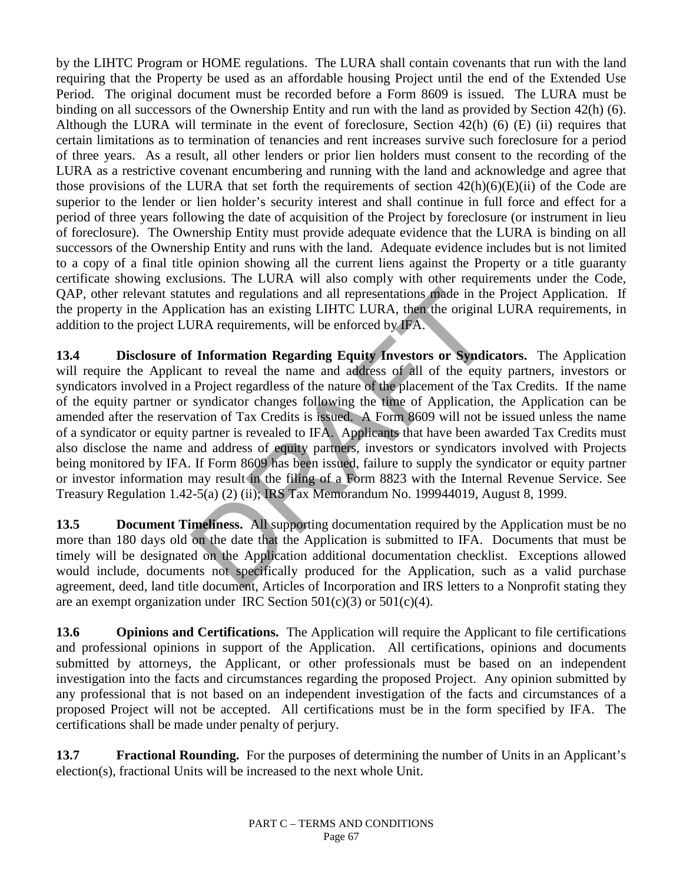by the LIHTC Program or HOME regulations. The LURA shall contain covenants that run with the land requiring that the Property be used as an affordable housing Project until the end of the Extended Use Period. The original document must be recorded before a Form 8609 is issued. The LURA must be binding on all successors of the Ownership Entity and run with the land as provided by Section 42(h) (6). Although the LURA will terminate in the event of foreclosure, Section 42(h) (6) (E) (ii) requires that certain limitations as to termination of tenancies and rent increases survive such foreclosure for a period of three years. As a result, all other lenders or prior lien holders must consent to the recording of the LURA as a restrictive covenant encumbering and running with the land and acknowledge and agree that those provisions of the LURA that set forth the requirements of section  $42(h)(6)(E)(ii)$  of the Code are superior to the lender or lien holder's security interest and shall continue in full force and effect for a period of three years following the date of acquisition of the Project by foreclosure (or instrument in lieu of foreclosure). The Ownership Entity must provide adequate evidence that the LURA is binding on all successors of the Ownership Entity and runs with the land. Adequate evidence includes but is not limited to a copy of a final title opinion showing all the current liens against the Property or a title guaranty certificate showing exclusions. The LURA will also comply with other requirements under the Code, QAP, other relevant statutes and regulations and all representations made in the Project Application. If the property in the Application has an existing LIHTC LURA, then the original LURA requirements, in addition to the project LURA requirements, will be enforced by IFA.

utes and regulations and all representations made in the<br>ication has an existing LIHTC LURA, then the original<br>JRA requirements, will be enforced by IFA.<br>I **Information Regarding Equity Investors or Syndic**<br>int to reveal t **13.4 Disclosure of Information Regarding Equity Investors or Syndicators.** The Application will require the Applicant to reveal the name and address of all of the equity partners, investors or syndicators involved in a Project regardless of the nature of the placement of the Tax Credits. If the name of the equity partner or syndicator changes following the time of Application, the Application can be amended after the reservation of Tax Credits is issued. A Form 8609 will not be issued unless the name of a syndicator or equity partner is revealed to IFA. Applicants that have been awarded Tax Credits must also disclose the name and address of equity partners, investors or syndicators involved with Projects being monitored by IFA. If Form 8609 has been issued, failure to supply the syndicator or equity partner or investor information may result in the filing of a Form 8823 with the Internal Revenue Service. See Treasury Regulation 1.42-5(a) (2) (ii); IRS Tax Memorandum No. 199944019, August 8, 1999.

**13.5** Document Timeliness. All supporting documentation required by the Application must be no more than 180 days old on the date that the Application is submitted to IFA. Documents that must be timely will be designated on the Application additional documentation checklist. Exceptions allowed would include, documents not specifically produced for the Application, such as a valid purchase agreement, deed, land title document, Articles of Incorporation and IRS letters to a Nonprofit stating they are an exempt organization under IRC Section  $501(c)(3)$  or  $501(c)(4)$ .

**13.6 Opinions and Certifications.** The Application will require the Applicant to file certifications and professional opinions in support of the Application. All certifications, opinions and documents submitted by attorneys, the Applicant, or other professionals must be based on an independent investigation into the facts and circumstances regarding the proposed Project. Any opinion submitted by any professional that is not based on an independent investigation of the facts and circumstances of a proposed Project will not be accepted. All certifications must be in the form specified by IFA. The certifications shall be made under penalty of perjury.

**13.7 Fractional Rounding.** For the purposes of determining the number of Units in an Applicant's election(s), fractional Units will be increased to the next whole Unit.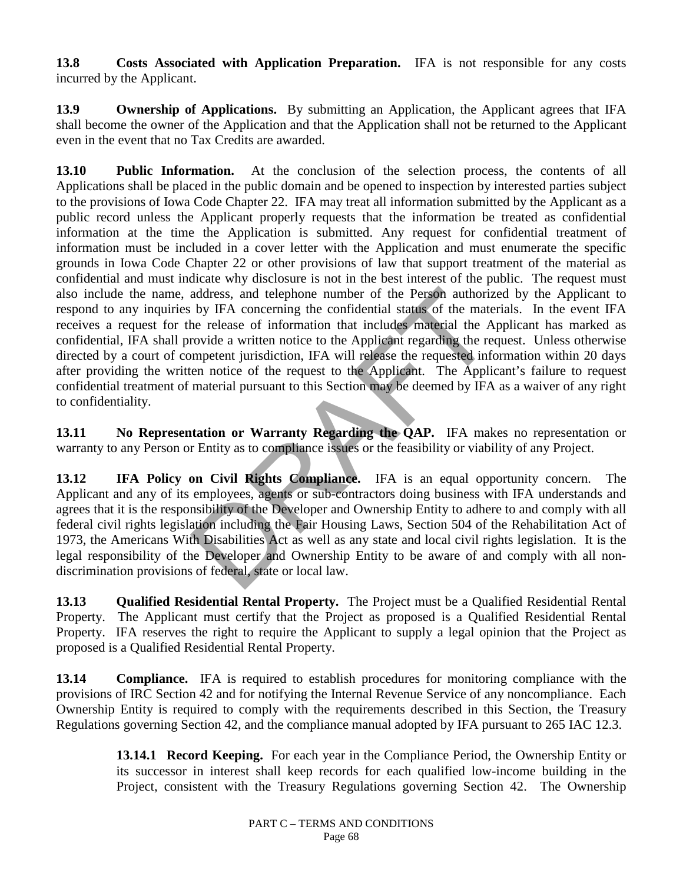**13.8 Costs Associated with Application Preparation.** IFA is not responsible for any costs incurred by the Applicant.

**13.9** Ownership of Applications. By submitting an Application, the Applicant agrees that IFA shall become the owner of the Application and that the Application shall not be returned to the Applicant even in the event that no Tax Credits are awarded.

address, and telephone number of the Person authorizer by IFA concerning the confidential status of the mate release of information that includes material the A rovide a written notice to the Applicant regarding the rempet **13.10 Public Information.** At the conclusion of the selection process, the contents of all Applications shall be placed in the public domain and be opened to inspection by interested parties subject to the provisions of Iowa Code Chapter 22. IFA may treat all information submitted by the Applicant as a public record unless the Applicant properly requests that the information be treated as confidential information at the time the Application is submitted. Any request for confidential treatment of information must be included in a cover letter with the Application and must enumerate the specific grounds in Iowa Code Chapter 22 or other provisions of law that support treatment of the material as confidential and must indicate why disclosure is not in the best interest of the public. The request must also include the name, address, and telephone number of the Person authorized by the Applicant to respond to any inquiries by IFA concerning the confidential status of the materials. In the event IFA receives a request for the release of information that includes material the Applicant has marked as confidential, IFA shall provide a written notice to the Applicant regarding the request. Unless otherwise directed by a court of competent jurisdiction, IFA will release the requested information within 20 days after providing the written notice of the request to the Applicant. The Applicant's failure to request confidential treatment of material pursuant to this Section may be deemed by IFA as a waiver of any right to confidentiality.

**13.11 No Representation or Warranty Regarding the QAP.** IFA makes no representation or warranty to any Person or Entity as to compliance issues or the feasibility or viability of any Project.

**13.12 IFA Policy on Civil Rights Compliance.** IFA is an equal opportunity concern. The Applicant and any of its employees, agents or sub-contractors doing business with IFA understands and agrees that it is the responsibility of the Developer and Ownership Entity to adhere to and comply with all federal civil rights legislation including the Fair Housing Laws, Section 504 of the Rehabilitation Act of 1973, the Americans With Disabilities Act as well as any state and local civil rights legislation. It is the legal responsibility of the Developer and Ownership Entity to be aware of and comply with all nondiscrimination provisions of federal, state or local law.

**13.13 Qualified Residential Rental Property.** The Project must be a Qualified Residential Rental Property. The Applicant must certify that the Project as proposed is a Qualified Residential Rental Property. IFA reserves the right to require the Applicant to supply a legal opinion that the Project as proposed is a Qualified Residential Rental Property.

**13.14 Compliance.** IFA is required to establish procedures for monitoring compliance with the provisions of IRC Section 42 and for notifying the Internal Revenue Service of any noncompliance. Each Ownership Entity is required to comply with the requirements described in this Section, the Treasury Regulations governing Section 42, and the compliance manual adopted by IFA pursuant to 265 IAC 12.3.

> **13.14.1 Record Keeping.** For each year in the Compliance Period, the Ownership Entity or its successor in interest shall keep records for each qualified low-income building in the Project, consistent with the Treasury Regulations governing Section 42. The Ownership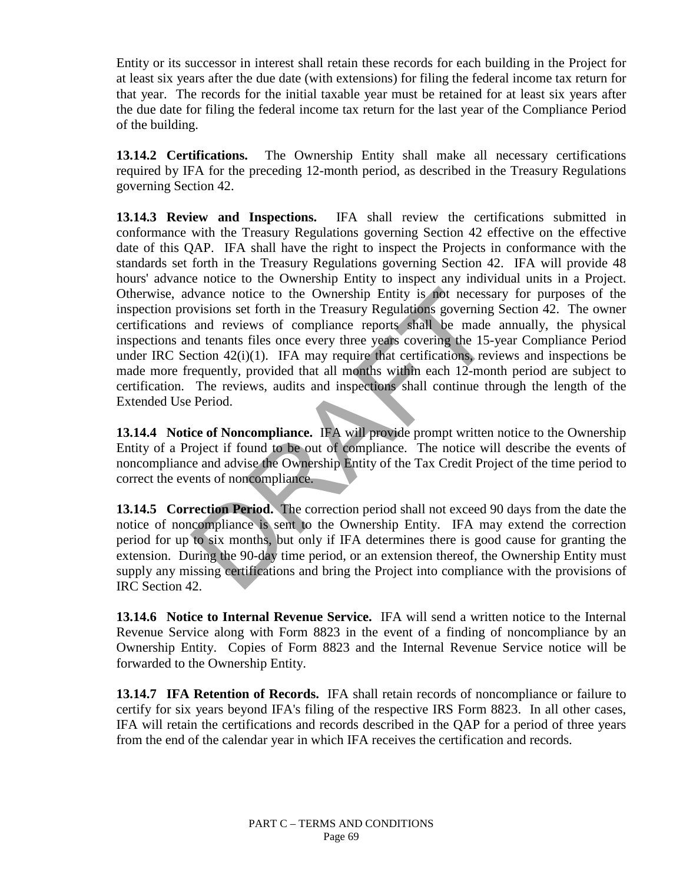Entity or its successor in interest shall retain these records for each building in the Project for at least six years after the due date (with extensions) for filing the federal income tax return for that year. The records for the initial taxable year must be retained for at least six years after the due date for filing the federal income tax return for the last year of the Compliance Period of the building.

 **13.14.2 Certifications.** The Ownership Entity shall make all necessary certifications required by IFA for the preceding 12-month period, as described in the Treasury Regulations governing Section 42.

divance notice to the Ownership Entity is not necessary<br>sisions set forth in the Treasury Regulations governing<br>and reviews of compliance reports shall be made<br>and tenants files once every three years covering the 15-<br>ect  **13.14.3 Review and Inspections.** IFA shall review the certifications submitted in conformance with the Treasury Regulations governing Section 42 effective on the effective date of this QAP. IFA shall have the right to inspect the Projects in conformance with the standards set forth in the Treasury Regulations governing Section 42. IFA will provide 48 hours' advance notice to the Ownership Entity to inspect any individual units in a Project. Otherwise, advance notice to the Ownership Entity is not necessary for purposes of the inspection provisions set forth in the Treasury Regulations governing Section 42. The owner certifications and reviews of compliance reports shall be made annually, the physical inspections and tenants files once every three years covering the 15-year Compliance Period under IRC Section 42(i)(1). IFA may require that certifications, reviews and inspections be made more frequently, provided that all months within each 12-month period are subject to certification. The reviews, audits and inspections shall continue through the length of the Extended Use Period.

 **13.14.4 Notice of Noncompliance.** IFA will provide prompt written notice to the Ownership Entity of a Project if found to be out of compliance. The notice will describe the events of noncompliance and advise the Ownership Entity of the Tax Credit Project of the time period to correct the events of noncompliance.

 **13.14.5 Correction Period.** The correction period shall not exceed 90 days from the date the notice of noncompliance is sent to the Ownership Entity. IFA may extend the correction period for up to six months, but only if IFA determines there is good cause for granting the extension. During the 90-day time period, or an extension thereof, the Ownership Entity must supply any missing certifications and bring the Project into compliance with the provisions of IRC Section 42.

 **13.14.6 Notice to Internal Revenue Service.** IFA will send a written notice to the Internal Revenue Service along with Form 8823 in the event of a finding of noncompliance by an Ownership Entity. Copies of Form 8823 and the Internal Revenue Service notice will be forwarded to the Ownership Entity.

 **13.14.7 IFA Retention of Records.** IFA shall retain records of noncompliance or failure to certify for six years beyond IFA's filing of the respective IRS Form 8823. In all other cases, IFA will retain the certifications and records described in the QAP for a period of three years from the end of the calendar year in which IFA receives the certification and records.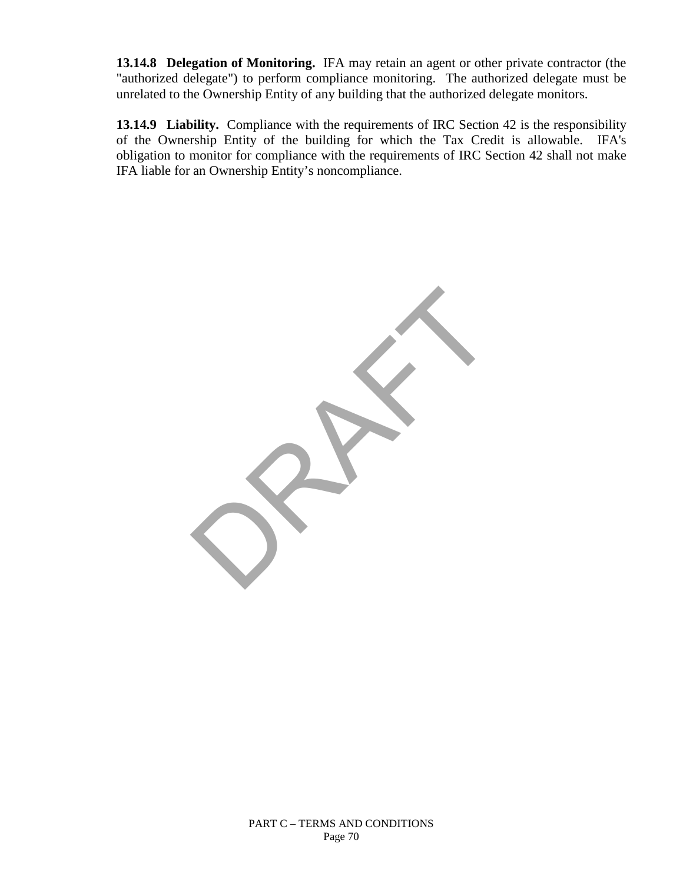**13.14.8 Delegation of Monitoring.** IFA may retain an agent or other private contractor (the "authorized delegate") to perform compliance monitoring. The authorized delegate must be unrelated to the Ownership Entity of any building that the authorized delegate monitors.

**13.14.9 Liability.** Compliance with the requirements of IRC Section 42 is the responsibility of the Ownership Entity of the building for which the Tax Credit is allowable. IFA's obligation to monitor for compliance with the requirements of IRC Section 42 shall not make IFA liable for an Ownership Entity's noncompliance.

PRAFT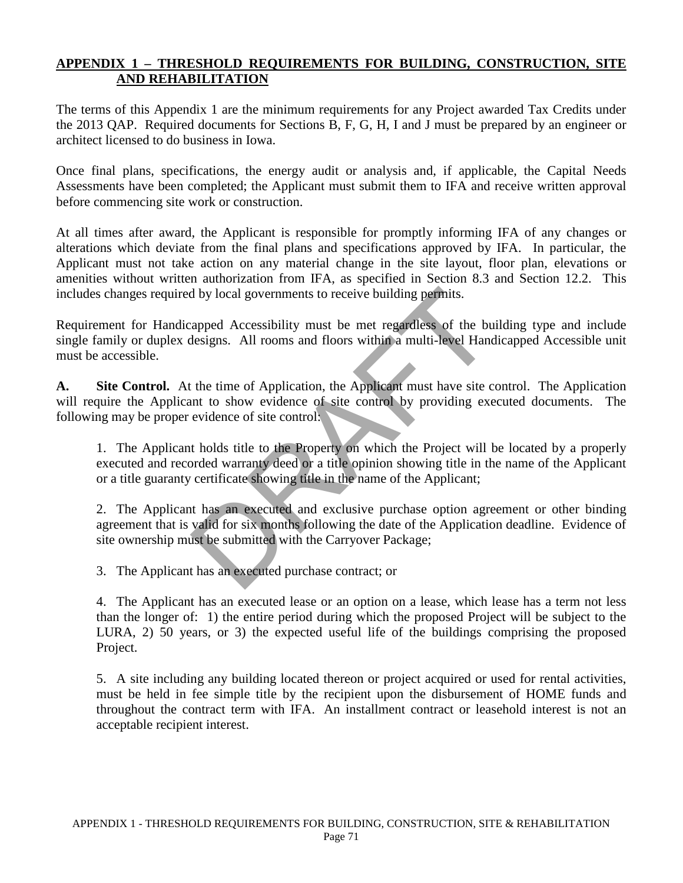## **APPENDIX 1 – THRESHOLD REQUIREMENTS FOR BUILDING, CONSTRUCTION, SITE AND REHABILITATION**

The terms of this Appendix 1 are the minimum requirements for any Project awarded Tax Credits under the 2013 QAP. Required documents for Sections B, F, G, H, I and J must be prepared by an engineer or architect licensed to do business in Iowa.

Once final plans, specifications, the energy audit or analysis and, if applicable, the Capital Needs Assessments have been completed; the Applicant must submit them to IFA and receive written approval before commencing site work or construction.

At all times after award, the Applicant is responsible for promptly informing IFA of any changes or alterations which deviate from the final plans and specifications approved by IFA. In particular, the Applicant must not take action on any material change in the site layout, floor plan, elevations or amenities without written authorization from IFA, as specified in Section 8.3 and Section 12.2. This includes changes required by local governments to receive building permits.

Requirement for Handicapped Accessibility must be met regardless of the building type and include single family or duplex designs. All rooms and floors within a multi-level Handicapped Accessible unit must be accessible.

**A. Site Control.** At the time of Application, the Applicant must have site control. The Application will require the Applicant to show evidence of site control by providing executed documents. The following may be proper evidence of site control:

d by local governments to receive building permits.<br>
apped Accessibility must be met regardless of the bu-<br>
designs. All rooms and floors within a multi-level Hand<br>
the time of Application, the Applicant must have site con 1. The Applicant holds title to the Property on which the Project will be located by a properly executed and recorded warranty deed or a title opinion showing title in the name of the Applicant or a title guaranty certificate showing title in the name of the Applicant;

 2. The Applicant has an executed and exclusive purchase option agreement or other binding agreement that is valid for six months following the date of the Application deadline. Evidence of site ownership must be submitted with the Carryover Package;

3. The Applicant has an executed purchase contract; or

 4. The Applicant has an executed lease or an option on a lease, which lease has a term not less than the longer of: 1) the entire period during which the proposed Project will be subject to the LURA, 2) 50 years, or 3) the expected useful life of the buildings comprising the proposed Project.

 5. A site including any building located thereon or project acquired or used for rental activities, must be held in fee simple title by the recipient upon the disbursement of HOME funds and throughout the contract term with IFA. An installment contract or leasehold interest is not an acceptable recipient interest.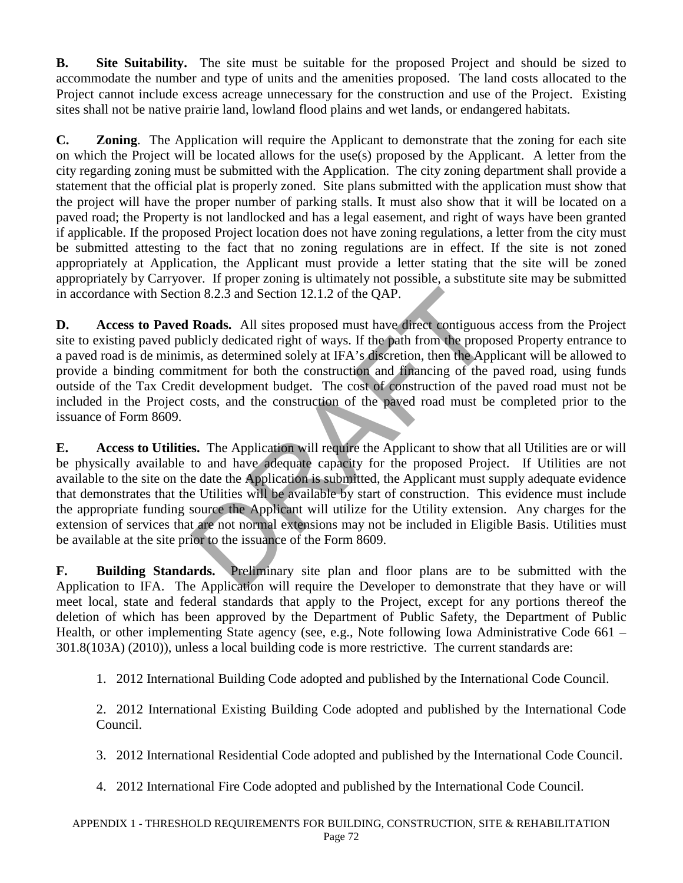**B. Site Suitability.** The site must be suitable for the proposed Project and should be sized to accommodate the number and type of units and the amenities proposed. The land costs allocated to the Project cannot include excess acreage unnecessary for the construction and use of the Project. Existing sites shall not be native prairie land, lowland flood plains and wet lands, or endangered habitats.

**C. Zoning**. The Application will require the Applicant to demonstrate that the zoning for each site on which the Project will be located allows for the use(s) proposed by the Applicant. A letter from the city regarding zoning must be submitted with the Application. The city zoning department shall provide a statement that the official plat is properly zoned. Site plans submitted with the application must show that the project will have the proper number of parking stalls. It must also show that it will be located on a paved road; the Property is not landlocked and has a legal easement, and right of ways have been granted if applicable. If the proposed Project location does not have zoning regulations, a letter from the city must be submitted attesting to the fact that no zoning regulations are in effect. If the site is not zoned appropriately at Application, the Applicant must provide a letter stating that the site will be zoned appropriately by Carryover. If proper zoning is ultimately not possible, a substitute site may be submitted in accordance with Section 8.2.3 and Section 12.1.2 of the QAP.

**D. Access to Paved Roads.** All sites proposed must have direct contiguous access from the Project site to existing paved publicly dedicated right of ways. If the path from the proposed Property entrance to a paved road is de minimis, as determined solely at IFA's discretion, then the Applicant will be allowed to provide a binding commitment for both the construction and financing of the paved road, using funds outside of the Tax Credit development budget. The cost of construction of the paved road must not be included in the Project costs, and the construction of the paved road must be completed prior to the issuance of Form 8609.

on 8.2.3 and Section 12.1.2 of the QAP.<br> **Roads.** All sites proposed must have direct contiguous<br>
blicly dedicated right of ways. If the path from the proposis, as determined solely at IFA's discretion, then the App<br>
itmen **E. Access to Utilities.** The Application will require the Applicant to show that all Utilities are or will be physically available to and have adequate capacity for the proposed Project. If Utilities are not available to the site on the date the Application is submitted, the Applicant must supply adequate evidence that demonstrates that the Utilities will be available by start of construction. This evidence must include the appropriate funding source the Applicant will utilize for the Utility extension. Any charges for the extension of services that are not normal extensions may not be included in Eligible Basis. Utilities must be available at the site prior to the issuance of the Form 8609.

**F. Building Standards.** Preliminary site plan and floor plans are to be submitted with the Application to IFA. The Application will require the Developer to demonstrate that they have or will meet local, state and federal standards that apply to the Project, except for any portions thereof the deletion of which has been approved by the Department of Public Safety, the Department of Public Health, or other implementing State agency (see, e.g., Note following Iowa Administrative Code 661 – 301.8(103A) (2010)), unless a local building code is more restrictive. The current standards are:

1. 2012 International Building Code adopted and published by the International Code Council.

 2. 2012 International Existing Building Code adopted and published by the International Code Council.

3. 2012 International Residential Code adopted and published by the International Code Council.

4. 2012 International Fire Code adopted and published by the International Code Council.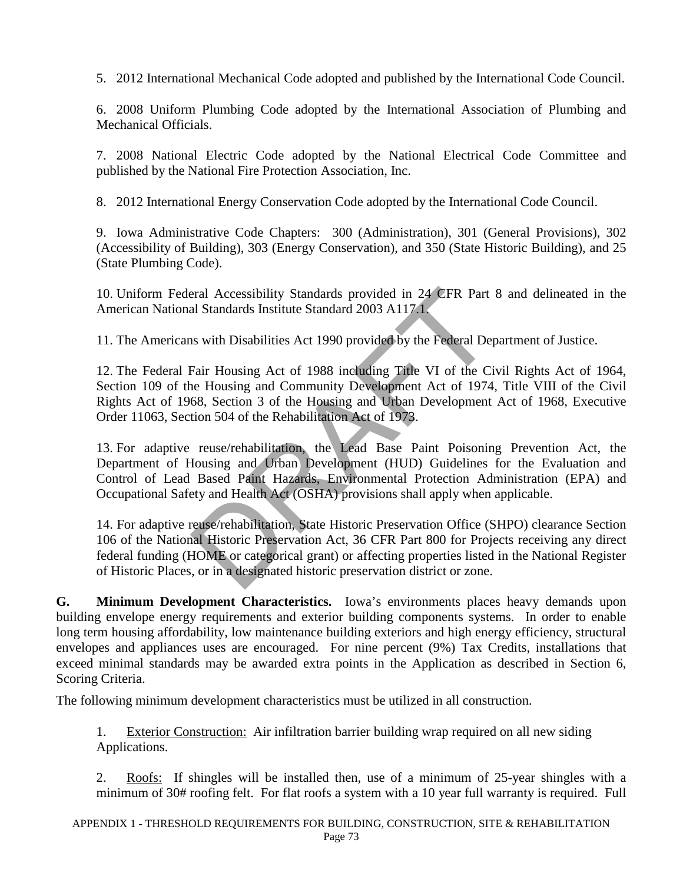5. 2012 International Mechanical Code adopted and published by the International Code Council.

 6. 2008 Uniform Plumbing Code adopted by the International Association of Plumbing and Mechanical Officials.

 7. 2008 National Electric Code adopted by the National Electrical Code Committee and published by the National Fire Protection Association, Inc.

8. 2012 International Energy Conservation Code adopted by the International Code Council.

 9. Iowa Administrative Code Chapters: 300 (Administration), 301 (General Provisions), 302 (Accessibility of Building), 303 (Energy Conservation), and 350 (State Historic Building), and 25 (State Plumbing Code).

 10. Uniform Federal Accessibility Standards provided in 24 CFR Part 8 and delineated in the American National Standards Institute Standard 2003 A117.1.

11. The Americans with Disabilities Act 1990 provided by the Federal Department of Justice.

 12. The Federal Fair Housing Act of 1988 including Title VI of the Civil Rights Act of 1964, Section 109 of the Housing and Community Development Act of 1974, Title VIII of the Civil Rights Act of 1968, Section 3 of the Housing and Urban Development Act of 1968, Executive Order 11063, Section 504 of the Rehabilitation Act of 1973.

eral Accessibility Standards provided in 24 CFR Part<br>al Standards Institute Standard 2003 A117.1.<br>In So with Disabilities Act 1990 provided by the Federal De<br>Fair Housing Act of 1988 including Title VI of the Ci<br>ne Housing 13. For adaptive reuse/rehabilitation, the Lead Base Paint Poisoning Prevention Act, the Department of Housing and Urban Development (HUD) Guidelines for the Evaluation and Control of Lead Based Paint Hazards, Environmental Protection Administration (EPA) and Occupational Safety and Health Act (OSHA) provisions shall apply when applicable.

14. For adaptive reuse/rehabilitation, State Historic Preservation Office (SHPO) clearance Section 106 of the National Historic Preservation Act, 36 CFR Part 800 for Projects receiving any direct federal funding (HOME or categorical grant) or affecting properties listed in the National Register of Historic Places, or in a designated historic preservation district or zone.

**G. Minimum Development Characteristics.** Iowa's environments places heavy demands upon building envelope energy requirements and exterior building components systems. In order to enable long term housing affordability, low maintenance building exteriors and high energy efficiency, structural envelopes and appliances uses are encouraged. For nine percent (9%) Tax Credits, installations that exceed minimal standards may be awarded extra points in the Application as described in Section 6, Scoring Criteria.

The following minimum development characteristics must be utilized in all construction.

1. Exterior Construction: Air infiltration barrier building wrap required on all new siding Applications.

2. Roofs: If shingles will be installed then, use of a minimum of 25-year shingles with a minimum of 30# roofing felt. For flat roofs a system with a 10 year full warranty is required. Full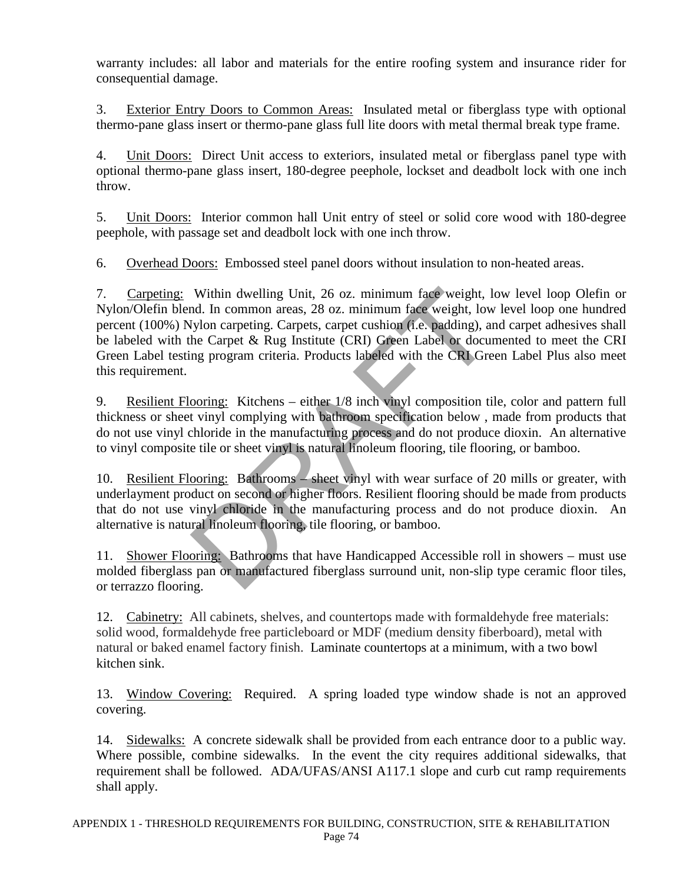warranty includes: all labor and materials for the entire roofing system and insurance rider for consequential damage.

 3. Exterior Entry Doors to Common Areas: Insulated metal or fiberglass type with optional thermo-pane glass insert or thermo-pane glass full lite doors with metal thermal break type frame.

4. Unit Doors: Direct Unit access to exteriors, insulated metal or fiberglass panel type with optional thermo-pane glass insert, 180-degree peephole, lockset and deadbolt lock with one inch throw.

5. Unit Doors: Interior common hall Unit entry of steel or solid core wood with 180-degree peephole, with passage set and deadbolt lock with one inch throw.

6. Overhead Doors: Embossed steel panel doors without insulation to non-heated areas.

Within dwelling Unit, 26 oz. minimum face weight, 1<br>
Md. In common areas, 28 oz. minimum face weight, low<br>
Iylon carpeting. Carpets, carpet cushion (i.e. padding), an<br>
he Carpet & Rug Institute (CRI) Green Label or docum<br> 7. Carpeting: Within dwelling Unit, 26 oz. minimum face weight, low level loop Olefin or Nylon/Olefin blend. In common areas, 28 oz. minimum face weight, low level loop one hundred percent (100%) Nylon carpeting. Carpets, carpet cushion (i.e. padding), and carpet adhesives shall be labeled with the Carpet & Rug Institute (CRI) Green Label or documented to meet the CRI Green Label testing program criteria. Products labeled with the CRI Green Label Plus also meet this requirement.

9. Resilient Flooring: Kitchens – either 1/8 inch vinyl composition tile, color and pattern full thickness or sheet vinyl complying with bathroom specification below , made from products that do not use vinyl chloride in the manufacturing process and do not produce dioxin. An alternative to vinyl composite tile or sheet vinyl is natural linoleum flooring, tile flooring, or bamboo.

10. Resilient Flooring: Bathrooms – sheet vinyl with wear surface of 20 mills or greater, with underlayment product on second or higher floors. Resilient flooring should be made from products that do not use vinyl chloride in the manufacturing process and do not produce dioxin. An alternative is natural linoleum flooring, tile flooring, or bamboo.

11. Shower Flooring: Bathrooms that have Handicapped Accessible roll in showers – must use molded fiberglass pan or manufactured fiberglass surround unit, non-slip type ceramic floor tiles, or terrazzo flooring.

12. Cabinetry: All cabinets, shelves, and countertops made with formaldehyde free materials: solid wood, formaldehyde free particleboard or MDF (medium density fiberboard), metal with natural or baked enamel factory finish. Laminate countertops at a minimum, with a two bowl kitchen sink.

13. Window Covering: Required. A spring loaded type window shade is not an approved covering.

14. Sidewalks: A concrete sidewalk shall be provided from each entrance door to a public way. Where possible, combine sidewalks. In the event the city requires additional sidewalks, that requirement shall be followed. ADA/UFAS/ANSI A117.1 slope and curb cut ramp requirements shall apply.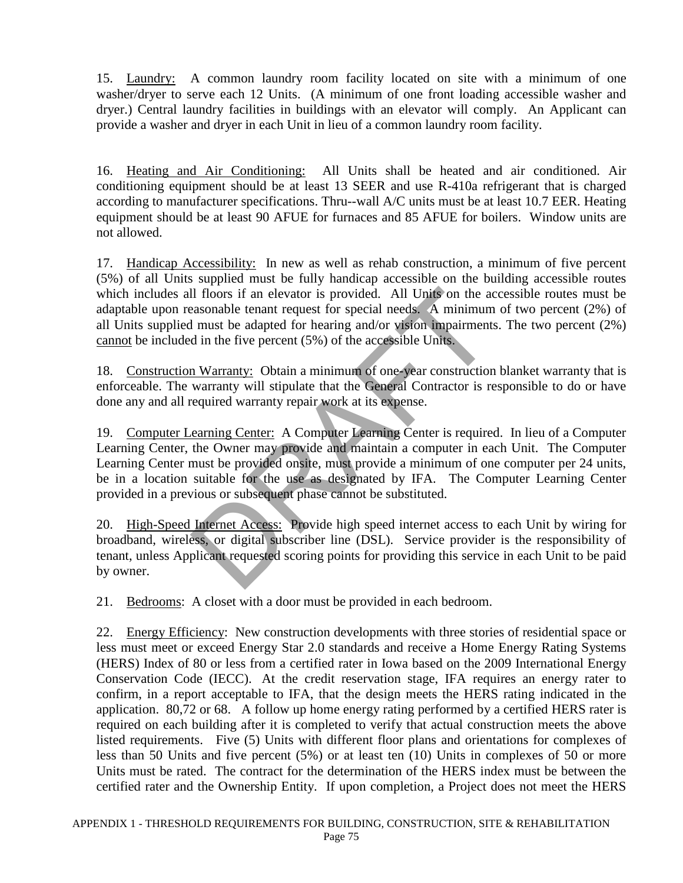15. Laundry: A common laundry room facility located on site with a minimum of one washer/dryer to serve each 12 Units. (A minimum of one front loading accessible washer and dryer.) Central laundry facilities in buildings with an elevator will comply. An Applicant can provide a washer and dryer in each Unit in lieu of a common laundry room facility.

16. Heating and Air Conditioning: All Units shall be heated and air conditioned. Air conditioning equipment should be at least 13 SEER and use R-410a refrigerant that is charged according to manufacturer specifications. Thru--wall A/C units must be at least 10.7 EER. Heating equipment should be at least 90 AFUE for furnaces and 85 AFUE for boilers. Window units are not allowed.

17. Handicap Accessibility: In new as well as rehab construction, a minimum of five percent (5%) of all Units supplied must be fully handicap accessible on the building accessible routes which includes all floors if an elevator is provided. All Units on the accessible routes must be adaptable upon reasonable tenant request for special needs. A minimum of two percent (2%) of all Units supplied must be adapted for hearing and/or vision impairments. The two percent (2%) cannot be included in the five percent (5%) of the accessible Units.

18. Construction Warranty: Obtain a minimum of one-year construction blanket warranty that is enforceable. The warranty will stipulate that the General Contractor is responsible to do or have done any and all required warranty repair work at its expense.

Il floors if an elevator is provided. All Units on the assonable tenant request for special needs. A minimum<br>I must be adapted for hearing and/or vision impairment<br>d in the five percent (5%) of the accessible Units.<br>n Warr 19. Computer Learning Center: A Computer Learning Center is required. In lieu of a Computer Learning Center, the Owner may provide and maintain a computer in each Unit. The Computer Learning Center must be provided onsite, must provide a minimum of one computer per 24 units, be in a location suitable for the use as designated by IFA. The Computer Learning Center provided in a previous or subsequent phase cannot be substituted.

20. High-Speed Internet Access: Provide high speed internet access to each Unit by wiring for broadband, wireless, or digital subscriber line (DSL). Service provider is the responsibility of tenant, unless Applicant requested scoring points for providing this service in each Unit to be paid by owner.

21. Bedrooms: A closet with a door must be provided in each bedroom.

22. Energy Efficiency: New construction developments with three stories of residential space or less must meet or exceed Energy Star 2.0 standards and receive a Home Energy Rating Systems (HERS) Index of 80 or less from a certified rater in Iowa based on the 2009 International Energy Conservation Code (IECC). At the credit reservation stage, IFA requires an energy rater to confirm, in a report acceptable to IFA, that the design meets the HERS rating indicated in the application. 80,72 or 68. A follow up home energy rating performed by a certified HERS rater is required on each building after it is completed to verify that actual construction meets the above listed requirements. Five (5) Units with different floor plans and orientations for complexes of less than 50 Units and five percent (5%) or at least ten (10) Units in complexes of 50 or more Units must be rated. The contract for the determination of the HERS index must be between the certified rater and the Ownership Entity. If upon completion, a Project does not meet the HERS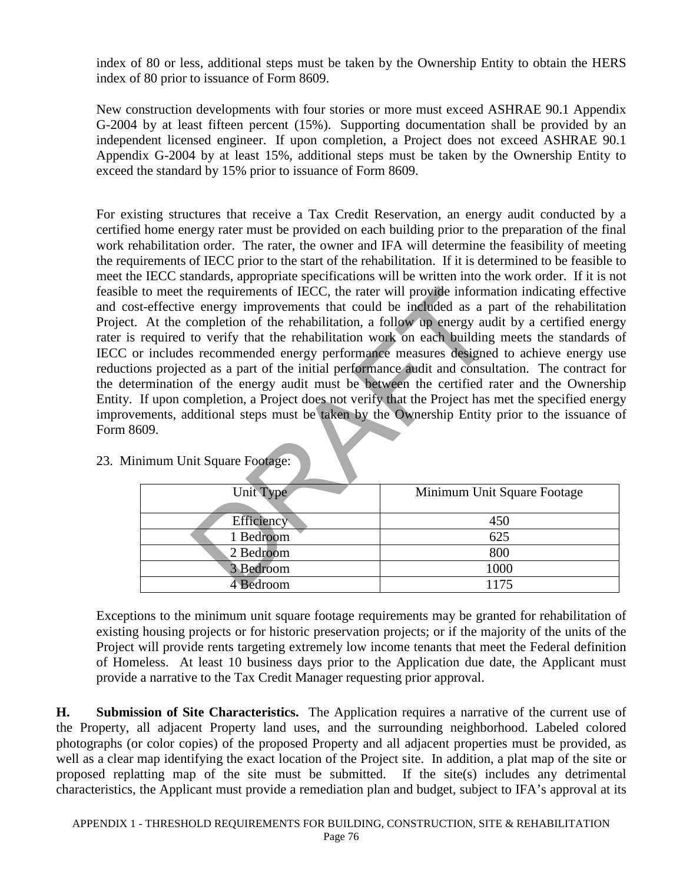index of 80 or less, additional steps must be taken by the Ownership Entity to obtain the HERS index of 80 prior to issuance of Form 8609.

New construction developments with four stories or more must exceed ASHRAE 90.1 Appendix G-2004 by at least fifteen percent (15%). Supporting documentation shall be provided by an independent licensed engineer. If upon completion, a Project does not exceed ASHRAE 90.1 Appendix G-2004 by at least 15%, additional steps must be taken by the Ownership Entity to exceed the standard by 15% prior to issuance of Form 8609.

The requirements of IECC, the rater will provide informate energy improvements that could be included as a prompletion of the rehabilitation, a follow up energy audio verify that the rehabilitation work on each building is For existing structures that receive a Tax Credit Reservation, an energy audit conducted by a certified home energy rater must be provided on each building prior to the preparation of the final work rehabilitation order. The rater, the owner and IFA will determine the feasibility of meeting the requirements of IECC prior to the start of the rehabilitation. If it is determined to be feasible to meet the IECC standards, appropriate specifications will be written into the work order. If it is not feasible to meet the requirements of IECC, the rater will provide information indicating effective and cost-effective energy improvements that could be included as a part of the rehabilitation Project. At the completion of the rehabilitation, a follow up energy audit by a certified energy rater is required to verify that the rehabilitation work on each building meets the standards of IECC or includes recommended energy performance measures designed to achieve energy use reductions projected as a part of the initial performance audit and consultation. The contract for the determination of the energy audit must be between the certified rater and the Ownership Entity. If upon completion, a Project does not verify that the Project has met the specified energy improvements, additional steps must be taken by the Ownership Entity prior to the issuance of Form 8609.

| Unit Type      | Minimum Unit Square Footage |
|----------------|-----------------------------|
|                |                             |
| Efficiency     | 450                         |
| 1 Bedroom      | 625                         |
| 2 Bedroom      | 800                         |
| 3 Bedroom      | 1000                        |
| <b>Bedroom</b> | 1175                        |

## 23. Minimum Unit Square Footage:

Exceptions to the minimum unit square footage requirements may be granted for rehabilitation of existing housing projects or for historic preservation projects; or if the majority of the units of the Project will provide rents targeting extremely low income tenants that meet the Federal definition of Homeless. At least 10 business days prior to the Application due date, the Applicant must provide a narrative to the Tax Credit Manager requesting prior approval.

**H. Submission of Site Characteristics.** The Application requires a narrative of the current use of the Property, all adjacent Property land uses, and the surrounding neighborhood. Labeled colored photographs (or color copies) of the proposed Property and all adjacent properties must be provided, as well as a clear map identifying the exact location of the Project site. In addition, a plat map of the site or proposed replatting map of the site must be submitted. If the site(s) includes any detrimental characteristics, the Applicant must provide a remediation plan and budget, subject to IFA's approval at its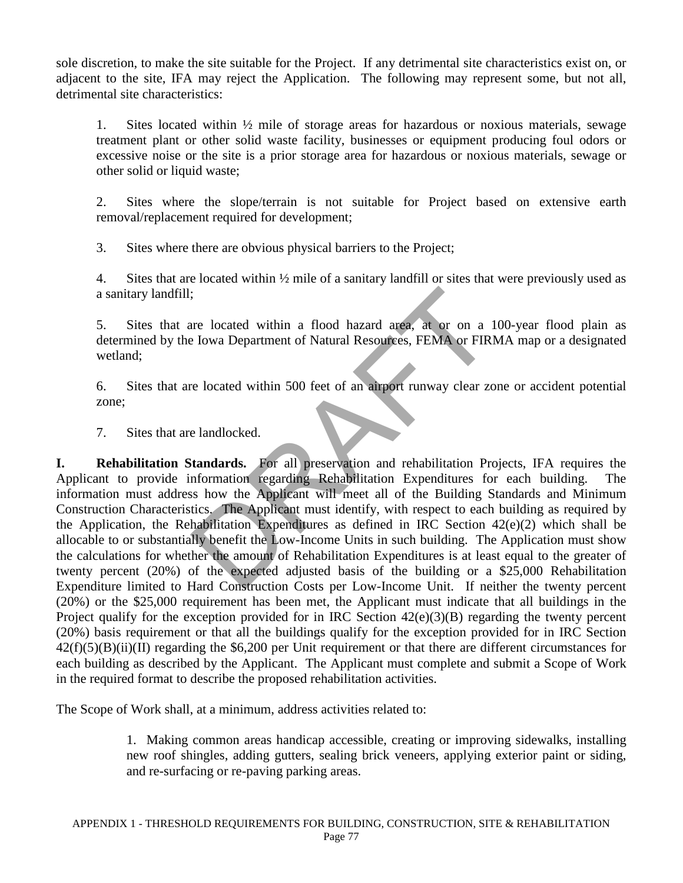sole discretion, to make the site suitable for the Project. If any detrimental site characteristics exist on, or adjacent to the site, IFA may reject the Application. The following may represent some, but not all, detrimental site characteristics:

1. Sites located within ½ mile of storage areas for hazardous or noxious materials, sewage treatment plant or other solid waste facility, businesses or equipment producing foul odors or excessive noise or the site is a prior storage area for hazardous or noxious materials, sewage or other solid or liquid waste;

2. Sites where the slope/terrain is not suitable for Project based on extensive earth removal/replacement required for development;

3. Sites where there are obvious physical barriers to the Project;

4. Sites that are located within ½ mile of a sanitary landfill or sites that were previously used as a sanitary landfill;

5. Sites that are located within a flood hazard area, at or on a 100-year flood plain as determined by the Iowa Department of Natural Resources, FEMA or FIRMA map or a designated wetland;

6. Sites that are located within 500 feet of an airport runway clear zone or accident potential zone;

7. Sites that are landlocked.

France I control and a metallity of the expected adjusted basis of the barrier of the expectation of the expected and the expected and the expected and the experiment of the Building S and the Applicant will meet all of th **I. Rehabilitation Standards.** For all preservation and rehabilitation Projects, IFA requires the Applicant to provide information regarding Rehabilitation Expenditures for each building. The information must address how the Applicant will meet all of the Building Standards and Minimum Construction Characteristics. The Applicant must identify, with respect to each building as required by the Application, the Rehabilitation Expenditures as defined in IRC Section  $42(e)(2)$  which shall be allocable to or substantially benefit the Low-Income Units in such building. The Application must show the calculations for whether the amount of Rehabilitation Expenditures is at least equal to the greater of twenty percent (20%) of the expected adjusted basis of the building or a \$25,000 Rehabilitation Expenditure limited to Hard Construction Costs per Low-Income Unit. If neither the twenty percent (20%) or the \$25,000 requirement has been met, the Applicant must indicate that all buildings in the Project qualify for the exception provided for in IRC Section 42(e)(3)(B) regarding the twenty percent (20%) basis requirement or that all the buildings qualify for the exception provided for in IRC Section  $42(f)(5)(B)(ii)(II)$  regarding the \$6,200 per Unit requirement or that there are different circumstances for each building as described by the Applicant. The Applicant must complete and submit a Scope of Work in the required format to describe the proposed rehabilitation activities.

The Scope of Work shall, at a minimum, address activities related to:

 1. Making common areas handicap accessible, creating or improving sidewalks, installing new roof shingles, adding gutters, sealing brick veneers, applying exterior paint or siding, and re-surfacing or re-paving parking areas.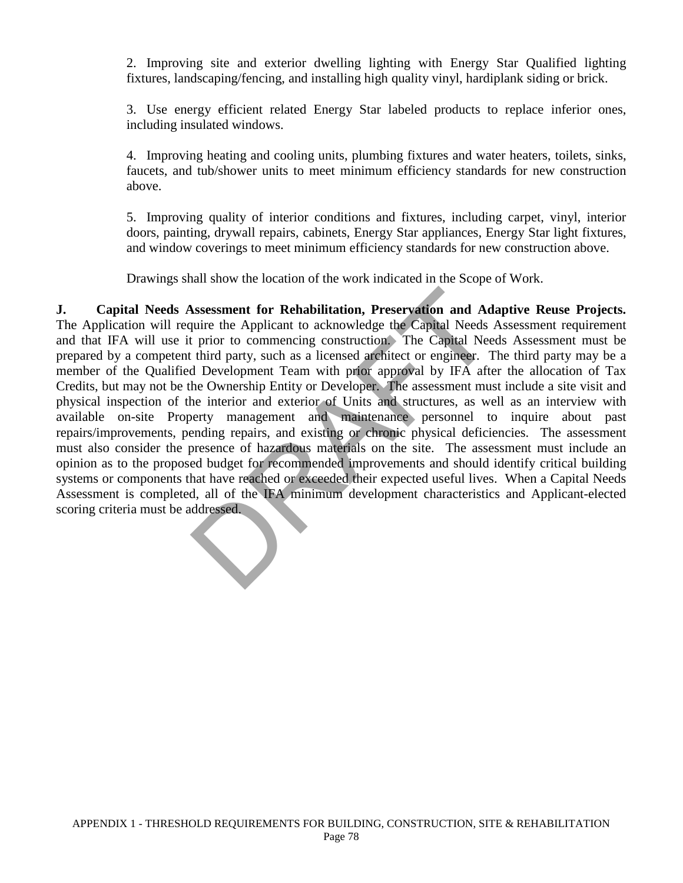2. Improving site and exterior dwelling lighting with Energy Star Qualified lighting fixtures, landscaping/fencing, and installing high quality vinyl, hardiplank siding or brick.

3. Use energy efficient related Energy Star labeled products to replace inferior ones, including insulated windows.

 4. Improving heating and cooling units, plumbing fixtures and water heaters, toilets, sinks, faucets, and tub/shower units to meet minimum efficiency standards for new construction above.

 5. Improving quality of interior conditions and fixtures, including carpet, vinyl, interior doors, painting, drywall repairs, cabinets, Energy Star appliances, Energy Star light fixtures, and window coverings to meet minimum efficiency standards for new construction above.

Drawings shall show the location of the work indicated in the Scope of Work.

Assessment for Rehabilitation, Preservation and Adquire the Applicant to acknowledge the Capital Needs<br>t prior to commencing construction. The Capital Needs<br>t third party, such as a licensed architect or engineer. T<br>d Deve **J. Capital Needs Assessment for Rehabilitation, Preservation and Adaptive Reuse Projects.** The Application will require the Applicant to acknowledge the Capital Needs Assessment requirement and that IFA will use it prior to commencing construction. The Capital Needs Assessment must be prepared by a competent third party, such as a licensed architect or engineer. The third party may be a member of the Qualified Development Team with prior approval by IFA after the allocation of Tax Credits, but may not be the Ownership Entity or Developer. The assessment must include a site visit and physical inspection of the interior and exterior of Units and structures, as well as an interview with available on-site Property management and maintenance personnel to inquire about past repairs/improvements, pending repairs, and existing or chronic physical deficiencies. The assessment must also consider the presence of hazardous materials on the site. The assessment must include an opinion as to the proposed budget for recommended improvements and should identify critical building systems or components that have reached or exceeded their expected useful lives. When a Capital Needs Assessment is completed, all of the IFA minimum development characteristics and Applicant-elected scoring criteria must be addressed.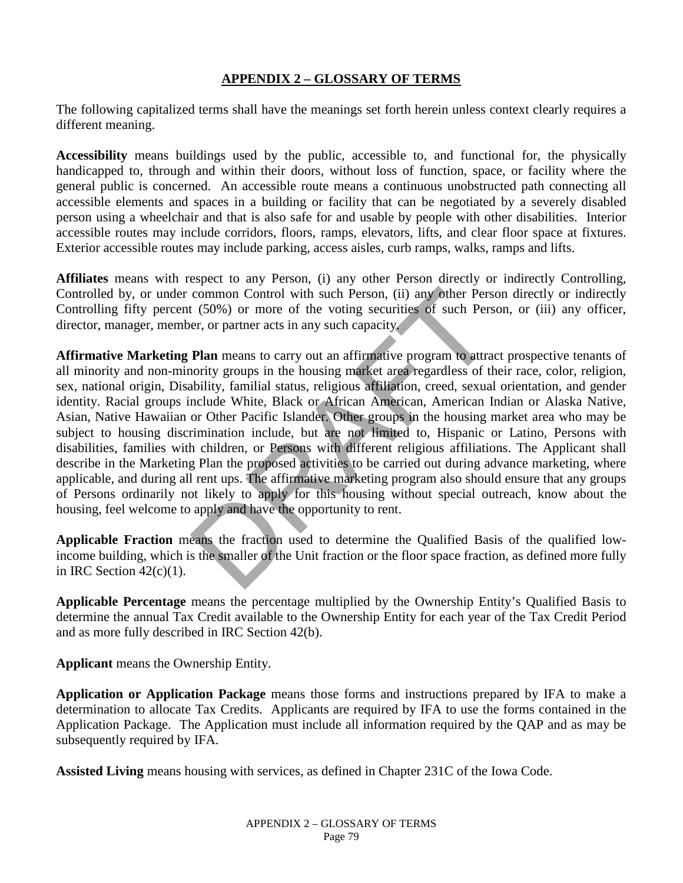## **APPENDIX 2 – GLOSSARY OF TERMS**

The following capitalized terms shall have the meanings set forth herein unless context clearly requires a different meaning.

**Accessibility** means buildings used by the public, accessible to, and functional for, the physically handicapped to, through and within their doors, without loss of function, space, or facility where the general public is concerned. An accessible route means a continuous unobstructed path connecting all accessible elements and spaces in a building or facility that can be negotiated by a severely disabled person using a wheelchair and that is also safe for and usable by people with other disabilities. Interior accessible routes may include corridors, floors, ramps, elevators, lifts, and clear floor space at fixtures. Exterior accessible routes may include parking, access aisles, curb ramps, walks, ramps and lifts.

**Affiliates** means with respect to any Person, (i) any other Person directly or indirectly Controlling, Controlled by, or under common Control with such Person, (ii) any other Person directly or indirectly Controlling fifty percent (50%) or more of the voting securities of such Person, or (iii) any officer, director, manager, member, or partner acts in any such capacity.

common Control with such Person, (ii) any other Pers<br>
t (50%) or more of the voting securities of such Pers<br>
er, or partner acts in any such capacity<br> **Plan** means to carry out an affirmative program to attra<br>
nority group **Affirmative Marketing Plan** means to carry out an affirmative program to attract prospective tenants of all minority and non-minority groups in the housing market area regardless of their race, color, religion, sex, national origin, Disability, familial status, religious affiliation, creed, sexual orientation, and gender identity. Racial groups include White, Black or African American, American Indian or Alaska Native, Asian, Native Hawaiian or Other Pacific Islander. Other groups in the housing market area who may be subject to housing discrimination include, but are not limited to, Hispanic or Latino, Persons with disabilities, families with children, or Persons with different religious affiliations. The Applicant shall describe in the Marketing Plan the proposed activities to be carried out during advance marketing, where applicable, and during all rent ups. The affirmative marketing program also should ensure that any groups of Persons ordinarily not likely to apply for this housing without special outreach, know about the housing, feel welcome to apply and have the opportunity to rent.

**Applicable Fraction** means the fraction used to determine the Qualified Basis of the qualified lowincome building, which is the smaller of the Unit fraction or the floor space fraction, as defined more fully in IRC Section  $42(c)(1)$ .

**Applicable Percentage** means the percentage multiplied by the Ownership Entity's Qualified Basis to determine the annual Tax Credit available to the Ownership Entity for each year of the Tax Credit Period and as more fully described in IRC Section 42(b).

**Applicant** means the Ownership Entity.

**Application or Application Package** means those forms and instructions prepared by IFA to make a determination to allocate Tax Credits. Applicants are required by IFA to use the forms contained in the Application Package. The Application must include all information required by the QAP and as may be subsequently required by IFA.

**Assisted Living** means housing with services, as defined in Chapter 231C of the Iowa Code.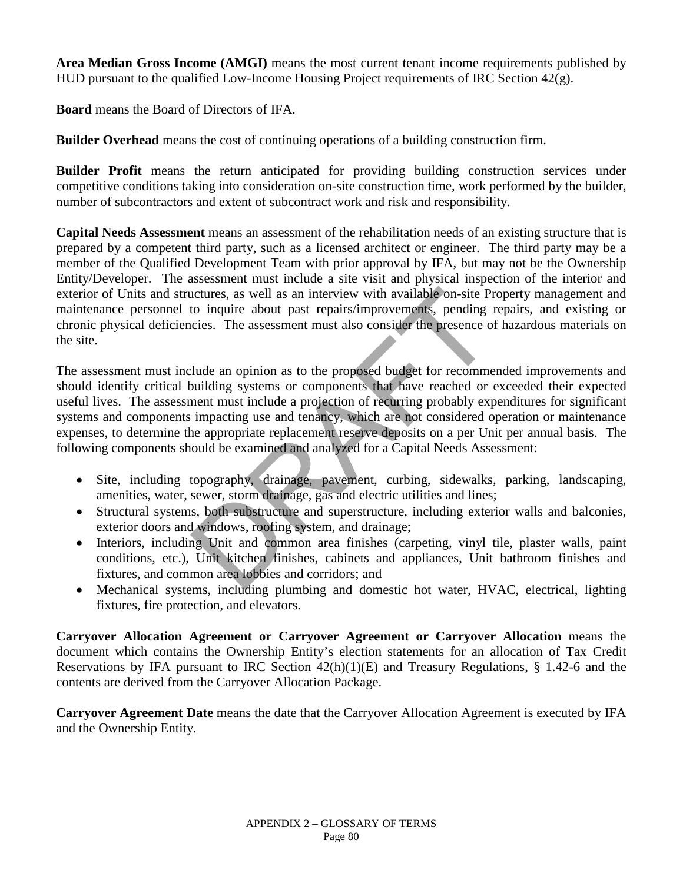**Area Median Gross Income (AMGI)** means the most current tenant income requirements published by HUD pursuant to the qualified Low-Income Housing Project requirements of IRC Section 42(g).

**Board** means the Board of Directors of IFA.

**Builder Overhead** means the cost of continuing operations of a building construction firm.

**Builder Profit** means the return anticipated for providing building construction services under competitive conditions taking into consideration on-site construction time, work performed by the builder, number of subcontractors and extent of subcontract work and risk and responsibility.

**Capital Needs Assessment** means an assessment of the rehabilitation needs of an existing structure that is prepared by a competent third party, such as a licensed architect or engineer. The third party may be a member of the Qualified Development Team with prior approval by IFA, but may not be the Ownership Entity/Developer. The assessment must include a site visit and physical inspection of the interior and exterior of Units and structures, as well as an interview with available on-site Property management and maintenance personnel to inquire about past repairs/improvements, pending repairs, and existing or chronic physical deficiencies. The assessment must also consider the presence of hazardous materials on the site.

netures, as well as an interview with available on-site Proposition inquire about past repairs/improvements, pending<br>cies. The assessment must also consider the presence of<br>clude an opinion as to the proposed budget for re The assessment must include an opinion as to the proposed budget for recommended improvements and should identify critical building systems or components that have reached or exceeded their expected useful lives. The assessment must include a projection of recurring probably expenditures for significant systems and components impacting use and tenancy, which are not considered operation or maintenance expenses, to determine the appropriate replacement reserve deposits on a per Unit per annual basis. The following components should be examined and analyzed for a Capital Needs Assessment:

- Site, including topography, drainage, pavement, curbing, sidewalks, parking, landscaping, amenities, water, sewer, storm drainage, gas and electric utilities and lines;
- Structural systems, both substructure and superstructure, including exterior walls and balconies, exterior doors and windows, roofing system, and drainage;
- Interiors, including Unit and common area finishes (carpeting, vinyl tile, plaster walls, paint conditions, etc.), Unit kitchen finishes, cabinets and appliances, Unit bathroom finishes and fixtures, and common area lobbies and corridors; and
- Mechanical systems, including plumbing and domestic hot water, HVAC, electrical, lighting fixtures, fire protection, and elevators.

**Carryover Allocation Agreement or Carryover Agreement or Carryover Allocation** means the document which contains the Ownership Entity's election statements for an allocation of Tax Credit Reservations by IFA pursuant to IRC Section 42(h)(1)(E) and Treasury Regulations, § 1.42-6 and the contents are derived from the Carryover Allocation Package.

**Carryover Agreement Date** means the date that the Carryover Allocation Agreement is executed by IFA and the Ownership Entity.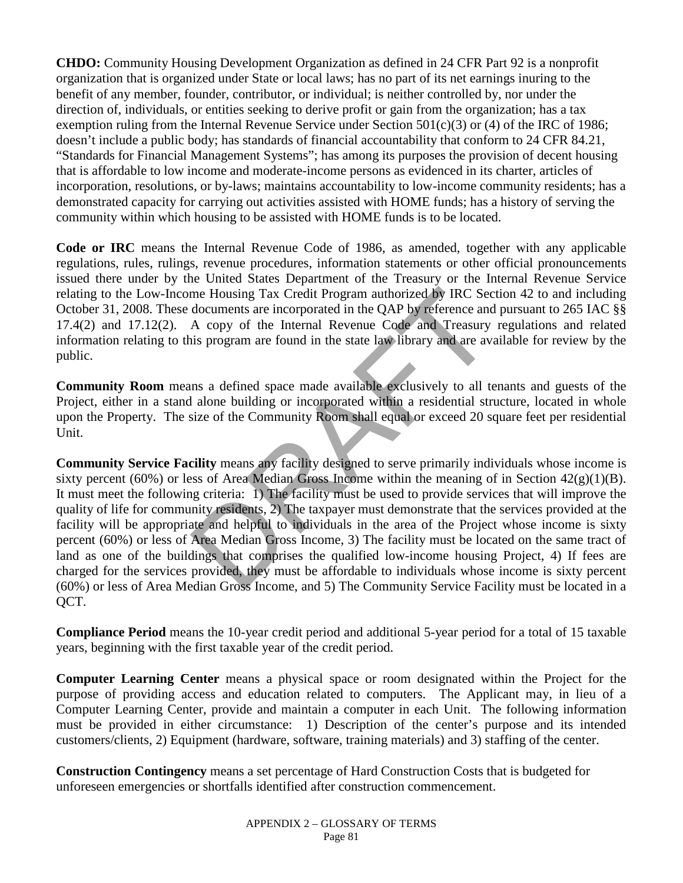**CHDO:** Community Housing Development Organization as defined in 24 CFR Part 92 is a nonprofit organization that is organized under State or local laws; has no part of its net earnings inuring to the benefit of any member, founder, contributor, or individual; is neither controlled by, nor under the direction of, individuals, or entities seeking to derive profit or gain from the organization; has a tax exemption ruling from the Internal Revenue Service under Section  $501(c)(3)$  or (4) of the IRC of 1986; doesn't include a public body; has standards of financial accountability that conform to 24 CFR 84.21, "Standards for Financial Management Systems"; has among its purposes the provision of decent housing that is affordable to low income and moderate-income persons as evidenced in its charter, articles of incorporation, resolutions, or by-laws; maintains accountability to low-income community residents; has a demonstrated capacity for carrying out activities assisted with HOME funds; has a history of serving the community within which housing to be assisted with HOME funds is to be located.

**Code or IRC** means the Internal Revenue Code of 1986, as amended, together with any applicable regulations, rules, rulings, revenue procedures, information statements or other official pronouncements issued there under by the United States Department of the Treasury or the Internal Revenue Service relating to the Low-Income Housing Tax Credit Program authorized by IRC Section 42 to and including October 31, 2008. These documents are incorporated in the QAP by reference and pursuant to 265 IAC §§ 17.4(2) and 17.12(2). A copy of the Internal Revenue Code and Treasury regulations and related information relating to this program are found in the state law library and are available for review by the public.

**Community Room** means a defined space made available exclusively to all tenants and guests of the Project, either in a stand alone building or incorporated within a residential structure, located in whole upon the Property. The size of the Community Room shall equal or exceed 20 square feet per residential Unit.

me Housing Tax Credit Program authorized by IRC Sec<br>documents are incorporated in the QAP by reference and<br>A copy of the Internal Revenue Code and Treasury<br>is program are found in the state law library and are averaged<br>and **Community Service Facility** means any facility designed to serve primarily individuals whose income is sixty percent (60%) or less of Area Median Gross Income within the meaning of in Section  $42(g)(1)(B)$ . It must meet the following criteria: 1) The facility must be used to provide services that will improve the quality of life for community residents, 2) The taxpayer must demonstrate that the services provided at the facility will be appropriate and helpful to individuals in the area of the Project whose income is sixty percent (60%) or less of Area Median Gross Income, 3) The facility must be located on the same tract of land as one of the buildings that comprises the qualified low-income housing Project, 4) If fees are charged for the services provided, they must be affordable to individuals whose income is sixty percent (60%) or less of Area Median Gross Income, and 5) The Community Service Facility must be located in a QCT.

**Compliance Period** means the 10-year credit period and additional 5-year period for a total of 15 taxable years, beginning with the first taxable year of the credit period.

**Computer Learning Center** means a physical space or room designated within the Project for the purpose of providing access and education related to computers. The Applicant may, in lieu of a Computer Learning Center, provide and maintain a computer in each Unit. The following information must be provided in either circumstance: 1) Description of the center's purpose and its intended customers/clients, 2) Equipment (hardware, software, training materials) and 3) staffing of the center.

**Construction Contingency** means a set percentage of Hard Construction Costs that is budgeted for unforeseen emergencies or shortfalls identified after construction commencement.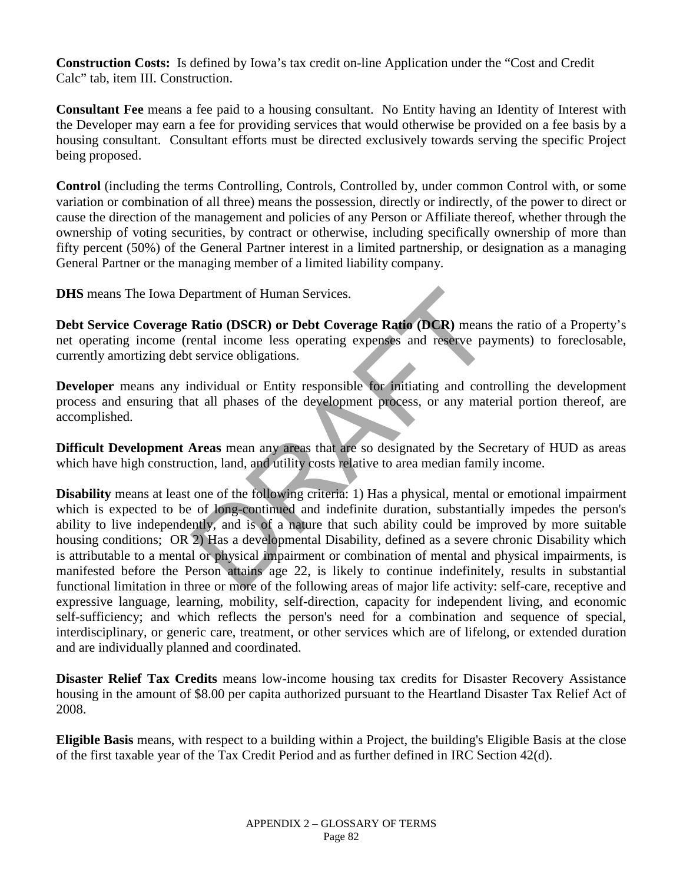**Construction Costs:** Is defined by Iowa's tax credit on-line Application under the "Cost and Credit Calc" tab, item III. Construction.

**Consultant Fee** means a fee paid to a housing consultant. No Entity having an Identity of Interest with the Developer may earn a fee for providing services that would otherwise be provided on a fee basis by a housing consultant. Consultant efforts must be directed exclusively towards serving the specific Project being proposed.

**Control** (including the terms Controlling, Controls, Controlled by, under common Control with, or some variation or combination of all three) means the possession, directly or indirectly, of the power to direct or cause the direction of the management and policies of any Person or Affiliate thereof, whether through the ownership of voting securities, by contract or otherwise, including specifically ownership of more than fifty percent (50%) of the General Partner interest in a limited partnership, or designation as a managing General Partner or the managing member of a limited liability company.

**DHS** means The Iowa Department of Human Services.

**Debt Service Coverage Ratio (DSCR) or Debt Coverage Ratio (DCR)** means the ratio of a Property's net operating income (rental income less operating expenses and reserve payments) to foreclosable, currently amortizing debt service obligations.

**Developer** means any individual or Entity responsible for initiating and controlling the development process and ensuring that all phases of the development process, or any material portion thereof, are accomplished.

**Difficult Development Areas** mean any areas that are so designated by the Secretary of HUD as areas which have high construction, land, and utility costs relative to area median family income.

epartment of Human Services.<br> **Ratio (DSCR) or Debt Coverage Ratio (DCR)** means<br>
ental income less operating expenses and reserve pay<br>
t service obligations.<br>
Individual or Entity responsible for initiating and cont<br>
at al **Disability** means at least one of the following criteria: 1) Has a physical, mental or emotional impairment which is expected to be of long-continued and indefinite duration, substantially impedes the person's ability to live independently, and is of a nature that such ability could be improved by more suitable housing conditions; OR 2) Has a developmental Disability, defined as a severe chronic Disability which is attributable to a mental or physical impairment or combination of mental and physical impairments, is manifested before the Person attains age 22, is likely to continue indefinitely, results in substantial functional limitation in three or more of the following areas of major life activity: self-care, receptive and expressive language, learning, mobility, self-direction, capacity for independent living, and economic self-sufficiency; and which reflects the person's need for a combination and sequence of special, interdisciplinary, or generic care, treatment, or other services which are of lifelong, or extended duration and are individually planned and coordinated.

**Disaster Relief Tax Credits** means low-income housing tax credits for Disaster Recovery Assistance housing in the amount of \$8.00 per capita authorized pursuant to the Heartland Disaster Tax Relief Act of 2008.

**Eligible Basis** means, with respect to a building within a Project, the building's Eligible Basis at the close of the first taxable year of the Tax Credit Period and as further defined in IRC Section 42(d).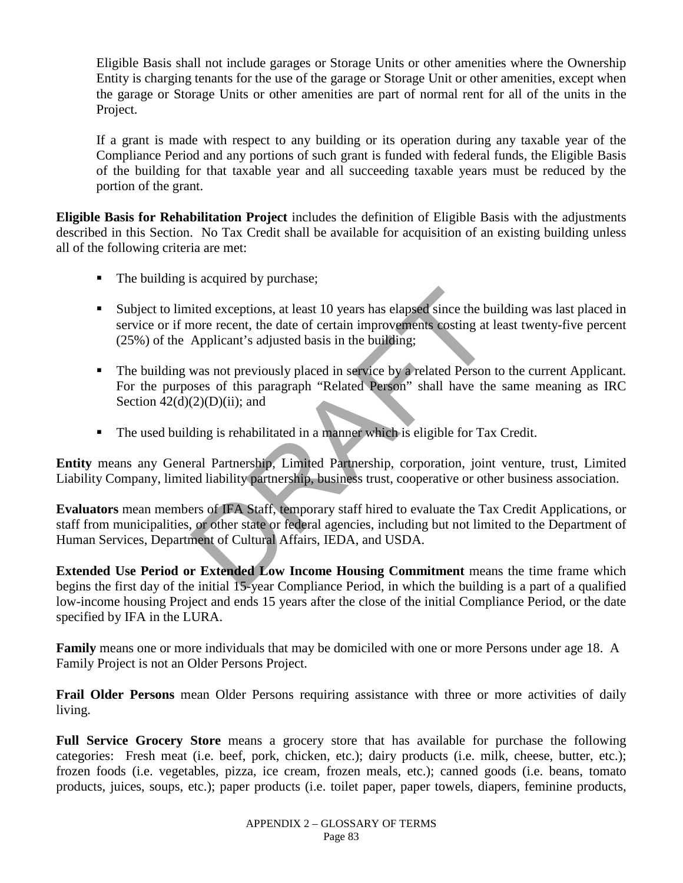Eligible Basis shall not include garages or Storage Units or other amenities where the Ownership Entity is charging tenants for the use of the garage or Storage Unit or other amenities, except when the garage or Storage Units or other amenities are part of normal rent for all of the units in the Project.

If a grant is made with respect to any building or its operation during any taxable year of the Compliance Period and any portions of such grant is funded with federal funds, the Eligible Basis of the building for that taxable year and all succeeding taxable years must be reduced by the portion of the grant.

**Eligible Basis for Rehabilitation Project** includes the definition of Eligible Basis with the adjustments described in this Section. No Tax Credit shall be available for acquisition of an existing building unless all of the following criteria are met:

- The building is acquired by purchase;
- Subject to limited exceptions, at least 10 years has elapsed since the building was last placed in service or if more recent, the date of certain improvements costing at least twenty-five percent (25%) of the Applicant's adjusted basis in the building;
- The building was not previously placed in service by a related Person to the current Applicant. For the purposes of this paragraph "Related Person" shall have the same meaning as IRC Section  $42(d)(2)(D)(ii)$ ; and
- The used building is rehabilitated in a manner which is eligible for Tax Credit.

**Entity** means any General Partnership, Limited Partnership, corporation, joint venture, trust, Limited Liability Company, limited liability partnership, business trust, cooperative or other business association.

ited exceptions, at least 10 years has elapsed since the bu<br>nore recent, the date of certain improvements costing at<br>Applicant's adjusted basis in the building;<br>was not previously placed in service by a related Person<br>sess **Evaluators** mean members of IFA Staff, temporary staff hired to evaluate the Tax Credit Applications, or staff from municipalities, or other state or federal agencies, including but not limited to the Department of Human Services, Department of Cultural Affairs, IEDA, and USDA.

**Extended Use Period or Extended Low Income Housing Commitment** means the time frame which begins the first day of the initial 15-year Compliance Period, in which the building is a part of a qualified low-income housing Project and ends 15 years after the close of the initial Compliance Period, or the date specified by IFA in the LURA.

**Family** means one or more individuals that may be domiciled with one or more Persons under age 18. A Family Project is not an Older Persons Project.

**Frail Older Persons** mean Older Persons requiring assistance with three or more activities of daily living.

**Full Service Grocery Store** means a grocery store that has available for purchase the following categories: Fresh meat (i.e. beef, pork, chicken, etc.); dairy products (i.e. milk, cheese, butter, etc.); frozen foods (i.e. vegetables, pizza, ice cream, frozen meals, etc.); canned goods (i.e. beans, tomato products, juices, soups, etc.); paper products (i.e. toilet paper, paper towels, diapers, feminine products,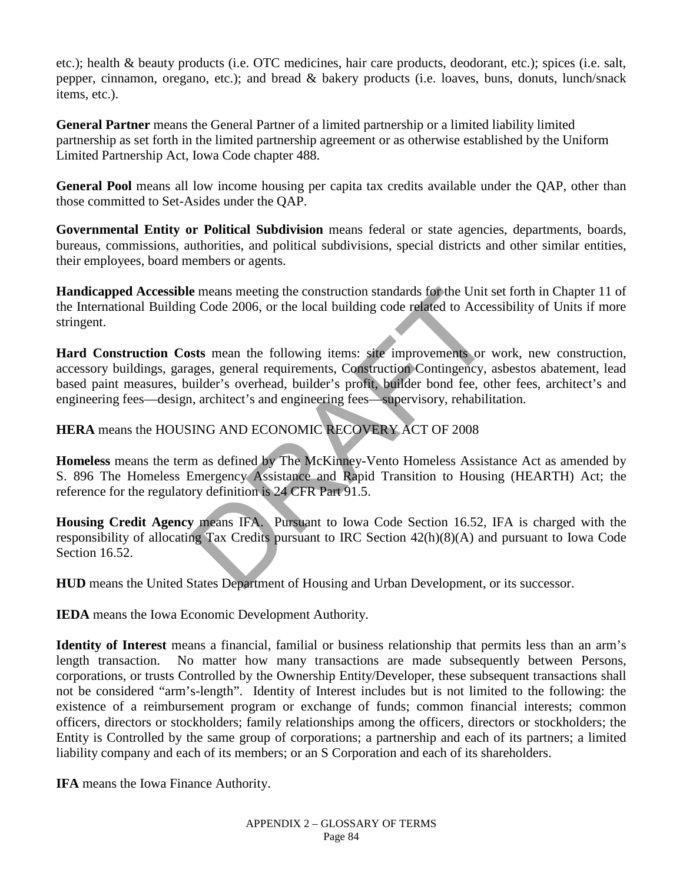etc.); health & beauty products (i.e. OTC medicines, hair care products, deodorant, etc.); spices (i.e. salt, pepper, cinnamon, oregano, etc.); and bread & bakery products (i.e. loaves, buns, donuts, lunch/snack items, etc.).

**General Partner** means the General Partner of a limited partnership or a limited liability limited partnership as set forth in the limited partnership agreement or as otherwise established by the Uniform Limited Partnership Act, Iowa Code chapter 488.

**General Pool** means all low income housing per capita tax credits available under the QAP, other than those committed to Set-Asides under the QAP.

**Governmental Entity or Political Subdivision** means federal or state agencies, departments, boards, bureaus, commissions, authorities, and political subdivisions, special districts and other similar entities, their employees, board members or agents.

**Handicapped Accessible** means meeting the construction standards for the Unit set forth in Chapter 11 of the International Building Code 2006, or the local building code related to Accessibility of Units if more stringent.

e means meeting the construction standards for the Unit standards and the Unit standards code 2006, or the local building code related to Accesses the means the following items: site improvements or vages, general requirem **Hard Construction Costs** mean the following items: site improvements or work, new construction, accessory buildings, garages, general requirements, Construction Contingency, asbestos abatement, lead based paint measures, builder's overhead, builder's profit, builder bond fee, other fees, architect's and engineering fees—design, architect's and engineering fees—supervisory, rehabilitation.

**HERA** means the HOUSING AND ECONOMIC RECOVERY ACT OF 2008

**Homeless** means the term as defined by The McKinney-Vento Homeless Assistance Act as amended by S. 896 The Homeless Emergency Assistance and Rapid Transition to Housing (HEARTH) Act; the reference for the regulatory definition is 24 CFR Part 91.5.

**Housing Credit Agency** means IFA. Pursuant to Iowa Code Section 16.52, IFA is charged with the responsibility of allocating Tax Credits pursuant to IRC Section 42(h)(8)(A) and pursuant to Iowa Code Section 16.52.

**HUD** means the United States Department of Housing and Urban Development, or its successor.

**IEDA** means the Iowa Economic Development Authority.

**Identity of Interest** means a financial, familial or business relationship that permits less than an arm's length transaction. No matter how many transactions are made subsequently between Persons, corporations, or trusts Controlled by the Ownership Entity/Developer, these subsequent transactions shall not be considered "arm's-length". Identity of Interest includes but is not limited to the following: the existence of a reimbursement program or exchange of funds; common financial interests; common officers, directors or stockholders; family relationships among the officers, directors or stockholders; the Entity is Controlled by the same group of corporations; a partnership and each of its partners; a limited liability company and each of its members; or an S Corporation and each of its shareholders.

**IFA** means the Iowa Finance Authority.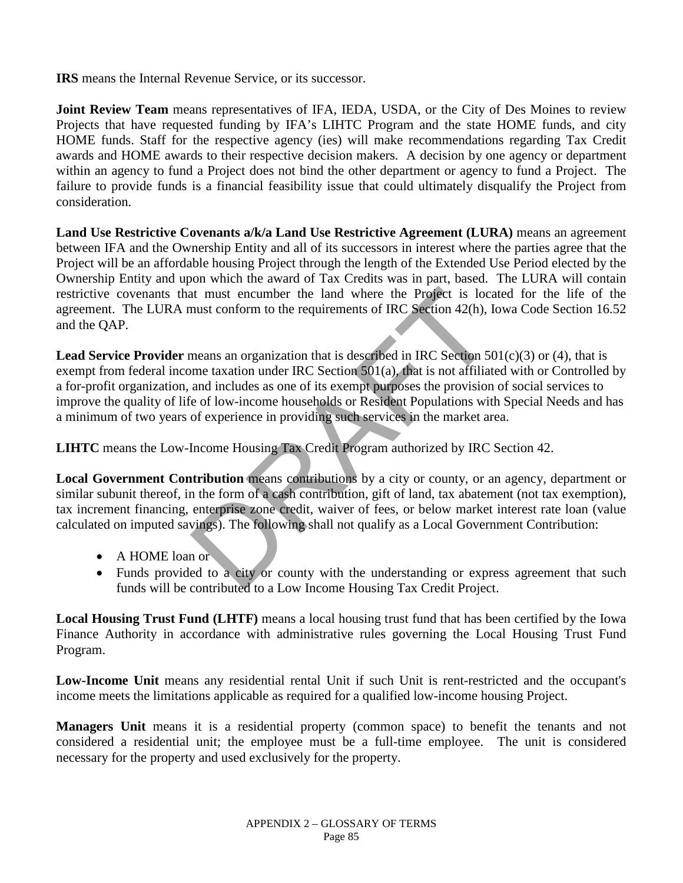**IRS** means the Internal Revenue Service, or its successor.

**Joint Review Team** means representatives of IFA, IEDA, USDA, or the City of Des Moines to review Projects that have requested funding by IFA's LIHTC Program and the state HOME funds, and city HOME funds. Staff for the respective agency (ies) will make recommendations regarding Tax Credit awards and HOME awards to their respective decision makers. A decision by one agency or department within an agency to fund a Project does not bind the other department or agency to fund a Project. The failure to provide funds is a financial feasibility issue that could ultimately disqualify the Project from consideration.

**Land Use Restrictive Covenants a/k/a Land Use Restrictive Agreement (LURA)** means an agreement between IFA and the Ownership Entity and all of its successors in interest where the parties agree that the Project will be an affordable housing Project through the length of the Extended Use Period elected by the Ownership Entity and upon which the award of Tax Credits was in part, based. The LURA will contain restrictive covenants that must encumber the land where the Project is located for the life of the agreement. The LURA must conform to the requirements of IRC Section 42(h), Iowa Code Section 16.52 and the QAP.

at must encumber the land where the Project is locations<br>the must conform to the requirements of IRC Section 42(h), 1<br>means an organization that is described in IRC Section 50<br>me taxation under IRC Section 501(a), that is Lead Service Provider means an organization that is described in IRC Section 501(c)(3) or (4), that is exempt from federal income taxation under IRC Section 501(a), that is not affiliated with or Controlled by a for-profit organization, and includes as one of its exempt purposes the provision of social services to improve the quality of life of low-income households or Resident Populations with Special Needs and has a minimum of two years of experience in providing such services in the market area.

**LIHTC** means the Low-Income Housing Tax Credit Program authorized by IRC Section 42.

**Local Government Contribution** means contributions by a city or county, or an agency, department or similar subunit thereof, in the form of a cash contribution, gift of land, tax abatement (not tax exemption), tax increment financing, enterprise zone credit, waiver of fees, or below market interest rate loan (value calculated on imputed savings). The following shall not qualify as a Local Government Contribution:

- A HOME loan or
- Funds provided to a city or county with the understanding or express agreement that such funds will be contributed to a Low Income Housing Tax Credit Project.

**Local Housing Trust Fund (LHTF)** means a local housing trust fund that has been certified by the Iowa Finance Authority in accordance with administrative rules governing the Local Housing Trust Fund Program.

**Low-Income Unit** means any residential rental Unit if such Unit is rent-restricted and the occupant's income meets the limitations applicable as required for a qualified low-income housing Project.

**Managers Unit** means it is a residential property (common space) to benefit the tenants and not considered a residential unit; the employee must be a full-time employee. The unit is considered necessary for the property and used exclusively for the property.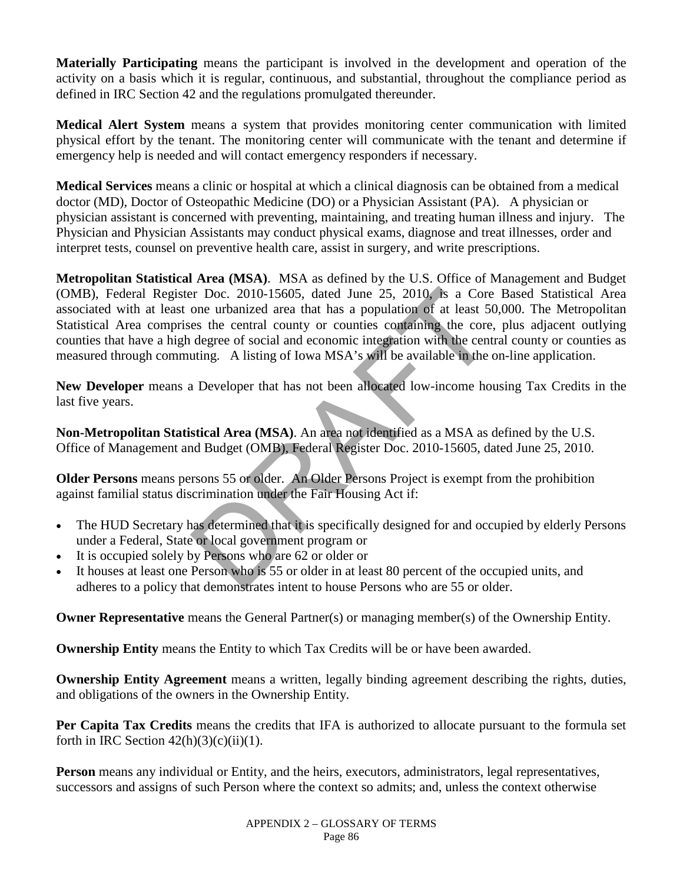**Materially Participating** means the participant is involved in the development and operation of the activity on a basis which it is regular, continuous, and substantial, throughout the compliance period as defined in IRC Section 42 and the regulations promulgated thereunder.

**Medical Alert System** means a system that provides monitoring center communication with limited physical effort by the tenant. The monitoring center will communicate with the tenant and determine if emergency help is needed and will contact emergency responders if necessary.

**Medical Services** means a clinic or hospital at which a clinical diagnosis can be obtained from a medical doctor (MD), Doctor of Osteopathic Medicine (DO) or a Physician Assistant (PA). A physician or physician assistant is concerned with preventing, maintaining, and treating human illness and injury. The Physician and Physician Assistants may conduct physical exams, diagnose and treat illnesses, order and interpret tests, counsel on preventive health care, assist in surgery, and write prescriptions.

er Doc. 2010-15605, dated June 25, 2010, is a Core<br>one urbanized area that has a population of at least 50<br>es the central county or counties containing the core,<br>degree of social and economic integration with the cent<br>utin **Metropolitan Statistical Area (MSA)**. MSA as defined by the U.S. Office of Management and Budget (OMB), Federal Register Doc. 2010-15605, dated June 25, 2010, is a Core Based Statistical Area associated with at least one urbanized area that has a population of at least 50,000. The Metropolitan Statistical Area comprises the central county or counties containing the core, plus adjacent outlying counties that have a high degree of social and economic integration with the central county or counties as measured through commuting. A listing of Iowa MSA's will be available in the on-line application.

**New Developer** means a Developer that has not been allocated low-income housing Tax Credits in the last five years.

**Non-Metropolitan Statistical Area (MSA)**. An area not identified as a MSA as defined by the U.S. Office of Management and Budget (OMB), Federal Register Doc. 2010-15605, dated June 25, 2010.

**Older Persons** means persons 55 or older. An Older Persons Project is exempt from the prohibition against familial status discrimination under the Fair Housing Act if:

- The HUD Secretary has determined that it is specifically designed for and occupied by elderly Persons under a Federal, State or local government program or
- It is occupied solely by Persons who are 62 or older or
- It houses at least one Person who is 55 or older in at least 80 percent of the occupied units, and adheres to a policy that demonstrates intent to house Persons who are 55 or older.

**Owner Representative** means the General Partner(s) or managing member(s) of the Ownership Entity.

**Ownership Entity** means the Entity to which Tax Credits will be or have been awarded.

**Ownership Entity Agreement** means a written, legally binding agreement describing the rights, duties, and obligations of the owners in the Ownership Entity.

**Per Capita Tax Credits** means the credits that IFA is authorized to allocate pursuant to the formula set forth in IRC Section  $42(h)(3)(c)(ii)(1)$ .

**Person** means any individual or Entity, and the heirs, executors, administrators, legal representatives, successors and assigns of such Person where the context so admits; and, unless the context otherwise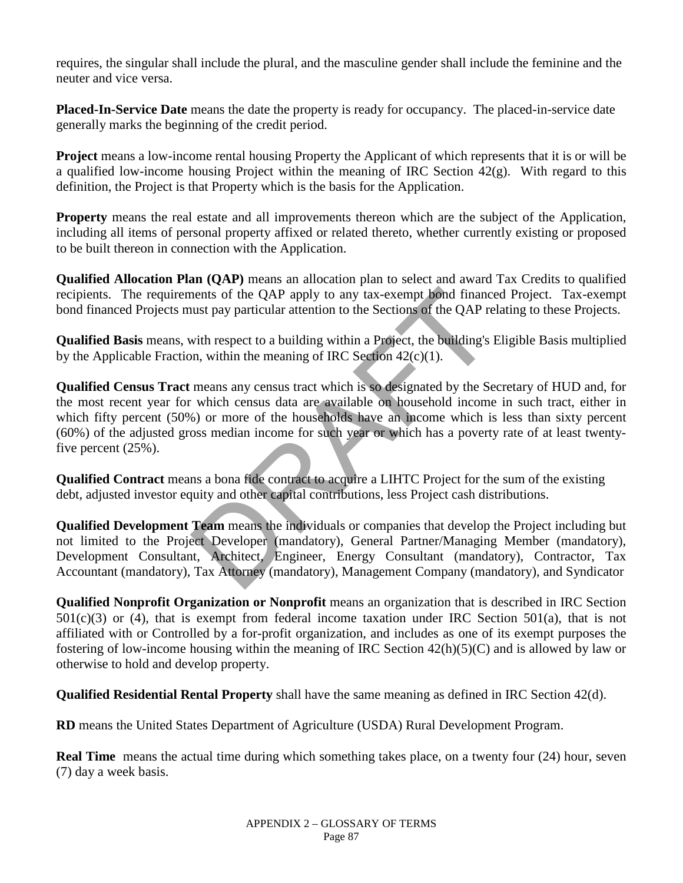requires, the singular shall include the plural, and the masculine gender shall include the feminine and the neuter and vice versa.

**Placed-In-Service Date** means the date the property is ready for occupancy. The placed-in-service date generally marks the beginning of the credit period.

**Project** means a low-income rental housing Property the Applicant of which represents that it is or will be a qualified low-income housing Project within the meaning of IRC Section 42(g). With regard to this definition, the Project is that Property which is the basis for the Application.

**Property** means the real estate and all improvements thereon which are the subject of the Application, including all items of personal property affixed or related thereto, whether currently existing or proposed to be built thereon in connection with the Application.

**Qualified Allocation Plan (QAP)** means an allocation plan to select and award Tax Credits to qualified recipients. The requirements of the QAP apply to any tax-exempt bond financed Project. Tax-exempt bond financed Projects must pay particular attention to the Sections of the QAP relating to these Projects.

**Qualified Basis** means, with respect to a building within a Project, the building's Eligible Basis multiplied by the Applicable Fraction, within the meaning of IRC Section  $42(c)(1)$ .

nents of the QAP apply to any tax-exempt bond finance ust pay particular attention to the Sections of the QAP rewith respect to a building within a Project, the building's on, within the meaning of IRC Section 42(c)(1). me **Qualified Census Tract** means any census tract which is so designated by the Secretary of HUD and, for the most recent year for which census data are available on household income in such tract, either in which fifty percent (50%) or more of the households have an income which is less than sixty percent (60%) of the adjusted gross median income for such year or which has a poverty rate of at least twentyfive percent (25%).

**Qualified Contract** means a bona fide contract to acquire a LIHTC Project for the sum of the existing debt, adjusted investor equity and other capital contributions, less Project cash distributions.

**Qualified Development Team** means the individuals or companies that develop the Project including but not limited to the Project Developer (mandatory), General Partner/Managing Member (mandatory), Development Consultant, Architect, Engineer, Energy Consultant (mandatory), Contractor, Tax Accountant (mandatory), Tax Attorney (mandatory), Management Company (mandatory), and Syndicator

**Qualified Nonprofit Organization or Nonprofit** means an organization that is described in IRC Section  $501(c)(3)$  or (4), that is exempt from federal income taxation under IRC Section 501(a), that is not affiliated with or Controlled by a for-profit organization, and includes as one of its exempt purposes the fostering of low-income housing within the meaning of IRC Section 42(h)(5)(C) and is allowed by law or otherwise to hold and develop property.

**Qualified Residential Rental Property** shall have the same meaning as defined in IRC Section 42(d).

**RD** means the United States Department of Agriculture (USDA) Rural Development Program.

**Real Time** means the actual time during which something takes place, on a twenty four (24) hour, seven (7) day a week basis.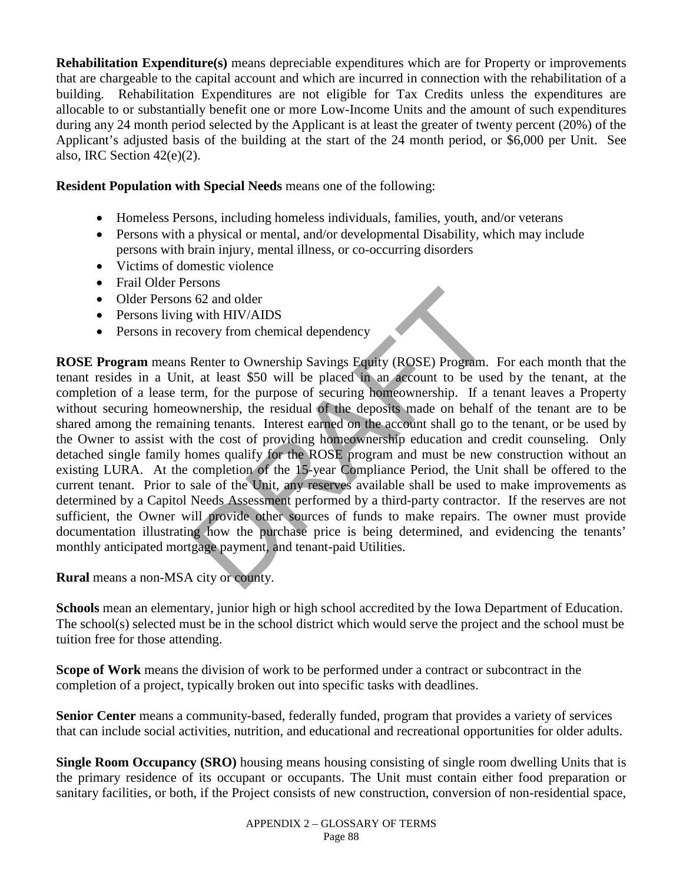**Rehabilitation Expenditure(s)** means depreciable expenditures which are for Property or improvements that are chargeable to the capital account and which are incurred in connection with the rehabilitation of a building. Rehabilitation Expenditures are not eligible for Tax Credits unless the expenditures are allocable to or substantially benefit one or more Low-Income Units and the amount of such expenditures during any 24 month period selected by the Applicant is at least the greater of twenty percent (20%) of the Applicant's adjusted basis of the building at the start of the 24 month period, or \$6,000 per Unit. See also, IRC Section 42(e)(2).

**Resident Population with Special Needs** means one of the following:

- Homeless Persons, including homeless individuals, families, youth, and/or veterans
- Persons with a physical or mental, and/or developmental Disability, which may include persons with brain injury, mental illness, or co-occurring disorders
- Victims of domestic violence
- Frail Older Persons
- Older Persons 62 and older
- Persons living with HIV/AIDS
- Persons in recovery from chemical dependency

is 62 and older<br>
is 62 and older<br>
is with HIV/AIDS<br>
covery from chemical dependency<br>
Renter to Ownership Savings Equity (ROSE) Program.<br>
at least \$50 will be placed in an account to be use<br>
rm, for the purpose of securing **ROSE Program** means Renter to Ownership Savings Equity (ROSE) Program. For each month that the tenant resides in a Unit, at least \$50 will be placed in an account to be used by the tenant, at the completion of a lease term, for the purpose of securing homeownership. If a tenant leaves a Property without securing homeownership, the residual of the deposits made on behalf of the tenant are to be shared among the remaining tenants. Interest earned on the account shall go to the tenant, or be used by the Owner to assist with the cost of providing homeownership education and credit counseling. Only detached single family homes qualify for the ROSE program and must be new construction without an existing LURA. At the completion of the 15-year Compliance Period, the Unit shall be offered to the current tenant. Prior to sale of the Unit, any reserves available shall be used to make improvements as determined by a Capitol Needs Assessment performed by a third-party contractor. If the reserves are not sufficient, the Owner will provide other sources of funds to make repairs. The owner must provide documentation illustrating how the purchase price is being determined, and evidencing the tenants' monthly anticipated mortgage payment, and tenant-paid Utilities.

**Rural** means a non-MSA city or county.

**Schools** mean an elementary, junior high or high school accredited by the Iowa Department of Education. The school(s) selected must be in the school district which would serve the project and the school must be tuition free for those attending.

**Scope of Work** means the division of work to be performed under a contract or subcontract in the completion of a project, typically broken out into specific tasks with deadlines.

**Senior Center** means a community-based, federally funded, program that provides a variety of services that can include social activities, nutrition, and educational and recreational opportunities for older adults.

**Single Room Occupancy (SRO)** housing means housing consisting of single room dwelling Units that is the primary residence of its occupant or occupants. The Unit must contain either food preparation or sanitary facilities, or both, if the Project consists of new construction, conversion of non-residential space,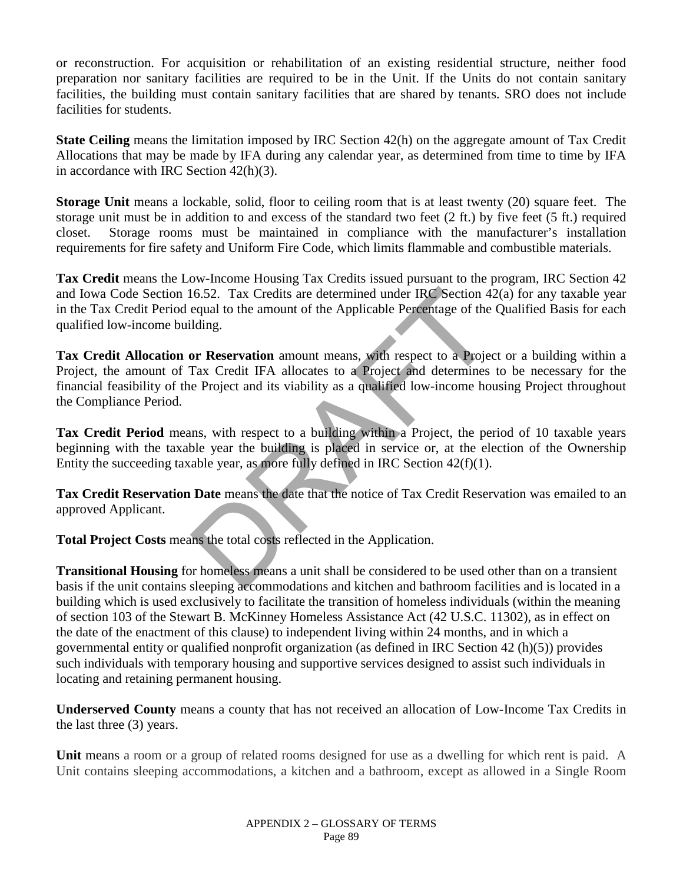or reconstruction. For acquisition or rehabilitation of an existing residential structure, neither food preparation nor sanitary facilities are required to be in the Unit. If the Units do not contain sanitary facilities, the building must contain sanitary facilities that are shared by tenants. SRO does not include facilities for students.

**State Ceiling** means the limitation imposed by IRC Section 42(h) on the aggregate amount of Tax Credit Allocations that may be made by IFA during any calendar year, as determined from time to time by IFA in accordance with IRC Section 42(h)(3).

**Storage Unit** means a lockable, solid, floor to ceiling room that is at least twenty (20) square feet. The storage unit must be in addition to and excess of the standard two feet (2 ft.) by five feet (5 ft.) required closet. Storage rooms must be maintained in compliance with the manufacturer's installation requirements for fire safety and Uniform Fire Code, which limits flammable and combustible materials.

**Tax Credit** means the Low-Income Housing Tax Credits issued pursuant to the program, IRC Section 42 and Iowa Code Section 16.52. Tax Credits are determined under IRC Section 42(a) for any taxable year in the Tax Credit Period equal to the amount of the Applicable Percentage of the Qualified Basis for each qualified low-income building.

16.52. Tax Credits are determined under IRC Section 4:<br>equal to the amount of the Applicable Percentage of the<br>lding.<br>or **Reservation** amount means, with respect to a Project<br>Tax Credit IFA allocates to a Project and dete **Tax Credit Allocation or Reservation** amount means, with respect to a Project or a building within a Project, the amount of Tax Credit IFA allocates to a Project and determines to be necessary for the financial feasibility of the Project and its viability as a qualified low-income housing Project throughout the Compliance Period.

**Tax Credit Period** means, with respect to a building within a Project, the period of 10 taxable years beginning with the taxable year the building is placed in service or, at the election of the Ownership Entity the succeeding taxable year, as more fully defined in IRC Section 42(f)(1).

**Tax Credit Reservation Date** means the date that the notice of Tax Credit Reservation was emailed to an approved Applicant.

**Total Project Costs** means the total costs reflected in the Application.

**Transitional Housing** for homeless means a unit shall be considered to be used other than on a transient basis if the unit contains sleeping accommodations and kitchen and bathroom facilities and is located in a building which is used exclusively to facilitate the transition of homeless individuals (within the meaning of section 103 of the Stewart B. McKinney Homeless Assistance Act (42 U.S.C. 11302), as in effect on the date of the enactment of this clause) to independent living within 24 months, and in which a governmental entity or qualified nonprofit organization (as defined in IRC Section 42 (h)(5)) provides such individuals with temporary housing and supportive services designed to assist such individuals in locating and retaining permanent housing.

**Underserved County** means a county that has not received an allocation of Low-Income Tax Credits in the last three (3) years.

Unit means a room or a group of related rooms designed for use as a dwelling for which rent is paid. A Unit contains sleeping accommodations, a kitchen and a bathroom, except as allowed in a Single Room